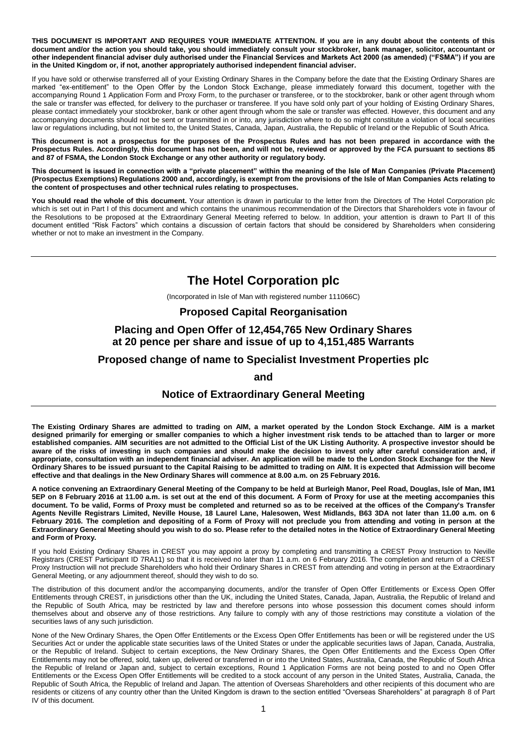**THIS DOCUMENT IS IMPORTANT AND REQUIRES YOUR IMMEDIATE ATTENTION. If you are in any doubt about the contents of this document and/or the action you should take, you should immediately consult your stockbroker, bank manager, solicitor, accountant or other independent financial adviser duly authorised under the Financial Services and Markets Act 2000 (as amended) ("FSMA") if you are in the United Kingdom or, if not, another appropriately authorised independent financial adviser.**

If you have sold or otherwise transferred all of your Existing Ordinary Shares in the Company before the date that the Existing Ordinary Shares are marked "ex-entitlement" to the Open Offer by the London Stock Exchange, please immediately forward this document, together with the accompanying Round 1 Application Form and Proxy Form, to the purchaser or transferee, or to the stockbroker, bank or other agent through whom the sale or transfer was effected, for delivery to the purchaser or transferee. If you have sold only part of your holding of Existing Ordinary Shares, please contact immediately your stockbroker, bank or other agent through whom the sale or transfer was effected. However, this document and any accompanying documents should not be sent or transmitted in or into, any jurisdiction where to do so might constitute a violation of local securities law or regulations including, but not limited to, the United States, Canada, Japan, Australia, the Republic of Ireland or the Republic of South Africa.

**This document is not a prospectus for the purposes of the Prospectus Rules and has not been prepared in accordance with the Prospectus Rules. Accordingly, this document has not been, and will not be, reviewed or approved by the FCA pursuant to sections 85 and 87 of FSMA, the London Stock Exchange or any other authority or regulatory body.**

**This document is issued in connection with a "private placement" within the meaning of the Isle of Man Companies (Private Placement) (Prospectus Exemptions) Regulations 2000 and, accordingly, is exempt from the provisions of the Isle of Man Companies Acts relating to the content of prospectuses and other technical rules relating to prospectuses.** 

**You should read the whole of this document.** Your attention is drawn in particular to the letter from the Directors of The Hotel Corporation plc which is set out in Part I of this document and which contains the unanimous recommendation of the Directors that Shareholders vote in favour of the Resolutions to be proposed at the Extraordinary General Meeting referred to below. In addition, your attention is drawn to Part II of this document entitled "Risk Factors" which contains a discussion of certain factors that should be considered by Shareholders when considering whether or not to make an investment in the Company.

# **The Hotel Corporation plc**

(Incorporated in Isle of Man with registered number 111066C)

## **Proposed Capital Reorganisation**

# **Placing and Open Offer of 12,454,765 New Ordinary Shares at 20 pence per share and issue of up to 4,151,485 Warrants**

## **Proposed change of name to Specialist Investment Properties plc**

**and**

## **Notice of Extraordinary General Meeting**

**The Existing Ordinary Shares are admitted to trading on AIM, a market operated by the London Stock Exchange. AIM is a market designed primarily for emerging or smaller companies to which a higher investment risk tends to be attached than to larger or more established companies. AIM securities are not admitted to the Official List of the UK Listing Authority. A prospective investor should be**  aware of the risks of investing in such companies and should make the decision to invest only after careful consideration and, if **appropriate, consultation with an independent financial adviser. An application will be made to the London Stock Exchange for the New Ordinary Shares to be issued pursuant to the Capital Raising to be admitted to trading on AIM. It is expected that Admission will become effective and that dealings in the New Ordinary Shares will commence at 8.00 a.m. on 25 February 2016.**

**A notice convening an Extraordinary General Meeting of the Company to be held at Burleigh Manor, Peel Road, Douglas, Isle of Man, IM1 5EP on 8 February 2016 at 11.00 a.m. is set out at the end of this document. A Form of Proxy for use at the meeting accompanies this document. To be valid, Forms of Proxy must be completed and returned so as to be received at the offices of the Company's Transfer Agents Neville Registrars Limited, Neville House, 18 Laurel Lane, Halesowen, West Midlands, B63 3DA not later than 11.00 a.m. on 6 February 2016. The completion and depositing of a Form of Proxy will not preclude you from attending and voting in person at the Extraordinary General Meeting should you wish to do so. Please refer to the detailed notes in the Notice of Extraordinary General Meeting and Form of Proxy.**

If you hold Existing Ordinary Shares in CREST you may appoint a proxy by completing and transmitting a CREST Proxy Instruction to Neville Registrars (CREST Participant ID 7RA11) so that it is received no later than 11 a.m. on 6 February 2016. The completion and return of a CREST Proxy Instruction will not preclude Shareholders who hold their Ordinary Shares in CREST from attending and voting in person at the Extraordinary General Meeting, or any adjournment thereof, should they wish to do so.

The distribution of this document and/or the accompanying documents, and/or the transfer of Open Offer Entitlements or Excess Open Offer Entitlements through CREST, in jurisdictions other than the UK, including the United States, Canada, Japan, Australia, the Republic of Ireland and the Republic of South Africa, may be restricted by law and therefore persons into whose possession this document comes should inform themselves about and observe any of those restrictions. Any failure to comply with any of those restrictions may constitute a violation of the securities laws of any such jurisdiction.

None of the New Ordinary Shares, the Open Offer Entitlements or the Excess Open Offer Entitlements has been or will be registered under the US Securities Act or under the applicable state securities laws of the United States or under the applicable securities laws of Japan, Canada, Australia, or the Republic of Ireland. Subject to certain exceptions, the New Ordinary Shares, the Open Offer Entitlements and the Excess Open Offer Entitlements may not be offered, sold, taken up, delivered or transferred in or into the United States, Australia, Canada, the Republic of South Africa the Republic of Ireland or Japan and, subject to certain exceptions, Round 1 Application Forms are not being posted to and no Open Offer Entitlements or the Excess Open Offer Entitlements will be credited to a stock account of any person in the United States, Australia, Canada, the Republic of South Africa, the Republic of Ireland and Japan. The attention of Overseas Shareholders and other recipients of this document who are residents or citizens of any country other than the United Kingdom is drawn to the section entitled "Overseas Shareholders" at paragraph 8 of Part IV of this document.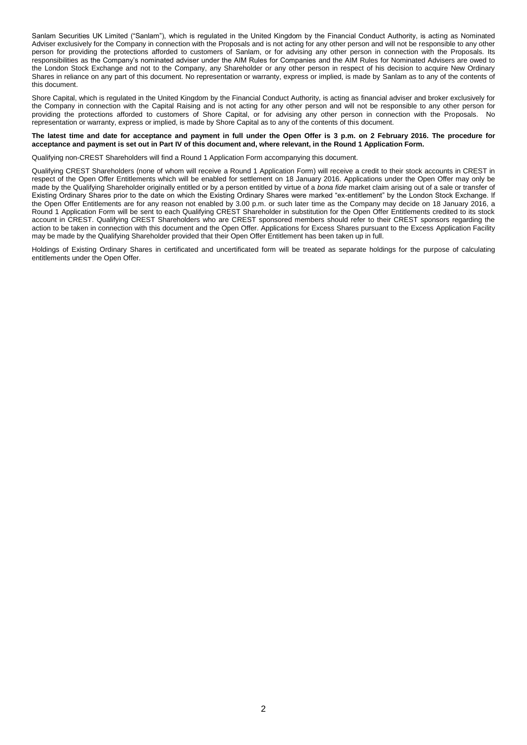Sanlam Securities UK Limited ("Sanlam"), which is regulated in the United Kingdom by the Financial Conduct Authority, is acting as Nominated Adviser exclusively for the Company in connection with the Proposals and is not acting for any other person and will not be responsible to any other person for providing the protections afforded to customers of Sanlam, or for advising any other person in connection with the Proposals. Its responsibilities as the Company's nominated adviser under the AIM Rules for Companies and the AIM Rules for Nominated Advisers are owed to the London Stock Exchange and not to the Company, any Shareholder or any other person in respect of his decision to acquire New Ordinary Shares in reliance on any part of this document. No representation or warranty, express or implied, is made by Sanlam as to any of the contents of this document.

Shore Capital, which is regulated in the United Kingdom by the Financial Conduct Authority, is acting as financial adviser and broker exclusively for the Company in connection with the Capital Raising and is not acting for any other person and will not be responsible to any other person for providing the protections afforded to customers of Shore Capital, or for advising any other person in connection with the Proposals. No representation or warranty, express or implied, is made by Shore Capital as to any of the contents of this document.

#### **The latest time and date for acceptance and payment in full under the Open Offer is 3 p.m. on 2 February 2016. The procedure for acceptance and payment is set out in Part IV of this document and, where relevant, in the Round 1 Application Form.**

Qualifying non-CREST Shareholders will find a Round 1 Application Form accompanying this document.

Qualifying CREST Shareholders (none of whom will receive a Round 1 Application Form) will receive a credit to their stock accounts in CREST in respect of the Open Offer Entitlements which will be enabled for settlement on 18 January 2016. Applications under the Open Offer may only be made by the Qualifying Shareholder originally entitled or by a person entitled by virtue of a *bona fide* market claim arising out of a sale or transfer of Existing Ordinary Shares prior to the date on which the Existing Ordinary Shares were marked "ex-entitlement" by the London Stock Exchange. If the Open Offer Entitlements are for any reason not enabled by 3.00 p.m. or such later time as the Company may decide on 18 January 2016, a Round 1 Application Form will be sent to each Qualifying CREST Shareholder in substitution for the Open Offer Entitlements credited to its stock account in CREST. Qualifying CREST Shareholders who are CREST sponsored members should refer to their CREST sponsors regarding the action to be taken in connection with this document and the Open Offer. Applications for Excess Shares pursuant to the Excess Application Facility may be made by the Qualifying Shareholder provided that their Open Offer Entitlement has been taken up in full.

Holdings of Existing Ordinary Shares in certificated and uncertificated form will be treated as separate holdings for the purpose of calculating entitlements under the Open Offer.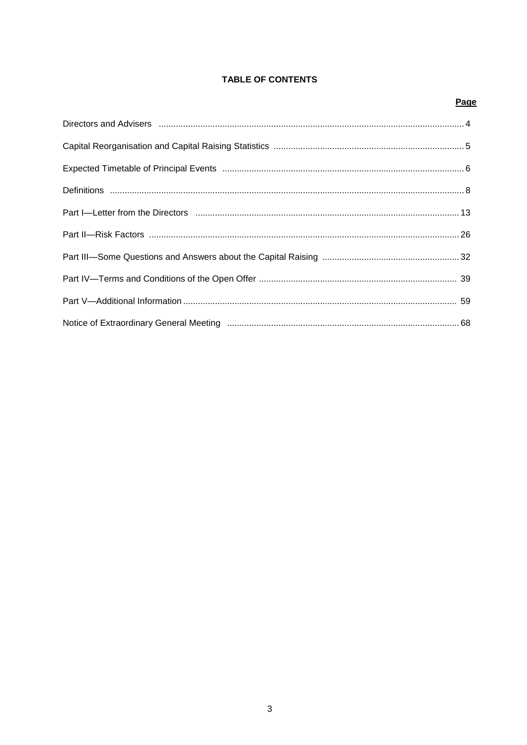# **TABLE OF CONTENTS**

# Page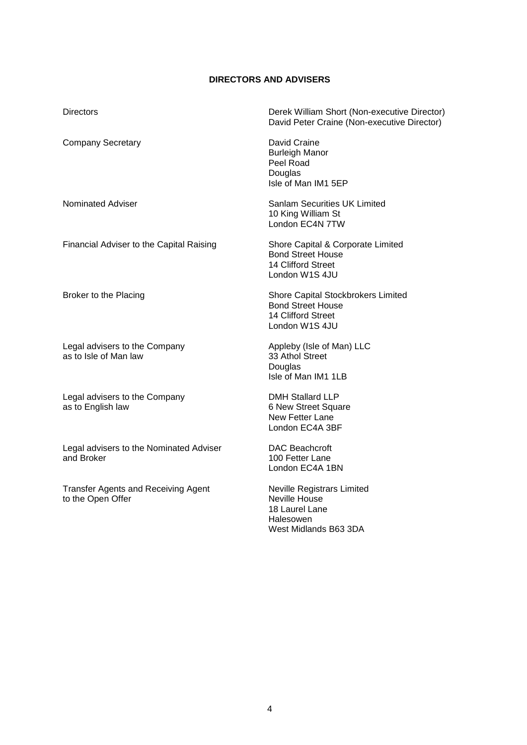# **DIRECTORS AND ADVISERS**

| <b>Directors</b>                                       | Derek William Short (Non-executive Director)<br>David Peter Craine (Non-executive Director)            |
|--------------------------------------------------------|--------------------------------------------------------------------------------------------------------|
| <b>Company Secretary</b>                               | David Craine<br><b>Burleigh Manor</b><br>Peel Road<br>Douglas<br>Isle of Man IM1 5EP                   |
| Nominated Adviser                                      | <b>Sanlam Securities UK Limited</b><br>10 King William St<br>London EC4N 7TW                           |
| Financial Adviser to the Capital Raising               | Shore Capital & Corporate Limited<br><b>Bond Street House</b><br>14 Clifford Street<br>London W1S 4JU  |
| Broker to the Placing                                  | Shore Capital Stockbrokers Limited<br><b>Bond Street House</b><br>14 Clifford Street<br>London W1S 4JU |
| Legal advisers to the Company<br>as to Isle of Man law | Appleby (Isle of Man) LLC<br>33 Athol Street<br>Douglas<br>Isle of Man IM1 1LB                         |
| Legal advisers to the Company<br>as to English law     | <b>DMH Stallard LLP</b><br>6 New Street Square<br>New Fetter Lane<br>London EC4A 3BF                   |
| Legal advisers to the Nominated Adviser<br>and Broker  | <b>DAC Beachcroft</b><br>100 Fetter Lane<br>London EC4A 1BN                                            |
| Transfor Agonts and Possiving Agont                    | Noville Pegistrare Limited                                                                             |

Transfer Agents and Receiving Agent to the Open Offer

Neville Registrars Limited Neville House 18 Laurel Lane **Halesowen** West Midlands B63 3DA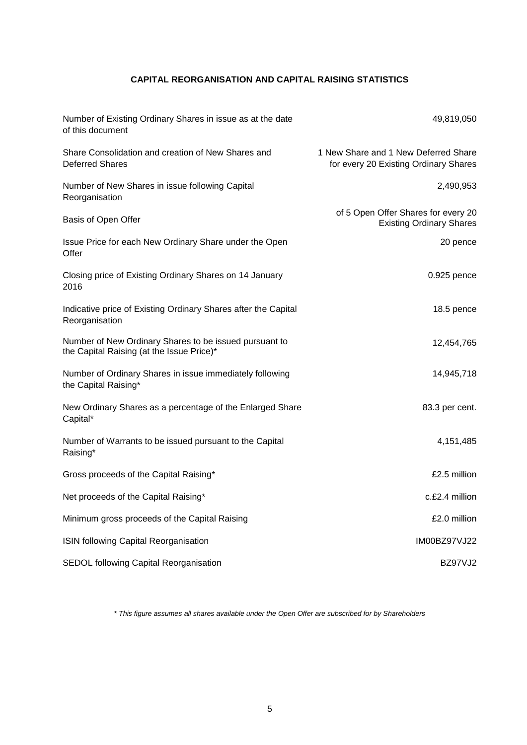# **CAPITAL REORGANISATION AND CAPITAL RAISING STATISTICS**

| Number of Existing Ordinary Shares in issue as at the date<br>of this document                      | 49,819,050                                                                    |
|-----------------------------------------------------------------------------------------------------|-------------------------------------------------------------------------------|
| Share Consolidation and creation of New Shares and<br><b>Deferred Shares</b>                        | 1 New Share and 1 New Deferred Share<br>for every 20 Existing Ordinary Shares |
| Number of New Shares in issue following Capital<br>Reorganisation                                   | 2,490,953                                                                     |
| Basis of Open Offer                                                                                 | of 5 Open Offer Shares for every 20<br><b>Existing Ordinary Shares</b>        |
| Issue Price for each New Ordinary Share under the Open<br>Offer                                     | 20 pence                                                                      |
| Closing price of Existing Ordinary Shares on 14 January<br>2016                                     | 0.925 pence                                                                   |
| Indicative price of Existing Ordinary Shares after the Capital<br>Reorganisation                    | 18.5 pence                                                                    |
| Number of New Ordinary Shares to be issued pursuant to<br>the Capital Raising (at the Issue Price)* | 12,454,765                                                                    |
| Number of Ordinary Shares in issue immediately following<br>the Capital Raising*                    | 14,945,718                                                                    |
| New Ordinary Shares as a percentage of the Enlarged Share<br>Capital*                               | 83.3 per cent.                                                                |
| Number of Warrants to be issued pursuant to the Capital<br>Raising*                                 | 4,151,485                                                                     |
| Gross proceeds of the Capital Raising*                                                              | £2.5 million                                                                  |
| Net proceeds of the Capital Raising*                                                                | c.£2.4 million                                                                |
| Minimum gross proceeds of the Capital Raising                                                       | £2.0 million                                                                  |
| ISIN following Capital Reorganisation                                                               | <b>IM00BZ97VJ22</b>                                                           |
| SEDOL following Capital Reorganisation                                                              | BZ97VJ2                                                                       |

*\* This figure assumes all shares available under the Open Offer are subscribed for by Shareholders*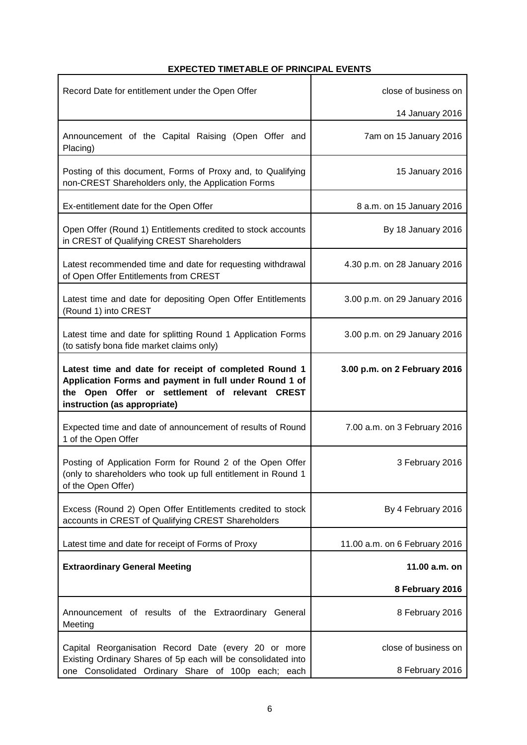# **EXPECTED TIMETABLE OF PRINCIPAL EVENTS**

 $\overline{\phantom{a}}$ 

| Record Date for entitlement under the Open Offer                                                                                                                                                  | close of business on          |
|---------------------------------------------------------------------------------------------------------------------------------------------------------------------------------------------------|-------------------------------|
|                                                                                                                                                                                                   | 14 January 2016               |
| Announcement of the Capital Raising (Open Offer and<br>Placing)                                                                                                                                   | 7am on 15 January 2016        |
| Posting of this document, Forms of Proxy and, to Qualifying<br>non-CREST Shareholders only, the Application Forms                                                                                 | 15 January 2016               |
| Ex-entitlement date for the Open Offer                                                                                                                                                            | 8 a.m. on 15 January 2016     |
| Open Offer (Round 1) Entitlements credited to stock accounts<br>in CREST of Qualifying CREST Shareholders                                                                                         | By 18 January 2016            |
| Latest recommended time and date for requesting withdrawal<br>of Open Offer Entitlements from CREST                                                                                               | 4.30 p.m. on 28 January 2016  |
| Latest time and date for depositing Open Offer Entitlements<br>(Round 1) into CREST                                                                                                               | 3.00 p.m. on 29 January 2016  |
| Latest time and date for splitting Round 1 Application Forms<br>(to satisfy bona fide market claims only)                                                                                         | 3.00 p.m. on 29 January 2016  |
| Latest time and date for receipt of completed Round 1<br>Application Forms and payment in full under Round 1 of<br>the Open Offer or settlement of relevant CREST<br>instruction (as appropriate) | 3.00 p.m. on 2 February 2016  |
| Expected time and date of announcement of results of Round<br>1 of the Open Offer                                                                                                                 | 7.00 a.m. on 3 February 2016  |
| Posting of Application Form for Round 2 of the Open Offer<br>(only to shareholders who took up full entitlement in Round 1<br>of the Open Offer)                                                  | 3 February 2016               |
| Excess (Round 2) Open Offer Entitlements credited to stock<br>accounts in CREST of Qualifying CREST Shareholders                                                                                  | By 4 February 2016            |
| Latest time and date for receipt of Forms of Proxy                                                                                                                                                | 11.00 a.m. on 6 February 2016 |
| <b>Extraordinary General Meeting</b>                                                                                                                                                              | 11.00 a.m. on                 |
|                                                                                                                                                                                                   | 8 February 2016               |
| Announcement of results of the Extraordinary General<br>Meeting                                                                                                                                   | 8 February 2016               |
| Capital Reorganisation Record Date (every 20 or more<br>Existing Ordinary Shares of 5p each will be consolidated into                                                                             | close of business on          |
| one Consolidated Ordinary Share of 100p each; each                                                                                                                                                | 8 February 2016               |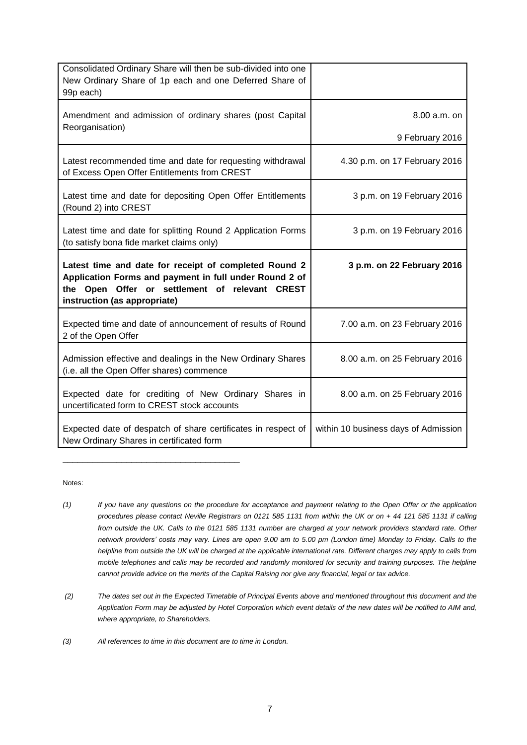| Consolidated Ordinary Share will then be sub-divided into one<br>New Ordinary Share of 1p each and one Deferred Share of<br>99p each)                                                             |                               |
|---------------------------------------------------------------------------------------------------------------------------------------------------------------------------------------------------|-------------------------------|
| Amendment and admission of ordinary shares (post Capital<br>Reorganisation)                                                                                                                       | 8.00 a.m. on                  |
|                                                                                                                                                                                                   | 9 February 2016               |
| Latest recommended time and date for requesting withdrawal<br>of Excess Open Offer Entitlements from CREST                                                                                        | 4.30 p.m. on 17 February 2016 |
| Latest time and date for depositing Open Offer Entitlements<br>(Round 2) into CREST                                                                                                               | 3 p.m. on 19 February 2016    |
| Latest time and date for splitting Round 2 Application Forms<br>(to satisfy bona fide market claims only)                                                                                         | 3 p.m. on 19 February 2016    |
|                                                                                                                                                                                                   |                               |
| Latest time and date for receipt of completed Round 2<br>Application Forms and payment in full under Round 2 of<br>the Open Offer or settlement of relevant CREST<br>instruction (as appropriate) | 3 p.m. on 22 February 2016    |
| Expected time and date of announcement of results of Round<br>2 of the Open Offer                                                                                                                 | 7.00 a.m. on 23 February 2016 |
| Admission effective and dealings in the New Ordinary Shares<br>(i.e. all the Open Offer shares) commence                                                                                          | 8.00 a.m. on 25 February 2016 |
| Expected date for crediting of New Ordinary Shares in<br>uncertificated form to CREST stock accounts                                                                                              | 8.00 a.m. on 25 February 2016 |

Notes:

- *(1) If you have any questions on the procedure for acceptance and payment relating to the Open Offer or the application procedures please contact Neville Registrars on 0121 585 1131 from within the UK or on + 44 121 585 1131 if calling from outside the UK. Calls to the 0121 585 1131 number are charged at your network providers standard rate. Other network providers' costs may vary. Lines are open 9.00 am to 5.00 pm (London time) Monday to Friday. Calls to the helpline from outside the UK will be charged at the applicable international rate. Different charges may apply to calls from mobile telephones and calls may be recorded and randomly monitored for security and training purposes. The helpline cannot provide advice on the merits of the Capital Raising nor give any financial, legal or tax advice.*
- *(2) The dates set out in the Expected Timetable of Principal Events above and mentioned throughout this document and the Application Form may be adjusted by Hotel Corporation which event details of the new dates will be notified to AIM and, where appropriate, to Shareholders.*

*(3) All references to time in this document are to time in London.*

\_\_\_\_\_\_\_\_\_\_\_\_\_\_\_\_\_\_\_\_\_\_\_\_\_\_\_\_\_\_\_\_\_\_\_\_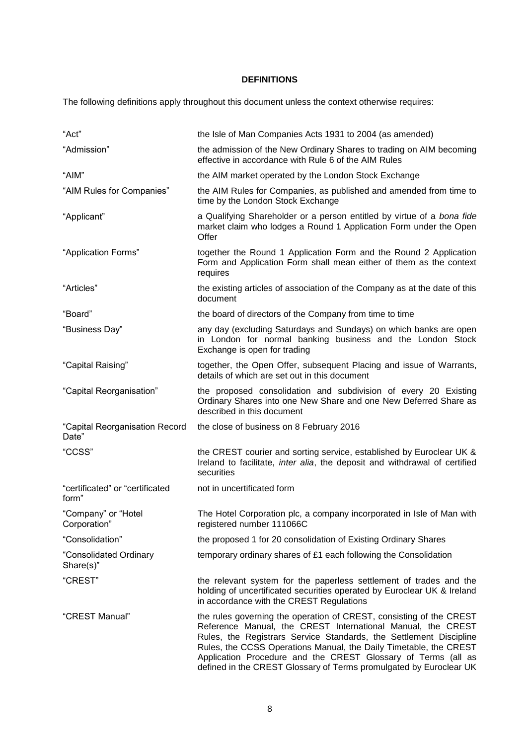# **DEFINITIONS**

The following definitions apply throughout this document unless the context otherwise requires:

| "Act"                                    | the Isle of Man Companies Acts 1931 to 2004 (as amended)                                                                                                                                                                                                                                                                                                                                                             |  |  |
|------------------------------------------|----------------------------------------------------------------------------------------------------------------------------------------------------------------------------------------------------------------------------------------------------------------------------------------------------------------------------------------------------------------------------------------------------------------------|--|--|
| "Admission"                              | the admission of the New Ordinary Shares to trading on AIM becoming<br>effective in accordance with Rule 6 of the AIM Rules                                                                                                                                                                                                                                                                                          |  |  |
| "AIM"                                    | the AIM market operated by the London Stock Exchange                                                                                                                                                                                                                                                                                                                                                                 |  |  |
| "AIM Rules for Companies"                | the AIM Rules for Companies, as published and amended from time to<br>time by the London Stock Exchange                                                                                                                                                                                                                                                                                                              |  |  |
| "Applicant"                              | a Qualifying Shareholder or a person entitled by virtue of a bona fide<br>market claim who lodges a Round 1 Application Form under the Open<br>Offer                                                                                                                                                                                                                                                                 |  |  |
| "Application Forms"                      | together the Round 1 Application Form and the Round 2 Application<br>Form and Application Form shall mean either of them as the context<br>requires                                                                                                                                                                                                                                                                  |  |  |
| "Articles"                               | the existing articles of association of the Company as at the date of this<br>document                                                                                                                                                                                                                                                                                                                               |  |  |
| "Board"                                  | the board of directors of the Company from time to time                                                                                                                                                                                                                                                                                                                                                              |  |  |
| "Business Day"                           | any day (excluding Saturdays and Sundays) on which banks are open<br>in London for normal banking business and the London Stock<br>Exchange is open for trading                                                                                                                                                                                                                                                      |  |  |
| "Capital Raising"                        | together, the Open Offer, subsequent Placing and issue of Warrants,<br>details of which are set out in this document                                                                                                                                                                                                                                                                                                 |  |  |
| "Capital Reorganisation"                 | the proposed consolidation and subdivision of every 20 Existing<br>Ordinary Shares into one New Share and one New Deferred Share as<br>described in this document                                                                                                                                                                                                                                                    |  |  |
| "Capital Reorganisation Record<br>Date"  | the close of business on 8 February 2016                                                                                                                                                                                                                                                                                                                                                                             |  |  |
| "CCSS"                                   | the CREST courier and sorting service, established by Euroclear UK &<br>Ireland to facilitate, inter alia, the deposit and withdrawal of certified<br>securities                                                                                                                                                                                                                                                     |  |  |
| "certificated" or "certificated<br>form" | not in uncertificated form                                                                                                                                                                                                                                                                                                                                                                                           |  |  |
| "Company" or "Hotel<br>Corporation"      | The Hotel Corporation plc, a company incorporated in Isle of Man with<br>registered number 111066C                                                                                                                                                                                                                                                                                                                   |  |  |
| "Consolidation"                          | the proposed 1 for 20 consolidation of Existing Ordinary Shares                                                                                                                                                                                                                                                                                                                                                      |  |  |
| "Consolidated Ordinary<br>$Share(s)$ "   | temporary ordinary shares of £1 each following the Consolidation                                                                                                                                                                                                                                                                                                                                                     |  |  |
| "CREST"                                  | the relevant system for the paperless settlement of trades and the<br>holding of uncertificated securities operated by Euroclear UK & Ireland<br>in accordance with the CREST Regulations                                                                                                                                                                                                                            |  |  |
| "CREST Manual"                           | the rules governing the operation of CREST, consisting of the CREST<br>Reference Manual, the CREST International Manual, the CREST<br>Rules, the Registrars Service Standards, the Settlement Discipline<br>Rules, the CCSS Operations Manual, the Daily Timetable, the CREST<br>Application Procedure and the CREST Glossary of Terms (all as<br>defined in the CREST Glossary of Terms promulgated by Euroclear UK |  |  |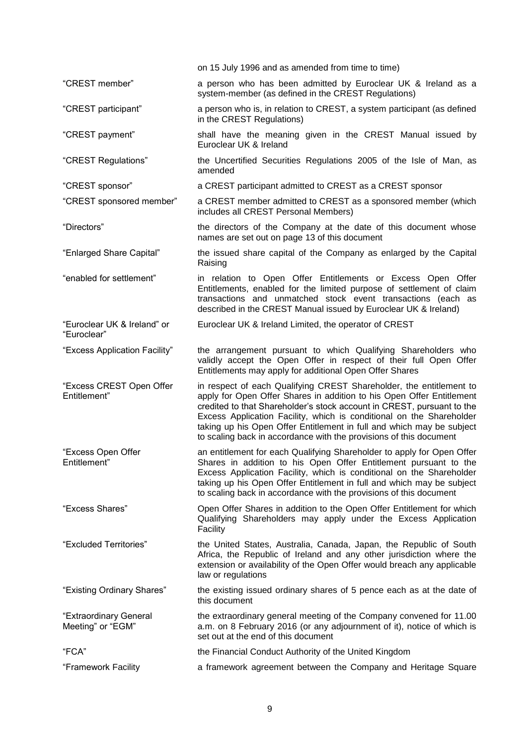|                                             | on 15 July 1996 and as amended from time to time)                                                                                                                                                                                                                                                                                                                                                                                             |
|---------------------------------------------|-----------------------------------------------------------------------------------------------------------------------------------------------------------------------------------------------------------------------------------------------------------------------------------------------------------------------------------------------------------------------------------------------------------------------------------------------|
| "CREST member"                              | a person who has been admitted by Euroclear UK & Ireland as a<br>system-member (as defined in the CREST Regulations)                                                                                                                                                                                                                                                                                                                          |
| "CREST participant"                         | a person who is, in relation to CREST, a system participant (as defined<br>in the CREST Regulations)                                                                                                                                                                                                                                                                                                                                          |
| "CREST payment"                             | shall have the meaning given in the CREST Manual issued by<br>Euroclear UK & Ireland                                                                                                                                                                                                                                                                                                                                                          |
| "CREST Regulations"                         | the Uncertified Securities Regulations 2005 of the Isle of Man, as<br>amended                                                                                                                                                                                                                                                                                                                                                                 |
| "CREST sponsor"                             | a CREST participant admitted to CREST as a CREST sponsor                                                                                                                                                                                                                                                                                                                                                                                      |
| "CREST sponsored member"                    | a CREST member admitted to CREST as a sponsored member (which<br>includes all CREST Personal Members)                                                                                                                                                                                                                                                                                                                                         |
| "Directors"                                 | the directors of the Company at the date of this document whose<br>names are set out on page 13 of this document                                                                                                                                                                                                                                                                                                                              |
| "Enlarged Share Capital"                    | the issued share capital of the Company as enlarged by the Capital<br>Raising                                                                                                                                                                                                                                                                                                                                                                 |
| "enabled for settlement"                    | in relation to Open Offer Entitlements or Excess Open Offer<br>Entitlements, enabled for the limited purpose of settlement of claim<br>transactions and unmatched stock event transactions (each as<br>described in the CREST Manual issued by Euroclear UK & Ireland)                                                                                                                                                                        |
| "Euroclear UK & Ireland" or<br>"Euroclear"  | Euroclear UK & Ireland Limited, the operator of CREST                                                                                                                                                                                                                                                                                                                                                                                         |
| "Excess Application Facility"               | the arrangement pursuant to which Qualifying Shareholders who<br>validly accept the Open Offer in respect of their full Open Offer<br>Entitlements may apply for additional Open Offer Shares                                                                                                                                                                                                                                                 |
| "Excess CREST Open Offer<br>Entitlement"    | in respect of each Qualifying CREST Shareholder, the entitlement to<br>apply for Open Offer Shares in addition to his Open Offer Entitlement<br>credited to that Shareholder's stock account in CREST, pursuant to the<br>Excess Application Facility, which is conditional on the Shareholder<br>taking up his Open Offer Entitlement in full and which may be subject<br>to scaling back in accordance with the provisions of this document |
| "Excess Open Offer<br>Entitlement'          | an entitlement for each Qualifying Shareholder to apply for Open Offer<br>Shares in addition to his Open Offer Entitlement pursuant to the<br>Excess Application Facility, which is conditional on the Shareholder<br>taking up his Open Offer Entitlement in full and which may be subject<br>to scaling back in accordance with the provisions of this document                                                                             |
| "Excess Shares"                             | Open Offer Shares in addition to the Open Offer Entitlement for which<br>Qualifying Shareholders may apply under the Excess Application<br>Facility                                                                                                                                                                                                                                                                                           |
| "Excluded Territories"                      | the United States, Australia, Canada, Japan, the Republic of South<br>Africa, the Republic of Ireland and any other jurisdiction where the<br>extension or availability of the Open Offer would breach any applicable<br>law or regulations                                                                                                                                                                                                   |
| "Existing Ordinary Shares"                  | the existing issued ordinary shares of 5 pence each as at the date of<br>this document                                                                                                                                                                                                                                                                                                                                                        |
| "Extraordinary General<br>Meeting" or "EGM" | the extraordinary general meeting of the Company convened for 11.00<br>a.m. on 8 February 2016 (or any adjournment of it), notice of which is<br>set out at the end of this document                                                                                                                                                                                                                                                          |
| "FCA"                                       | the Financial Conduct Authority of the United Kingdom                                                                                                                                                                                                                                                                                                                                                                                         |
| "Framework Facility                         | a framework agreement between the Company and Heritage Square                                                                                                                                                                                                                                                                                                                                                                                 |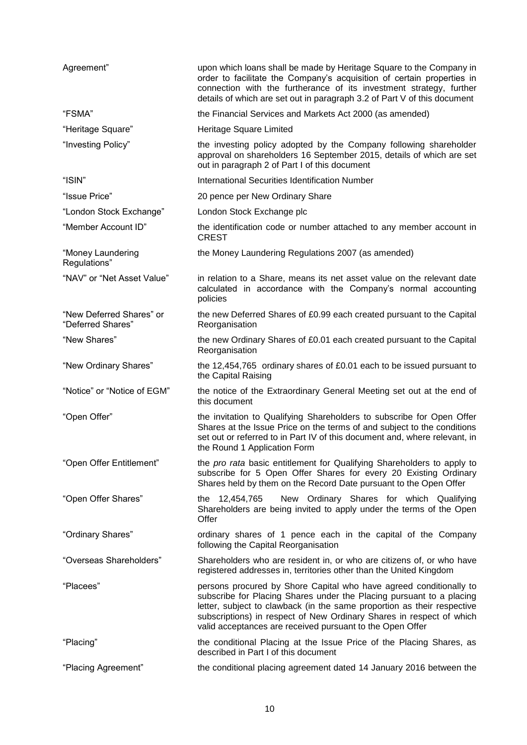| Agreement"                                    | upon which loans shall be made by Heritage Square to the Company in<br>order to facilitate the Company's acquisition of certain properties in<br>connection with the furtherance of its investment strategy, further<br>details of which are set out in paragraph 3.2 of Part V of this document                                                           |  |  |
|-----------------------------------------------|------------------------------------------------------------------------------------------------------------------------------------------------------------------------------------------------------------------------------------------------------------------------------------------------------------------------------------------------------------|--|--|
| "FSMA"                                        | the Financial Services and Markets Act 2000 (as amended)                                                                                                                                                                                                                                                                                                   |  |  |
| "Heritage Square"                             | Heritage Square Limited                                                                                                                                                                                                                                                                                                                                    |  |  |
| "Investing Policy"                            | the investing policy adopted by the Company following shareholder<br>approval on shareholders 16 September 2015, details of which are set<br>out in paragraph 2 of Part I of this document                                                                                                                                                                 |  |  |
| "ISIN"                                        | International Securities Identification Number                                                                                                                                                                                                                                                                                                             |  |  |
| "Issue Price"                                 | 20 pence per New Ordinary Share                                                                                                                                                                                                                                                                                                                            |  |  |
| "London Stock Exchange"                       | London Stock Exchange plc                                                                                                                                                                                                                                                                                                                                  |  |  |
| "Member Account ID"                           | the identification code or number attached to any member account in<br><b>CREST</b>                                                                                                                                                                                                                                                                        |  |  |
| "Money Laundering<br>Regulations"             | the Money Laundering Regulations 2007 (as amended)                                                                                                                                                                                                                                                                                                         |  |  |
| "NAV" or "Net Asset Value"                    | in relation to a Share, means its net asset value on the relevant date<br>calculated in accordance with the Company's normal accounting<br>policies                                                                                                                                                                                                        |  |  |
| "New Deferred Shares" or<br>"Deferred Shares" | the new Deferred Shares of £0.99 each created pursuant to the Capital<br>Reorganisation                                                                                                                                                                                                                                                                    |  |  |
| "New Shares"                                  | the new Ordinary Shares of £0.01 each created pursuant to the Capital<br>Reorganisation                                                                                                                                                                                                                                                                    |  |  |
| "New Ordinary Shares"                         | the 12,454,765 ordinary shares of £0.01 each to be issued pursuant to<br>the Capital Raising                                                                                                                                                                                                                                                               |  |  |
| "Notice" or "Notice of EGM"                   | the notice of the Extraordinary General Meeting set out at the end of<br>this document                                                                                                                                                                                                                                                                     |  |  |
| "Open Offer"                                  | the invitation to Qualifying Shareholders to subscribe for Open Offer<br>Shares at the Issue Price on the terms of and subject to the conditions<br>set out or referred to in Part IV of this document and, where relevant, in<br>the Round 1 Application Form                                                                                             |  |  |
| "Open Offer Entitlement"                      | the pro rata basic entitlement for Qualifying Shareholders to apply to<br>subscribe for 5 Open Offer Shares for every 20 Existing Ordinary<br>Shares held by them on the Record Date pursuant to the Open Offer                                                                                                                                            |  |  |
| "Open Offer Shares"                           | New Ordinary Shares for which Qualifying<br>the 12,454,765<br>Shareholders are being invited to apply under the terms of the Open<br>Offer                                                                                                                                                                                                                 |  |  |
| "Ordinary Shares"                             | ordinary shares of 1 pence each in the capital of the Company<br>following the Capital Reorganisation                                                                                                                                                                                                                                                      |  |  |
| "Overseas Shareholders"                       | Shareholders who are resident in, or who are citizens of, or who have<br>registered addresses in, territories other than the United Kingdom                                                                                                                                                                                                                |  |  |
| "Placees"                                     | persons procured by Shore Capital who have agreed conditionally to<br>subscribe for Placing Shares under the Placing pursuant to a placing<br>letter, subject to clawback (in the same proportion as their respective<br>subscriptions) in respect of New Ordinary Shares in respect of which<br>valid acceptances are received pursuant to the Open Offer |  |  |
| "Placing"                                     | the conditional Placing at the Issue Price of the Placing Shares, as<br>described in Part I of this document                                                                                                                                                                                                                                               |  |  |
| "Placing Agreement"                           | the conditional placing agreement dated 14 January 2016 between the                                                                                                                                                                                                                                                                                        |  |  |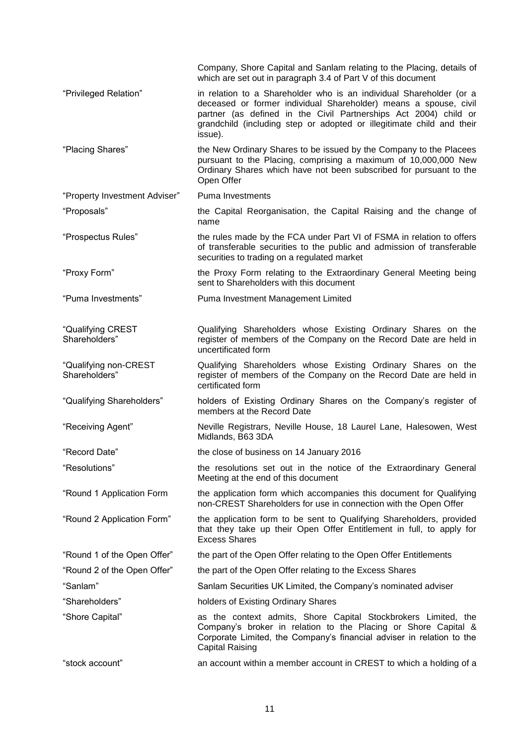|                                        | Company, Shore Capital and Sanlam relating to the Placing, details of                                                                                                                                                                                                                           |
|----------------------------------------|-------------------------------------------------------------------------------------------------------------------------------------------------------------------------------------------------------------------------------------------------------------------------------------------------|
|                                        | which are set out in paragraph 3.4 of Part V of this document                                                                                                                                                                                                                                   |
| "Privileged Relation"                  | in relation to a Shareholder who is an individual Shareholder (or a<br>deceased or former individual Shareholder) means a spouse, civil<br>partner (as defined in the Civil Partnerships Act 2004) child or<br>grandchild (including step or adopted or illegitimate child and their<br>issue). |
| "Placing Shares"                       | the New Ordinary Shares to be issued by the Company to the Placees<br>pursuant to the Placing, comprising a maximum of 10,000,000 New<br>Ordinary Shares which have not been subscribed for pursuant to the<br>Open Offer                                                                       |
| "Property Investment Adviser"          | Puma Investments                                                                                                                                                                                                                                                                                |
| "Proposals"                            | the Capital Reorganisation, the Capital Raising and the change of<br>name                                                                                                                                                                                                                       |
| "Prospectus Rules"                     | the rules made by the FCA under Part VI of FSMA in relation to offers<br>of transferable securities to the public and admission of transferable<br>securities to trading on a regulated market                                                                                                  |
| "Proxy Form"                           | the Proxy Form relating to the Extraordinary General Meeting being<br>sent to Shareholders with this document                                                                                                                                                                                   |
| "Puma Investments"                     | Puma Investment Management Limited                                                                                                                                                                                                                                                              |
|                                        |                                                                                                                                                                                                                                                                                                 |
| "Qualifying CREST<br>Shareholders"     | Qualifying Shareholders whose Existing Ordinary Shares on the<br>register of members of the Company on the Record Date are held in<br>uncertificated form                                                                                                                                       |
| "Qualifying non-CREST<br>Shareholders" | Qualifying Shareholders whose Existing Ordinary Shares on the<br>register of members of the Company on the Record Date are held in<br>certificated form                                                                                                                                         |
| "Qualifying Shareholders"              | holders of Existing Ordinary Shares on the Company's register of<br>members at the Record Date                                                                                                                                                                                                  |
| "Receiving Agent"                      | Neville Registrars, Neville House, 18 Laurel Lane, Halesowen, West<br>Midlands, B63 3DA                                                                                                                                                                                                         |
| "Record Date"                          | the close of business on 14 January 2016                                                                                                                                                                                                                                                        |
| "Resolutions"                          | the resolutions set out in the notice of the Extraordinary General<br>Meeting at the end of this document                                                                                                                                                                                       |
| "Round 1 Application Form              | the application form which accompanies this document for Qualifying<br>non-CREST Shareholders for use in connection with the Open Offer                                                                                                                                                         |
| "Round 2 Application Form"             | the application form to be sent to Qualifying Shareholders, provided<br>that they take up their Open Offer Entitlement in full, to apply for<br><b>Excess Shares</b>                                                                                                                            |
| "Round 1 of the Open Offer"            | the part of the Open Offer relating to the Open Offer Entitlements                                                                                                                                                                                                                              |
| "Round 2 of the Open Offer"            | the part of the Open Offer relating to the Excess Shares                                                                                                                                                                                                                                        |
| "Sanlam"                               | Sanlam Securities UK Limited, the Company's nominated adviser                                                                                                                                                                                                                                   |
| "Shareholders"                         | holders of Existing Ordinary Shares                                                                                                                                                                                                                                                             |
| "Shore Capital"                        | as the context admits, Shore Capital Stockbrokers Limited, the<br>Company's broker in relation to the Placing or Shore Capital &<br>Corporate Limited, the Company's financial adviser in relation to the<br><b>Capital Raising</b>                                                             |
| "stock account"                        | an account within a member account in CREST to which a holding of a                                                                                                                                                                                                                             |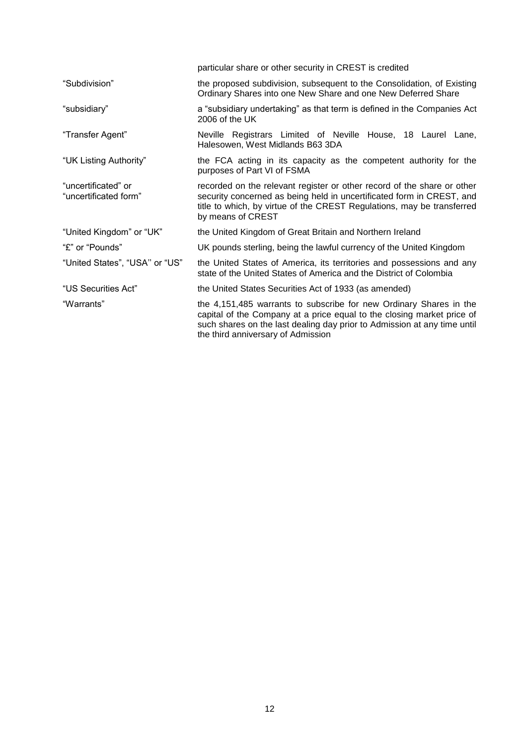|                                              | particular share or other security in CREST is credited                                                                                                                                                                                                        |  |  |  |  |
|----------------------------------------------|----------------------------------------------------------------------------------------------------------------------------------------------------------------------------------------------------------------------------------------------------------------|--|--|--|--|
| "Subdivision"                                | the proposed subdivision, subsequent to the Consolidation, of Existing<br>Ordinary Shares into one New Share and one New Deferred Share                                                                                                                        |  |  |  |  |
| "subsidiary"                                 | a "subsidiary undertaking" as that term is defined in the Companies Act<br>$2006$ of the UK                                                                                                                                                                    |  |  |  |  |
| "Transfer Agent"                             | Neville Registrars Limited of Neville House, 18 Laurel Lane,<br>Halesowen, West Midlands B63 3DA                                                                                                                                                               |  |  |  |  |
| "UK Listing Authority"                       | the FCA acting in its capacity as the competent authority for the<br>purposes of Part VI of FSMA                                                                                                                                                               |  |  |  |  |
| "uncertificated" or<br>"uncertificated form" | recorded on the relevant register or other record of the share or other<br>security concerned as being held in uncertificated form in CREST, and<br>title to which, by virtue of the CREST Regulations, may be transferred<br>by means of CREST                |  |  |  |  |
| "United Kingdom" or "UK"                     | the United Kingdom of Great Britain and Northern Ireland                                                                                                                                                                                                       |  |  |  |  |
| "£" or "Pounds"                              | UK pounds sterling, being the lawful currency of the United Kingdom                                                                                                                                                                                            |  |  |  |  |
| "United States", "USA" or "US"               | the United States of America, its territories and possessions and any<br>state of the United States of America and the District of Colombia                                                                                                                    |  |  |  |  |
| "US Securities Act"                          | the United States Securities Act of 1933 (as amended)                                                                                                                                                                                                          |  |  |  |  |
| "Warrants"                                   | the 4,151,485 warrants to subscribe for new Ordinary Shares in the<br>capital of the Company at a price equal to the closing market price of<br>such shares on the last dealing day prior to Admission at any time until<br>the third anniversary of Admission |  |  |  |  |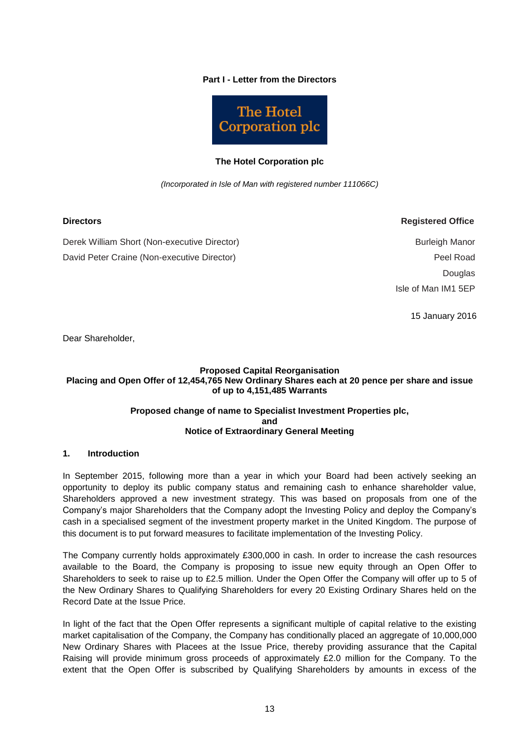#### **Part I - Letter from the Directors**



#### **The Hotel Corporation plc**

*(Incorporated in Isle of Man with registered number 111066C)*

**Directors Registered Office**

Derek William Short (Non-executive Director) David Peter Craine (Non-executive Director)

Burleigh Manor Peel Road Douglas Isle of Man IM1 5EP

15 January 2016

Dear Shareholder,

#### **Proposed Capital Reorganisation Placing and Open Offer of 12,454,765 New Ordinary Shares each at 20 pence per share and issue of up to 4,151,485 Warrants**

#### **Proposed change of name to Specialist Investment Properties plc, and Notice of Extraordinary General Meeting**

#### **1. Introduction**

In September 2015, following more than a year in which your Board had been actively seeking an opportunity to deploy its public company status and remaining cash to enhance shareholder value, Shareholders approved a new investment strategy. This was based on proposals from one of the Company's major Shareholders that the Company adopt the Investing Policy and deploy the Company's cash in a specialised segment of the investment property market in the United Kingdom. The purpose of this document is to put forward measures to facilitate implementation of the Investing Policy.

The Company currently holds approximately £300,000 in cash. In order to increase the cash resources available to the Board, the Company is proposing to issue new equity through an Open Offer to Shareholders to seek to raise up to £2.5 million. Under the Open Offer the Company will offer up to 5 of the New Ordinary Shares to Qualifying Shareholders for every 20 Existing Ordinary Shares held on the Record Date at the Issue Price.

In light of the fact that the Open Offer represents a significant multiple of capital relative to the existing market capitalisation of the Company, the Company has conditionally placed an aggregate of 10,000,000 New Ordinary Shares with Placees at the Issue Price, thereby providing assurance that the Capital Raising will provide minimum gross proceeds of approximately £2.0 million for the Company. To the extent that the Open Offer is subscribed by Qualifying Shareholders by amounts in excess of the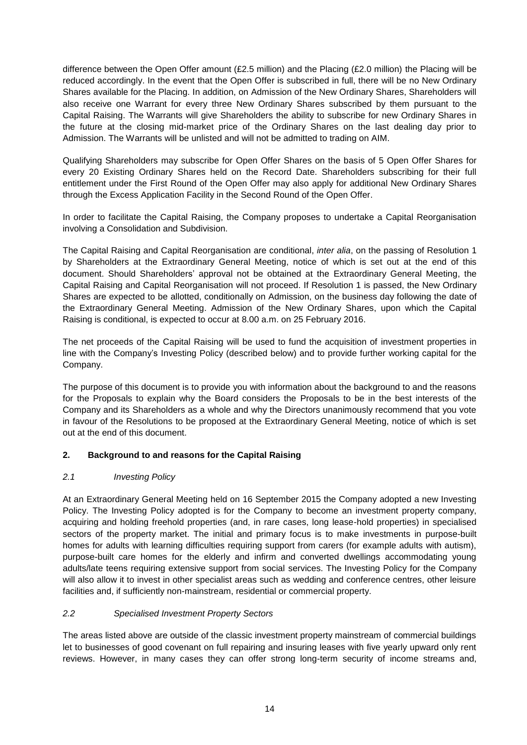difference between the Open Offer amount (£2.5 million) and the Placing (£2.0 million) the Placing will be reduced accordingly. In the event that the Open Offer is subscribed in full, there will be no New Ordinary Shares available for the Placing. In addition, on Admission of the New Ordinary Shares, Shareholders will also receive one Warrant for every three New Ordinary Shares subscribed by them pursuant to the Capital Raising. The Warrants will give Shareholders the ability to subscribe for new Ordinary Shares in the future at the closing mid-market price of the Ordinary Shares on the last dealing day prior to Admission. The Warrants will be unlisted and will not be admitted to trading on AIM.

Qualifying Shareholders may subscribe for Open Offer Shares on the basis of 5 Open Offer Shares for every 20 Existing Ordinary Shares held on the Record Date. Shareholders subscribing for their full entitlement under the First Round of the Open Offer may also apply for additional New Ordinary Shares through the Excess Application Facility in the Second Round of the Open Offer.

In order to facilitate the Capital Raising, the Company proposes to undertake a Capital Reorganisation involving a Consolidation and Subdivision.

The Capital Raising and Capital Reorganisation are conditional, *inter alia*, on the passing of Resolution 1 by Shareholders at the Extraordinary General Meeting, notice of which is set out at the end of this document. Should Shareholders' approval not be obtained at the Extraordinary General Meeting, the Capital Raising and Capital Reorganisation will not proceed. If Resolution 1 is passed, the New Ordinary Shares are expected to be allotted, conditionally on Admission, on the business day following the date of the Extraordinary General Meeting. Admission of the New Ordinary Shares, upon which the Capital Raising is conditional, is expected to occur at 8.00 a.m. on 25 February 2016.

The net proceeds of the Capital Raising will be used to fund the acquisition of investment properties in line with the Company's Investing Policy (described below) and to provide further working capital for the Company.

The purpose of this document is to provide you with information about the background to and the reasons for the Proposals to explain why the Board considers the Proposals to be in the best interests of the Company and its Shareholders as a whole and why the Directors unanimously recommend that you vote in favour of the Resolutions to be proposed at the Extraordinary General Meeting, notice of which is set out at the end of this document.

## **2. Background to and reasons for the Capital Raising**

#### *2.1 Investing Policy*

At an Extraordinary General Meeting held on 16 September 2015 the Company adopted a new Investing Policy. The Investing Policy adopted is for the Company to become an investment property company, acquiring and holding freehold properties (and, in rare cases, long lease-hold properties) in specialised sectors of the property market. The initial and primary focus is to make investments in purpose-built homes for adults with learning difficulties requiring support from carers (for example adults with autism), purpose-built care homes for the elderly and infirm and converted dwellings accommodating young adults/late teens requiring extensive support from social services. The Investing Policy for the Company will also allow it to invest in other specialist areas such as wedding and conference centres, other leisure facilities and, if sufficiently non-mainstream, residential or commercial property.

#### *2.2 Specialised Investment Property Sectors*

The areas listed above are outside of the classic investment property mainstream of commercial buildings let to businesses of good covenant on full repairing and insuring leases with five yearly upward only rent reviews. However, in many cases they can offer strong long-term security of income streams and,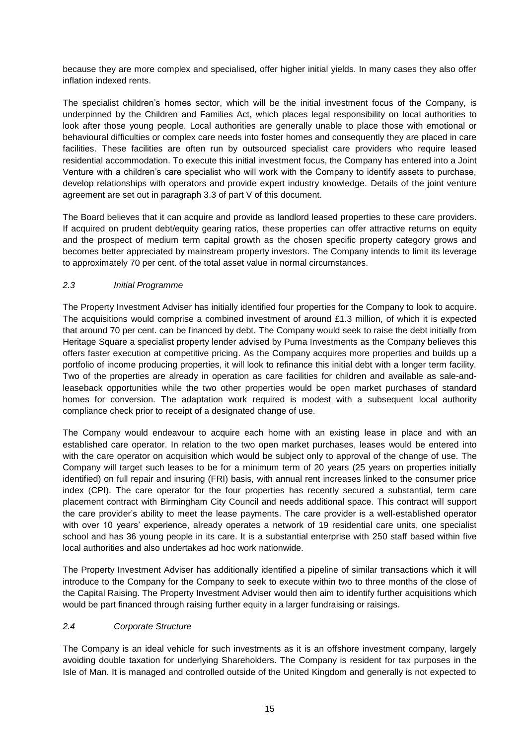because they are more complex and specialised, offer higher initial yields. In many cases they also offer inflation indexed rents.

The specialist children's homes sector, which will be the initial investment focus of the Company, is underpinned by the Children and Families Act, which places legal responsibility on local authorities to look after those young people. Local authorities are generally unable to place those with emotional or behavioural difficulties or complex care needs into foster homes and consequently they are placed in care facilities. These facilities are often run by outsourced specialist care providers who require leased residential accommodation. To execute this initial investment focus, the Company has entered into a Joint Venture with a children's care specialist who will work with the Company to identify assets to purchase, develop relationships with operators and provide expert industry knowledge. Details of the joint venture agreement are set out in paragraph 3.3 of part V of this document.

The Board believes that it can acquire and provide as landlord leased properties to these care providers. If acquired on prudent debt/equity gearing ratios, these properties can offer attractive returns on equity and the prospect of medium term capital growth as the chosen specific property category grows and becomes better appreciated by mainstream property investors. The Company intends to limit its leverage to approximately 70 per cent. of the total asset value in normal circumstances.

## *2.3 Initial Programme*

The Property Investment Adviser has initially identified four properties for the Company to look to acquire. The acquisitions would comprise a combined investment of around £1.3 million, of which it is expected that around 70 per cent. can be financed by debt. The Company would seek to raise the debt initially from Heritage Square a specialist property lender advised by Puma Investments as the Company believes this offers faster execution at competitive pricing. As the Company acquires more properties and builds up a portfolio of income producing properties, it will look to refinance this initial debt with a longer term facility. Two of the properties are already in operation as care facilities for children and available as sale-andleaseback opportunities while the two other properties would be open market purchases of standard homes for conversion. The adaptation work required is modest with a subsequent local authority compliance check prior to receipt of a designated change of use.

The Company would endeavour to acquire each home with an existing lease in place and with an established care operator. In relation to the two open market purchases, leases would be entered into with the care operator on acquisition which would be subject only to approval of the change of use. The Company will target such leases to be for a minimum term of 20 years (25 years on properties initially identified) on full repair and insuring (FRI) basis, with annual rent increases linked to the consumer price index (CPI). The care operator for the four properties has recently secured a substantial, term care placement contract with Birmingham City Council and needs additional space. This contract will support the care provider's ability to meet the lease payments. The care provider is a well-established operator with over 10 years' experience, already operates a network of 19 residential care units, one specialist school and has 36 young people in its care. It is a substantial enterprise with 250 staff based within five local authorities and also undertakes ad hoc work nationwide.

The Property Investment Adviser has additionally identified a pipeline of similar transactions which it will introduce to the Company for the Company to seek to execute within two to three months of the close of the Capital Raising. The Property Investment Adviser would then aim to identify further acquisitions which would be part financed through raising further equity in a larger fundraising or raisings.

#### *2.4 Corporate Structure*

The Company is an ideal vehicle for such investments as it is an offshore investment company, largely avoiding double taxation for underlying Shareholders. The Company is resident for tax purposes in the Isle of Man. It is managed and controlled outside of the United Kingdom and generally is not expected to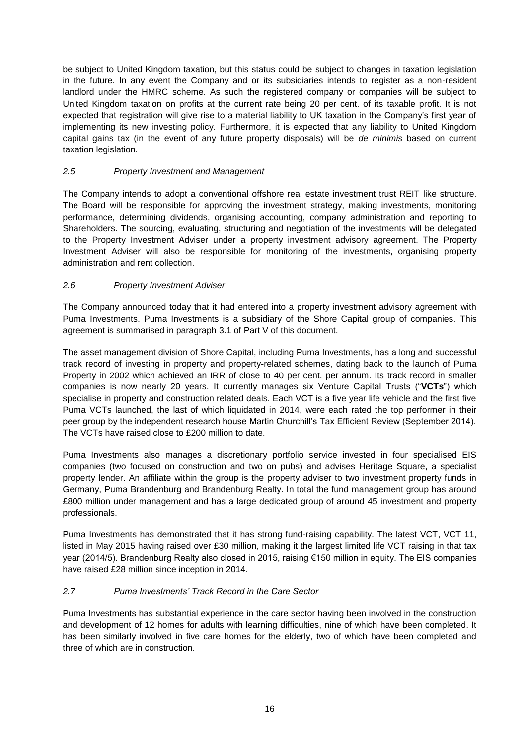be subject to United Kingdom taxation, but this status could be subject to changes in taxation legislation in the future. In any event the Company and or its subsidiaries intends to register as a non-resident landlord under the HMRC scheme. As such the registered company or companies will be subject to United Kingdom taxation on profits at the current rate being 20 per cent. of its taxable profit. It is not expected that registration will give rise to a material liability to UK taxation in the Company's first year of implementing its new investing policy. Furthermore, it is expected that any liability to United Kingdom capital gains tax (in the event of any future property disposals) will be *de minimis* based on current taxation legislation.

## *2.5 Property Investment and Management*

The Company intends to adopt a conventional offshore real estate investment trust REIT like structure. The Board will be responsible for approving the investment strategy, making investments, monitoring performance, determining dividends, organising accounting, company administration and reporting to Shareholders. The sourcing, evaluating, structuring and negotiation of the investments will be delegated to the Property Investment Adviser under a property investment advisory agreement. The Property Investment Adviser will also be responsible for monitoring of the investments, organising property administration and rent collection.

## *2.6 Property Investment Adviser*

The Company announced today that it had entered into a property investment advisory agreement with Puma Investments. Puma Investments is a subsidiary of the Shore Capital group of companies. This agreement is summarised in paragraph 3.1 of Part V of this document.

The asset management division of Shore Capital, including Puma Investments, has a long and successful track record of investing in property and property-related schemes, dating back to the launch of Puma Property in 2002 which achieved an IRR of close to 40 per cent. per annum. Its track record in smaller companies is now nearly 20 years. It currently manages six Venture Capital Trusts ("**VCTs**") which specialise in property and construction related deals. Each VCT is a five year life vehicle and the first five Puma VCTs launched, the last of which liquidated in 2014, were each rated the top performer in their peer group by the independent research house Martin Churchill's Tax Efficient Review (September 2014). The VCTs have raised close to £200 million to date.

Puma Investments also manages a discretionary portfolio service invested in four specialised EIS companies (two focused on construction and two on pubs) and advises Heritage Square, a specialist property lender. An affiliate within the group is the property adviser to two investment property funds in Germany, Puma Brandenburg and Brandenburg Realty. In total the fund management group has around £800 million under management and has a large dedicated group of around 45 investment and property professionals.

Puma Investments has demonstrated that it has strong fund-raising capability. The latest VCT, VCT 11, listed in May 2015 having raised over £30 million, making it the largest limited life VCT raising in that tax year (2014/5). Brandenburg Realty also closed in 2015, raising €150 million in equity. The EIS companies have raised £28 million since inception in 2014.

#### *2.7 Puma Investments' Track Record in the Care Sector*

Puma Investments has substantial experience in the care sector having been involved in the construction and development of 12 homes for adults with learning difficulties, nine of which have been completed. It has been similarly involved in five care homes for the elderly, two of which have been completed and three of which are in construction.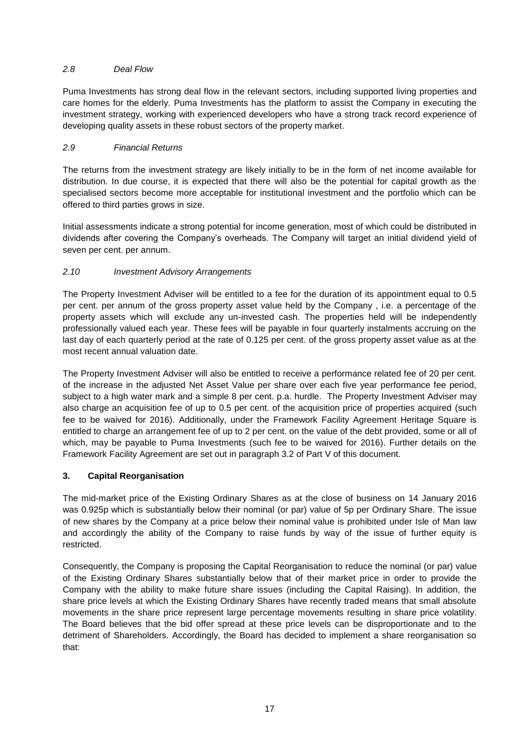## *2.8 Deal Flow*

Puma Investments has strong deal flow in the relevant sectors, including supported living properties and care homes for the elderly. Puma Investments has the platform to assist the Company in executing the investment strategy, working with experienced developers who have a strong track record experience of developing quality assets in these robust sectors of the property market.

## *2.9 Financial Returns*

The returns from the investment strategy are likely initially to be in the form of net income available for distribution. In due course, it is expected that there will also be the potential for capital growth as the specialised sectors become more acceptable for institutional investment and the portfolio which can be offered to third parties grows in size.

Initial assessments indicate a strong potential for income generation, most of which could be distributed in dividends after covering the Company's overheads. The Company will target an initial dividend yield of seven per cent. per annum.

## *2.10 Investment Advisory Arrangements*

The Property Investment Adviser will be entitled to a fee for the duration of its appointment equal to 0.5 per cent. per annum of the gross property asset value held by the Company , i.e. a percentage of the property assets which will exclude any un-invested cash. The properties held will be independently professionally valued each year. These fees will be payable in four quarterly instalments accruing on the last day of each quarterly period at the rate of 0.125 per cent. of the gross property asset value as at the most recent annual valuation date.

The Property Investment Adviser will also be entitled to receive a performance related fee of 20 per cent. of the increase in the adjusted Net Asset Value per share over each five year performance fee period, subject to a high water mark and a simple 8 per cent. p.a. hurdle. The Property Investment Adviser may also charge an acquisition fee of up to 0.5 per cent. of the acquisition price of properties acquired (such fee to be waived for 2016). Additionally, under the Framework Facility Agreement Heritage Square is entitled to charge an arrangement fee of up to 2 per cent. on the value of the debt provided, some or all of which, may be payable to Puma Investments (such fee to be waived for 2016). Further details on the Framework Facility Agreement are set out in paragraph 3.2 of Part V of this document.

## **3. Capital Reorganisation**

The mid-market price of the Existing Ordinary Shares as at the close of business on 14 January 2016 was 0.925p which is substantially below their nominal (or par) value of 5p per Ordinary Share. The issue of new shares by the Company at a price below their nominal value is prohibited under Isle of Man law and accordingly the ability of the Company to raise funds by way of the issue of further equity is restricted.

Consequently, the Company is proposing the Capital Reorganisation to reduce the nominal (or par) value of the Existing Ordinary Shares substantially below that of their market price in order to provide the Company with the ability to make future share issues (including the Capital Raising). In addition, the share price levels at which the Existing Ordinary Shares have recently traded means that small absolute movements in the share price represent large percentage movements resulting in share price volatility. The Board believes that the bid offer spread at these price levels can be disproportionate and to the detriment of Shareholders. Accordingly, the Board has decided to implement a share reorganisation so that: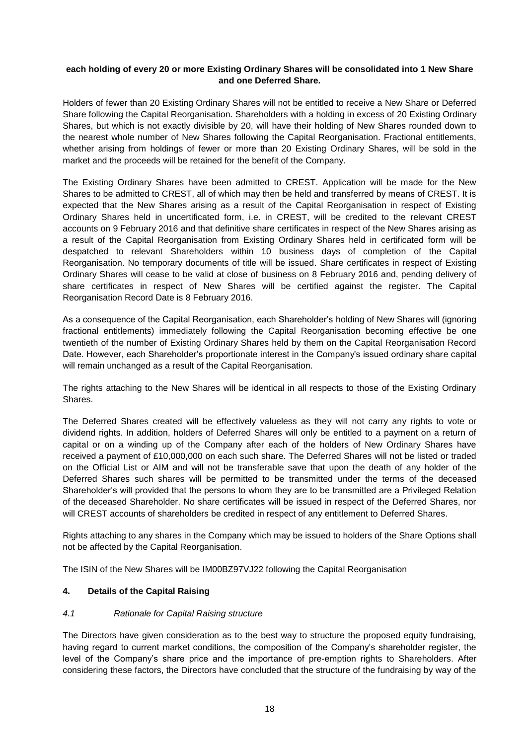#### **each holding of every 20 or more Existing Ordinary Shares will be consolidated into 1 New Share and one Deferred Share.**

Holders of fewer than 20 Existing Ordinary Shares will not be entitled to receive a New Share or Deferred Share following the Capital Reorganisation. Shareholders with a holding in excess of 20 Existing Ordinary Shares, but which is not exactly divisible by 20, will have their holding of New Shares rounded down to the nearest whole number of New Shares following the Capital Reorganisation. Fractional entitlements, whether arising from holdings of fewer or more than 20 Existing Ordinary Shares, will be sold in the market and the proceeds will be retained for the benefit of the Company.

The Existing Ordinary Shares have been admitted to CREST. Application will be made for the New Shares to be admitted to CREST, all of which may then be held and transferred by means of CREST. It is expected that the New Shares arising as a result of the Capital Reorganisation in respect of Existing Ordinary Shares held in uncertificated form, i.e. in CREST, will be credited to the relevant CREST accounts on 9 February 2016 and that definitive share certificates in respect of the New Shares arising as a result of the Capital Reorganisation from Existing Ordinary Shares held in certificated form will be despatched to relevant Shareholders within 10 business days of completion of the Capital Reorganisation. No temporary documents of title will be issued. Share certificates in respect of Existing Ordinary Shares will cease to be valid at close of business on 8 February 2016 and, pending delivery of share certificates in respect of New Shares will be certified against the register. The Capital Reorganisation Record Date is 8 February 2016.

As a consequence of the Capital Reorganisation, each Shareholder's holding of New Shares will (ignoring fractional entitlements) immediately following the Capital Reorganisation becoming effective be one twentieth of the number of Existing Ordinary Shares held by them on the Capital Reorganisation Record Date. However, each Shareholder's proportionate interest in the Company's issued ordinary share capital will remain unchanged as a result of the Capital Reorganisation.

The rights attaching to the New Shares will be identical in all respects to those of the Existing Ordinary Shares.

The Deferred Shares created will be effectively valueless as they will not carry any rights to vote or dividend rights. In addition, holders of Deferred Shares will only be entitled to a payment on a return of capital or on a winding up of the Company after each of the holders of New Ordinary Shares have received a payment of £10,000,000 on each such share. The Deferred Shares will not be listed or traded on the Official List or AIM and will not be transferable save that upon the death of any holder of the Deferred Shares such shares will be permitted to be transmitted under the terms of the deceased Shareholder's will provided that the persons to whom they are to be transmitted are a Privileged Relation of the deceased Shareholder. No share certificates will be issued in respect of the Deferred Shares, nor will CREST accounts of shareholders be credited in respect of any entitlement to Deferred Shares.

Rights attaching to any shares in the Company which may be issued to holders of the Share Options shall not be affected by the Capital Reorganisation.

The ISIN of the New Shares will be IM00BZ97VJ22 following the Capital Reorganisation

#### **4. Details of the Capital Raising**

#### *4.1 Rationale for Capital Raising structure*

The Directors have given consideration as to the best way to structure the proposed equity fundraising, having regard to current market conditions, the composition of the Company's shareholder register, the level of the Company's share price and the importance of pre-emption rights to Shareholders. After considering these factors, the Directors have concluded that the structure of the fundraising by way of the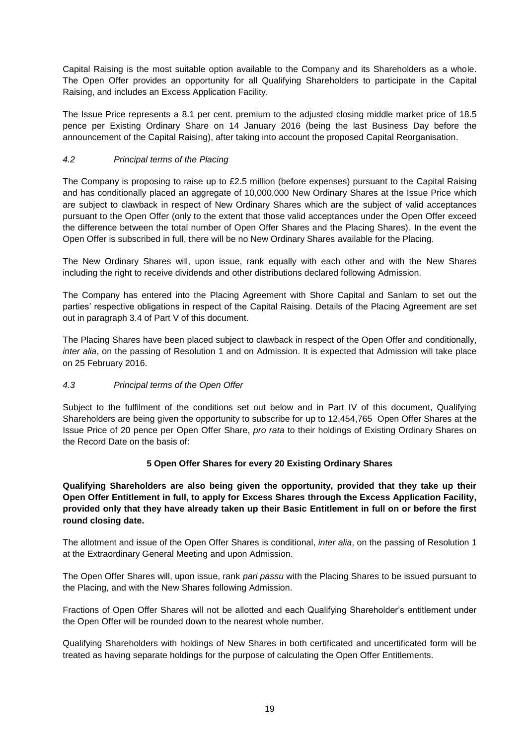Capital Raising is the most suitable option available to the Company and its Shareholders as a whole. The Open Offer provides an opportunity for all Qualifying Shareholders to participate in the Capital Raising, and includes an Excess Application Facility.

The Issue Price represents a 8.1 per cent. premium to the adjusted closing middle market price of 18.5 pence per Existing Ordinary Share on 14 January 2016 (being the last Business Day before the announcement of the Capital Raising), after taking into account the proposed Capital Reorganisation.

## *4.2 Principal terms of the Placing*

The Company is proposing to raise up to £2.5 million (before expenses) pursuant to the Capital Raising and has conditionally placed an aggregate of 10,000,000 New Ordinary Shares at the Issue Price which are subject to clawback in respect of New Ordinary Shares which are the subject of valid acceptances pursuant to the Open Offer (only to the extent that those valid acceptances under the Open Offer exceed the difference between the total number of Open Offer Shares and the Placing Shares). In the event the Open Offer is subscribed in full, there will be no New Ordinary Shares available for the Placing.

The New Ordinary Shares will, upon issue, rank equally with each other and with the New Shares including the right to receive dividends and other distributions declared following Admission.

The Company has entered into the Placing Agreement with Shore Capital and Sanlam to set out the parties' respective obligations in respect of the Capital Raising. Details of the Placing Agreement are set out in paragraph 3.4 of Part V of this document.

The Placing Shares have been placed subject to clawback in respect of the Open Offer and conditionally, *inter alia*, on the passing of Resolution 1 and on Admission. It is expected that Admission will take place on 25 February 2016.

## *4.3 Principal terms of the Open Offer*

Subject to the fulfilment of the conditions set out below and in Part IV of this document, Qualifying Shareholders are being given the opportunity to subscribe for up to 12,454,765 Open Offer Shares at the Issue Price of 20 pence per Open Offer Share, *pro rata* to their holdings of Existing Ordinary Shares on the Record Date on the basis of:

## **5 Open Offer Shares for every 20 Existing Ordinary Shares**

**Qualifying Shareholders are also being given the opportunity, provided that they take up their Open Offer Entitlement in full, to apply for Excess Shares through the Excess Application Facility, provided only that they have already taken up their Basic Entitlement in full on or before the first round closing date.**

The allotment and issue of the Open Offer Shares is conditional, *inter alia*, on the passing of Resolution 1 at the Extraordinary General Meeting and upon Admission.

The Open Offer Shares will, upon issue, rank *pari passu* with the Placing Shares to be issued pursuant to the Placing, and with the New Shares following Admission.

Fractions of Open Offer Shares will not be allotted and each Qualifying Shareholder's entitlement under the Open Offer will be rounded down to the nearest whole number.

Qualifying Shareholders with holdings of New Shares in both certificated and uncertificated form will be treated as having separate holdings for the purpose of calculating the Open Offer Entitlements.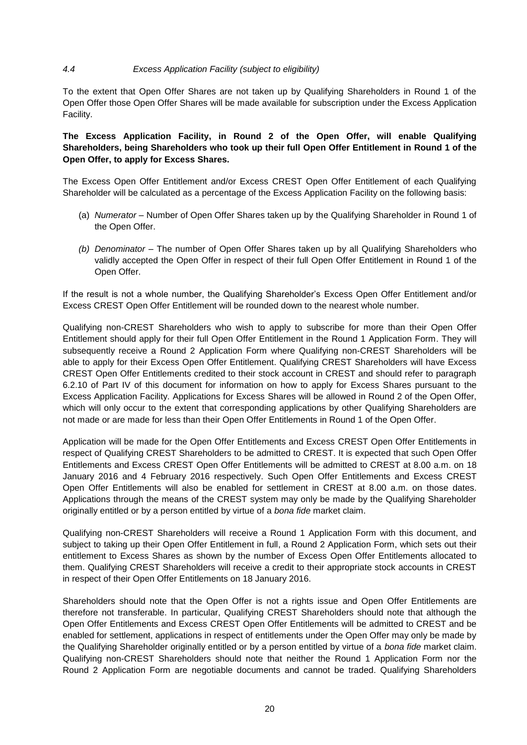#### *4.4 Excess Application Facility (subject to eligibility)*

To the extent that Open Offer Shares are not taken up by Qualifying Shareholders in Round 1 of the Open Offer those Open Offer Shares will be made available for subscription under the Excess Application Facility.

**The Excess Application Facility, in Round 2 of the Open Offer, will enable Qualifying Shareholders, being Shareholders who took up their full Open Offer Entitlement in Round 1 of the Open Offer, to apply for Excess Shares.**

The Excess Open Offer Entitlement and/or Excess CREST Open Offer Entitlement of each Qualifying Shareholder will be calculated as a percentage of the Excess Application Facility on the following basis:

- (a) *Numerator* Number of Open Offer Shares taken up by the Qualifying Shareholder in Round 1 of the Open Offer.
- *(b) Denominator* The number of Open Offer Shares taken up by all Qualifying Shareholders who validly accepted the Open Offer in respect of their full Open Offer Entitlement in Round 1 of the Open Offer.

If the result is not a whole number, the Qualifying Shareholder's Excess Open Offer Entitlement and/or Excess CREST Open Offer Entitlement will be rounded down to the nearest whole number.

Qualifying non-CREST Shareholders who wish to apply to subscribe for more than their Open Offer Entitlement should apply for their full Open Offer Entitlement in the Round 1 Application Form. They will subsequently receive a Round 2 Application Form where Qualifying non-CREST Shareholders will be able to apply for their Excess Open Offer Entitlement. Qualifying CREST Shareholders will have Excess CREST Open Offer Entitlements credited to their stock account in CREST and should refer to paragraph 6.2.10 of Part IV of this document for information on how to apply for Excess Shares pursuant to the Excess Application Facility. Applications for Excess Shares will be allowed in Round 2 of the Open Offer, which will only occur to the extent that corresponding applications by other Qualifying Shareholders are not made or are made for less than their Open Offer Entitlements in Round 1 of the Open Offer.

Application will be made for the Open Offer Entitlements and Excess CREST Open Offer Entitlements in respect of Qualifying CREST Shareholders to be admitted to CREST. It is expected that such Open Offer Entitlements and Excess CREST Open Offer Entitlements will be admitted to CREST at 8.00 a.m. on 18 January 2016 and 4 February 2016 respectively. Such Open Offer Entitlements and Excess CREST Open Offer Entitlements will also be enabled for settlement in CREST at 8.00 a.m. on those dates. Applications through the means of the CREST system may only be made by the Qualifying Shareholder originally entitled or by a person entitled by virtue of a *bona fide* market claim.

Qualifying non-CREST Shareholders will receive a Round 1 Application Form with this document, and subject to taking up their Open Offer Entitlement in full, a Round 2 Application Form, which sets out their entitlement to Excess Shares as shown by the number of Excess Open Offer Entitlements allocated to them. Qualifying CREST Shareholders will receive a credit to their appropriate stock accounts in CREST in respect of their Open Offer Entitlements on 18 January 2016.

Shareholders should note that the Open Offer is not a rights issue and Open Offer Entitlements are therefore not transferable. In particular, Qualifying CREST Shareholders should note that although the Open Offer Entitlements and Excess CREST Open Offer Entitlements will be admitted to CREST and be enabled for settlement, applications in respect of entitlements under the Open Offer may only be made by the Qualifying Shareholder originally entitled or by a person entitled by virtue of a *bona fide* market claim. Qualifying non-CREST Shareholders should note that neither the Round 1 Application Form nor the Round 2 Application Form are negotiable documents and cannot be traded. Qualifying Shareholders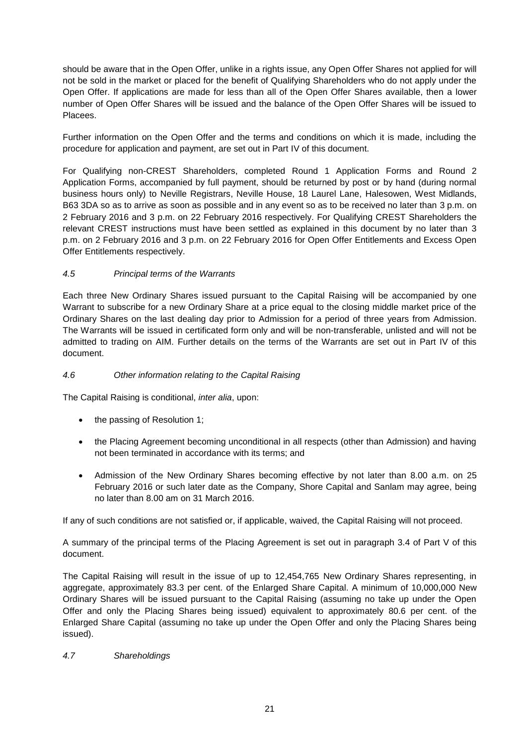should be aware that in the Open Offer, unlike in a rights issue, any Open Offer Shares not applied for will not be sold in the market or placed for the benefit of Qualifying Shareholders who do not apply under the Open Offer. If applications are made for less than all of the Open Offer Shares available, then a lower number of Open Offer Shares will be issued and the balance of the Open Offer Shares will be issued to **Placees** 

Further information on the Open Offer and the terms and conditions on which it is made, including the procedure for application and payment, are set out in Part IV of this document.

For Qualifying non-CREST Shareholders, completed Round 1 Application Forms and Round 2 Application Forms, accompanied by full payment, should be returned by post or by hand (during normal business hours only) to Neville Registrars, Neville House, 18 Laurel Lane, Halesowen, West Midlands, B63 3DA so as to arrive as soon as possible and in any event so as to be received no later than 3 p.m. on 2 February 2016 and 3 p.m. on 22 February 2016 respectively. For Qualifying CREST Shareholders the relevant CREST instructions must have been settled as explained in this document by no later than 3 p.m. on 2 February 2016 and 3 p.m. on 22 February 2016 for Open Offer Entitlements and Excess Open Offer Entitlements respectively.

## *4.5 Principal terms of the Warrants*

Each three New Ordinary Shares issued pursuant to the Capital Raising will be accompanied by one Warrant to subscribe for a new Ordinary Share at a price equal to the closing middle market price of the Ordinary Shares on the last dealing day prior to Admission for a period of three years from Admission. The Warrants will be issued in certificated form only and will be non-transferable, unlisted and will not be admitted to trading on AIM. Further details on the terms of the Warrants are set out in Part IV of this document.

#### *4.6 Other information relating to the Capital Raising*

The Capital Raising is conditional, *inter alia*, upon:

- the passing of Resolution 1;
- the Placing Agreement becoming unconditional in all respects (other than Admission) and having not been terminated in accordance with its terms; and
- Admission of the New Ordinary Shares becoming effective by not later than 8.00 a.m. on 25 February 2016 or such later date as the Company, Shore Capital and Sanlam may agree, being no later than 8.00 am on 31 March 2016.

If any of such conditions are not satisfied or, if applicable, waived, the Capital Raising will not proceed.

A summary of the principal terms of the Placing Agreement is set out in paragraph 3.4 of Part V of this document.

The Capital Raising will result in the issue of up to 12,454,765 New Ordinary Shares representing, in aggregate, approximately 83.3 per cent. of the Enlarged Share Capital. A minimum of 10,000,000 New Ordinary Shares will be issued pursuant to the Capital Raising (assuming no take up under the Open Offer and only the Placing Shares being issued) equivalent to approximately 80.6 per cent. of the Enlarged Share Capital (assuming no take up under the Open Offer and only the Placing Shares being issued).

#### *4.7 Shareholdings*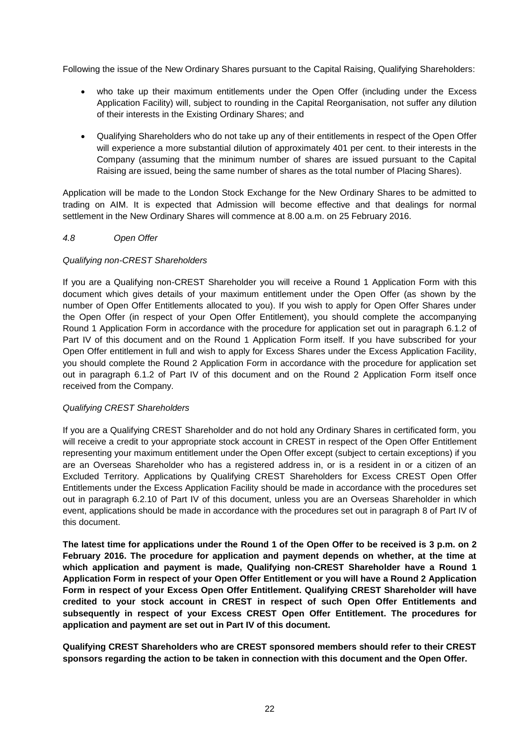Following the issue of the New Ordinary Shares pursuant to the Capital Raising, Qualifying Shareholders:

- who take up their maximum entitlements under the Open Offer (including under the Excess Application Facility) will, subject to rounding in the Capital Reorganisation, not suffer any dilution of their interests in the Existing Ordinary Shares; and
- Qualifying Shareholders who do not take up any of their entitlements in respect of the Open Offer will experience a more substantial dilution of approximately 401 per cent. to their interests in the Company (assuming that the minimum number of shares are issued pursuant to the Capital Raising are issued, being the same number of shares as the total number of Placing Shares).

Application will be made to the London Stock Exchange for the New Ordinary Shares to be admitted to trading on AIM. It is expected that Admission will become effective and that dealings for normal settlement in the New Ordinary Shares will commence at 8.00 a.m. on 25 February 2016.

## *4.8 Open Offer*

## *Qualifying non-CREST Shareholders*

If you are a Qualifying non-CREST Shareholder you will receive a Round 1 Application Form with this document which gives details of your maximum entitlement under the Open Offer (as shown by the number of Open Offer Entitlements allocated to you). If you wish to apply for Open Offer Shares under the Open Offer (in respect of your Open Offer Entitlement), you should complete the accompanying Round 1 Application Form in accordance with the procedure for application set out in paragraph 6.1.2 of Part IV of this document and on the Round 1 Application Form itself. If you have subscribed for your Open Offer entitlement in full and wish to apply for Excess Shares under the Excess Application Facility, you should complete the Round 2 Application Form in accordance with the procedure for application set out in paragraph 6.1.2 of Part IV of this document and on the Round 2 Application Form itself once received from the Company.

#### *Qualifying CREST Shareholders*

If you are a Qualifying CREST Shareholder and do not hold any Ordinary Shares in certificated form, you will receive a credit to your appropriate stock account in CREST in respect of the Open Offer Entitlement representing your maximum entitlement under the Open Offer except (subject to certain exceptions) if you are an Overseas Shareholder who has a registered address in, or is a resident in or a citizen of an Excluded Territory. Applications by Qualifying CREST Shareholders for Excess CREST Open Offer Entitlements under the Excess Application Facility should be made in accordance with the procedures set out in paragraph 6.2.10 of Part IV of this document, unless you are an Overseas Shareholder in which event, applications should be made in accordance with the procedures set out in paragraph 8 of Part IV of this document.

**The latest time for applications under the Round 1 of the Open Offer to be received is 3 p.m. on 2 February 2016. The procedure for application and payment depends on whether, at the time at which application and payment is made, Qualifying non-CREST Shareholder have a Round 1 Application Form in respect of your Open Offer Entitlement or you will have a Round 2 Application Form in respect of your Excess Open Offer Entitlement. Qualifying CREST Shareholder will have credited to your stock account in CREST in respect of such Open Offer Entitlements and subsequently in respect of your Excess CREST Open Offer Entitlement. The procedures for application and payment are set out in Part IV of this document.**

**Qualifying CREST Shareholders who are CREST sponsored members should refer to their CREST sponsors regarding the action to be taken in connection with this document and the Open Offer.**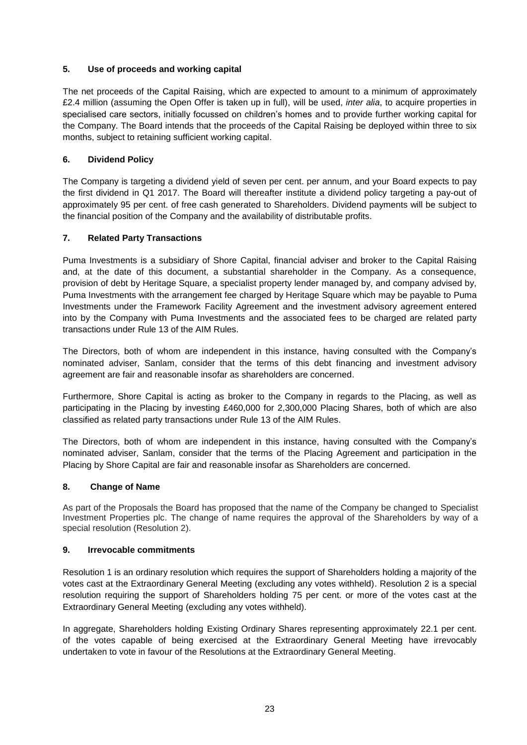## **5. Use of proceeds and working capital**

The net proceeds of the Capital Raising, which are expected to amount to a minimum of approximately £2.4 million (assuming the Open Offer is taken up in full), will be used, *inter alia*, to acquire properties in specialised care sectors, initially focussed on children's homes and to provide further working capital for the Company. The Board intends that the proceeds of the Capital Raising be deployed within three to six months, subject to retaining sufficient working capital.

## **6. Dividend Policy**

The Company is targeting a dividend yield of seven per cent. per annum, and your Board expects to pay the first dividend in Q1 2017. The Board will thereafter institute a dividend policy targeting a pay-out of approximately 95 per cent. of free cash generated to Shareholders. Dividend payments will be subject to the financial position of the Company and the availability of distributable profits.

## **7. Related Party Transactions**

Puma Investments is a subsidiary of Shore Capital, financial adviser and broker to the Capital Raising and, at the date of this document, a substantial shareholder in the Company. As a consequence, provision of debt by Heritage Square, a specialist property lender managed by, and company advised by, Puma Investments with the arrangement fee charged by Heritage Square which may be payable to Puma Investments under the Framework Facility Agreement and the investment advisory agreement entered into by the Company with Puma Investments and the associated fees to be charged are related party transactions under Rule 13 of the AIM Rules.

The Directors, both of whom are independent in this instance, having consulted with the Company's nominated adviser, Sanlam, consider that the terms of this debt financing and investment advisory agreement are fair and reasonable insofar as shareholders are concerned.

Furthermore, Shore Capital is acting as broker to the Company in regards to the Placing, as well as participating in the Placing by investing £460,000 for 2,300,000 Placing Shares, both of which are also classified as related party transactions under Rule 13 of the AIM Rules.

The Directors, both of whom are independent in this instance, having consulted with the Company's nominated adviser, Sanlam, consider that the terms of the Placing Agreement and participation in the Placing by Shore Capital are fair and reasonable insofar as Shareholders are concerned.

#### **8. Change of Name**

As part of the Proposals the Board has proposed that the name of the Company be changed to Specialist Investment Properties plc. The change of name requires the approval of the Shareholders by way of a special resolution (Resolution 2).

#### **9. Irrevocable commitments**

Resolution 1 is an ordinary resolution which requires the support of Shareholders holding a majority of the votes cast at the Extraordinary General Meeting (excluding any votes withheld). Resolution 2 is a special resolution requiring the support of Shareholders holding 75 per cent. or more of the votes cast at the Extraordinary General Meeting (excluding any votes withheld).

In aggregate, Shareholders holding Existing Ordinary Shares representing approximately 22.1 per cent. of the votes capable of being exercised at the Extraordinary General Meeting have irrevocably undertaken to vote in favour of the Resolutions at the Extraordinary General Meeting.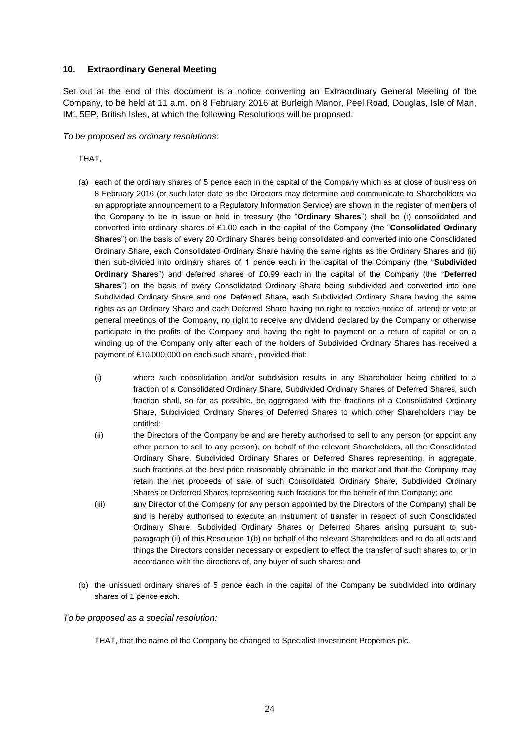#### **10. Extraordinary General Meeting**

Set out at the end of this document is a notice convening an Extraordinary General Meeting of the Company, to be held at 11 a.m. on 8 February 2016 at Burleigh Manor, Peel Road, Douglas, Isle of Man, IM1 5EP, British Isles, at which the following Resolutions will be proposed:

*To be proposed as ordinary resolutions:*

THAT,

- (a) each of the ordinary shares of 5 pence each in the capital of the Company which as at close of business on 8 February 2016 (or such later date as the Directors may determine and communicate to Shareholders via an appropriate announcement to a Regulatory Information Service) are shown in the register of members of the Company to be in issue or held in treasury (the "**Ordinary Shares**") shall be (i) consolidated and converted into ordinary shares of £1.00 each in the capital of the Company (the "**Consolidated Ordinary Shares**") on the basis of every 20 Ordinary Shares being consolidated and converted into one Consolidated Ordinary Share, each Consolidated Ordinary Share having the same rights as the Ordinary Shares and (ii) then sub-divided into ordinary shares of 1 pence each in the capital of the Company (the "**Subdivided Ordinary Shares**") and deferred shares of £0.99 each in the capital of the Company (the "**Deferred Shares**") on the basis of every Consolidated Ordinary Share being subdivided and converted into one Subdivided Ordinary Share and one Deferred Share, each Subdivided Ordinary Share having the same rights as an Ordinary Share and each Deferred Share having no right to receive notice of, attend or vote at general meetings of the Company, no right to receive any dividend declared by the Company or otherwise participate in the profits of the Company and having the right to payment on a return of capital or on a winding up of the Company only after each of the holders of Subdivided Ordinary Shares has received a payment of £10,000,000 on each such share , provided that:
	- (i) where such consolidation and/or subdivision results in any Shareholder being entitled to a fraction of a Consolidated Ordinary Share, Subdivided Ordinary Shares of Deferred Shares, such fraction shall, so far as possible, be aggregated with the fractions of a Consolidated Ordinary Share, Subdivided Ordinary Shares of Deferred Shares to which other Shareholders may be entitled;
	- (ii) the Directors of the Company be and are hereby authorised to sell to any person (or appoint any other person to sell to any person), on behalf of the relevant Shareholders, all the Consolidated Ordinary Share, Subdivided Ordinary Shares or Deferred Shares representing, in aggregate, such fractions at the best price reasonably obtainable in the market and that the Company may retain the net proceeds of sale of such Consolidated Ordinary Share, Subdivided Ordinary Shares or Deferred Shares representing such fractions for the benefit of the Company; and
	- (iii) any Director of the Company (or any person appointed by the Directors of the Company) shall be and is hereby authorised to execute an instrument of transfer in respect of such Consolidated Ordinary Share, Subdivided Ordinary Shares or Deferred Shares arising pursuant to subparagraph (ii) of this Resolution 1(b) on behalf of the relevant Shareholders and to do all acts and things the Directors consider necessary or expedient to effect the transfer of such shares to, or in accordance with the directions of, any buyer of such shares; and
- (b) the unissued ordinary shares of 5 pence each in the capital of the Company be subdivided into ordinary shares of 1 pence each.

#### *To be proposed as a special resolution:*

THAT, that the name of the Company be changed to Specialist Investment Properties plc.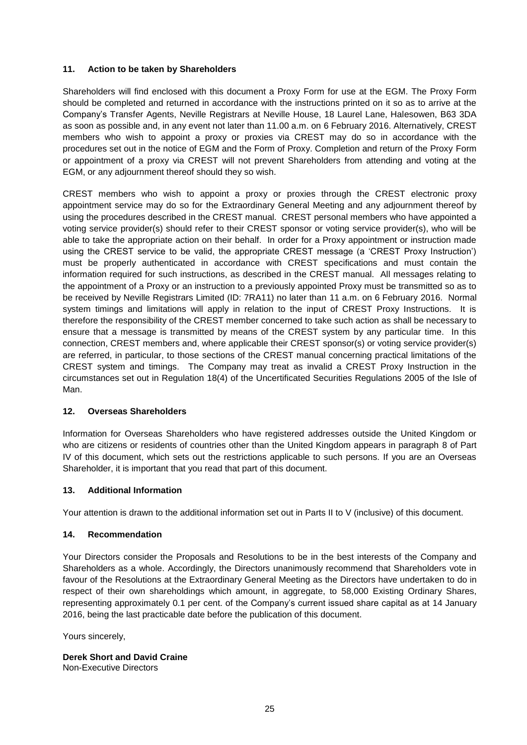## **11. Action to be taken by Shareholders**

Shareholders will find enclosed with this document a Proxy Form for use at the EGM. The Proxy Form should be completed and returned in accordance with the instructions printed on it so as to arrive at the Company's Transfer Agents, Neville Registrars at Neville House, 18 Laurel Lane, Halesowen, B63 3DA as soon as possible and, in any event not later than 11.00 a.m. on 6 February 2016. Alternatively, CREST members who wish to appoint a proxy or proxies via CREST may do so in accordance with the procedures set out in the notice of EGM and the Form of Proxy. Completion and return of the Proxy Form or appointment of a proxy via CREST will not prevent Shareholders from attending and voting at the EGM, or any adjournment thereof should they so wish.

CREST members who wish to appoint a proxy or proxies through the CREST electronic proxy appointment service may do so for the Extraordinary General Meeting and any adjournment thereof by using the procedures described in the CREST manual. CREST personal members who have appointed a voting service provider(s) should refer to their CREST sponsor or voting service provider(s), who will be able to take the appropriate action on their behalf. In order for a Proxy appointment or instruction made using the CREST service to be valid, the appropriate CREST message (a 'CREST Proxy Instruction') must be properly authenticated in accordance with CREST specifications and must contain the information required for such instructions, as described in the CREST manual. All messages relating to the appointment of a Proxy or an instruction to a previously appointed Proxy must be transmitted so as to be received by Neville Registrars Limited (ID: 7RA11) no later than 11 a.m. on 6 February 2016. Normal system timings and limitations will apply in relation to the input of CREST Proxy Instructions. It is therefore the responsibility of the CREST member concerned to take such action as shall be necessary to ensure that a message is transmitted by means of the CREST system by any particular time. In this connection, CREST members and, where applicable their CREST sponsor(s) or voting service provider(s) are referred, in particular, to those sections of the CREST manual concerning practical limitations of the CREST system and timings. The Company may treat as invalid a CREST Proxy Instruction in the circumstances set out in Regulation 18(4) of the Uncertificated Securities Regulations 2005 of the Isle of Man.

## **12. Overseas Shareholders**

Information for Overseas Shareholders who have registered addresses outside the United Kingdom or who are citizens or residents of countries other than the United Kingdom appears in paragraph 8 of Part IV of this document, which sets out the restrictions applicable to such persons. If you are an Overseas Shareholder, it is important that you read that part of this document.

#### **13. Additional Information**

Your attention is drawn to the additional information set out in Parts II to V (inclusive) of this document.

#### **14. Recommendation**

Your Directors consider the Proposals and Resolutions to be in the best interests of the Company and Shareholders as a whole. Accordingly, the Directors unanimously recommend that Shareholders vote in favour of the Resolutions at the Extraordinary General Meeting as the Directors have undertaken to do in respect of their own shareholdings which amount, in aggregate, to 58,000 Existing Ordinary Shares, representing approximately 0.1 per cent. of the Company's current issued share capital as at 14 January 2016, being the last practicable date before the publication of this document.

Yours sincerely,

**Derek Short and David Craine** Non-Executive Directors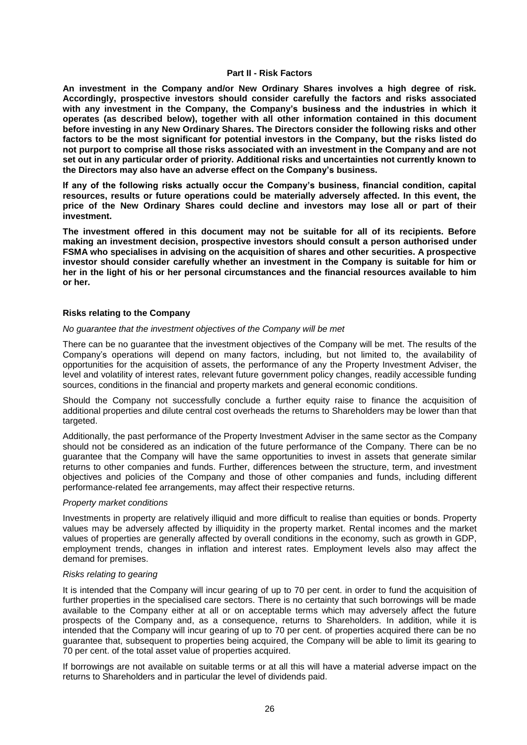#### **Part II - Risk Factors**

**An investment in the Company and/or New Ordinary Shares involves a high degree of risk. Accordingly, prospective investors should consider carefully the factors and risks associated with any investment in the Company, the Company's business and the industries in which it operates (as described below), together with all other information contained in this document before investing in any New Ordinary Shares. The Directors consider the following risks and other factors to be the most significant for potential investors in the Company, but the risks listed do not purport to comprise all those risks associated with an investment in the Company and are not set out in any particular order of priority. Additional risks and uncertainties not currently known to the Directors may also have an adverse effect on the Company's business.**

**If any of the following risks actually occur the Company's business, financial condition, capital resources, results or future operations could be materially adversely affected. In this event, the price of the New Ordinary Shares could decline and investors may lose all or part of their investment.**

**The investment offered in this document may not be suitable for all of its recipients. Before making an investment decision, prospective investors should consult a person authorised under FSMA who specialises in advising on the acquisition of shares and other securities. A prospective investor should consider carefully whether an investment in the Company is suitable for him or her in the light of his or her personal circumstances and the financial resources available to him or her.**

#### **Risks relating to the Company**

#### *No guarantee that the investment objectives of the Company will be met*

There can be no guarantee that the investment objectives of the Company will be met. The results of the Company's operations will depend on many factors, including, but not limited to, the availability of opportunities for the acquisition of assets, the performance of any the Property Investment Adviser, the level and volatility of interest rates, relevant future government policy changes, readily accessible funding sources, conditions in the financial and property markets and general economic conditions.

Should the Company not successfully conclude a further equity raise to finance the acquisition of additional properties and dilute central cost overheads the returns to Shareholders may be lower than that targeted.

Additionally, the past performance of the Property Investment Adviser in the same sector as the Company should not be considered as an indication of the future performance of the Company. There can be no guarantee that the Company will have the same opportunities to invest in assets that generate similar returns to other companies and funds. Further, differences between the structure, term, and investment objectives and policies of the Company and those of other companies and funds, including different performance-related fee arrangements, may affect their respective returns.

#### *Property market conditions*

Investments in property are relatively illiquid and more difficult to realise than equities or bonds. Property values may be adversely affected by illiquidity in the property market. Rental incomes and the market values of properties are generally affected by overall conditions in the economy, such as growth in GDP, employment trends, changes in inflation and interest rates. Employment levels also may affect the demand for premises.

#### *Risks relating to gearing*

It is intended that the Company will incur gearing of up to 70 per cent. in order to fund the acquisition of further properties in the specialised care sectors. There is no certainty that such borrowings will be made available to the Company either at all or on acceptable terms which may adversely affect the future prospects of the Company and, as a consequence, returns to Shareholders. In addition, while it is intended that the Company will incur gearing of up to 70 per cent. of properties acquired there can be no guarantee that, subsequent to properties being acquired, the Company will be able to limit its gearing to 70 per cent. of the total asset value of properties acquired.

If borrowings are not available on suitable terms or at all this will have a material adverse impact on the returns to Shareholders and in particular the level of dividends paid.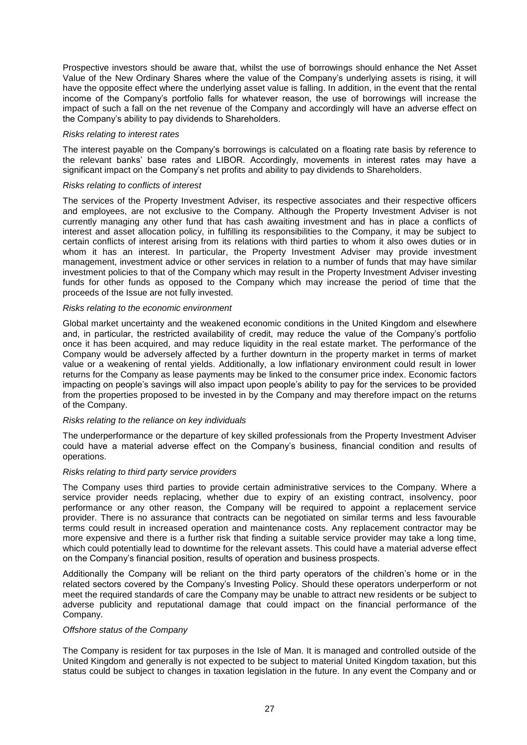Prospective investors should be aware that, whilst the use of borrowings should enhance the Net Asset Value of the New Ordinary Shares where the value of the Company's underlying assets is rising, it will have the opposite effect where the underlying asset value is falling. In addition, in the event that the rental income of the Company's portfolio falls for whatever reason, the use of borrowings will increase the impact of such a fall on the net revenue of the Company and accordingly will have an adverse effect on the Company's ability to pay dividends to Shareholders.

#### *Risks relating to interest rates*

The interest payable on the Company's borrowings is calculated on a floating rate basis by reference to the relevant banks' base rates and LIBOR. Accordingly, movements in interest rates may have a significant impact on the Company's net profits and ability to pay dividends to Shareholders.

#### *Risks relating to conflicts of interest*

The services of the Property Investment Adviser, its respective associates and their respective officers and employees, are not exclusive to the Company. Although the Property Investment Adviser is not currently managing any other fund that has cash awaiting investment and has in place a conflicts of interest and asset allocation policy, in fulfilling its responsibilities to the Company, it may be subject to certain conflicts of interest arising from its relations with third parties to whom it also owes duties or in whom it has an interest. In particular, the Property Investment Adviser may provide investment management, investment advice or other services in relation to a number of funds that may have similar investment policies to that of the Company which may result in the Property Investment Adviser investing funds for other funds as opposed to the Company which may increase the period of time that the proceeds of the Issue are not fully invested.

#### *Risks relating to the economic environment*

Global market uncertainty and the weakened economic conditions in the United Kingdom and elsewhere and, in particular, the restricted availability of credit, may reduce the value of the Company's portfolio once it has been acquired, and may reduce liquidity in the real estate market. The performance of the Company would be adversely affected by a further downturn in the property market in terms of market value or a weakening of rental yields. Additionally, a low inflationary environment could result in lower returns for the Company as lease payments may be linked to the consumer price index. Economic factors impacting on people's savings will also impact upon people's ability to pay for the services to be provided from the properties proposed to be invested in by the Company and may therefore impact on the returns of the Company.

#### *Risks relating to the reliance on key individuals*

The underperformance or the departure of key skilled professionals from the Property Investment Adviser could have a material adverse effect on the Company's business, financial condition and results of operations.

#### *Risks relating to third party service providers*

The Company uses third parties to provide certain administrative services to the Company. Where a service provider needs replacing, whether due to expiry of an existing contract, insolvency, poor performance or any other reason, the Company will be required to appoint a replacement service provider. There is no assurance that contracts can be negotiated on similar terms and less favourable terms could result in increased operation and maintenance costs. Any replacement contractor may be more expensive and there is a further risk that finding a suitable service provider may take a long time, which could potentially lead to downtime for the relevant assets. This could have a material adverse effect on the Company's financial position, results of operation and business prospects.

Additionally the Company will be reliant on the third party operators of the children's home or in the related sectors covered by the Company's Investing Policy. Should these operators underperform or not meet the required standards of care the Company may be unable to attract new residents or be subject to adverse publicity and reputational damage that could impact on the financial performance of the Company.

#### *Offshore status of the Company*

The Company is resident for tax purposes in the Isle of Man. It is managed and controlled outside of the United Kingdom and generally is not expected to be subject to material United Kingdom taxation, but this status could be subject to changes in taxation legislation in the future. In any event the Company and or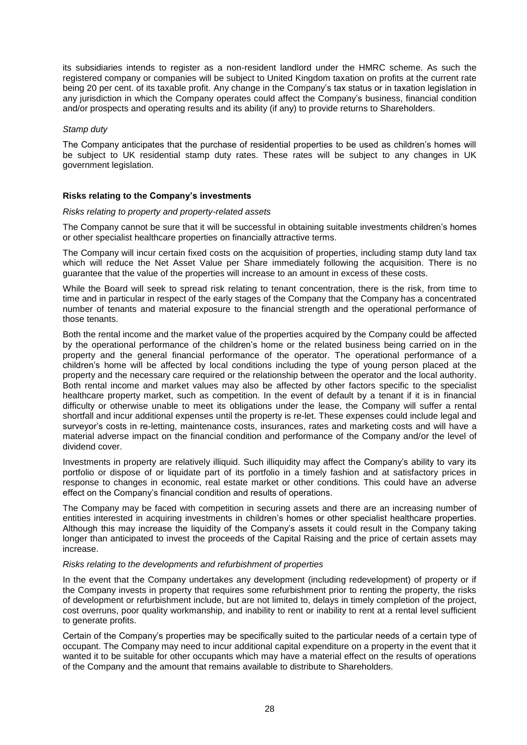its subsidiaries intends to register as a non-resident landlord under the HMRC scheme. As such the registered company or companies will be subject to United Kingdom taxation on profits at the current rate being 20 per cent. of its taxable profit. Any change in the Company's tax status or in taxation legislation in any jurisdiction in which the Company operates could affect the Company's business, financial condition and/or prospects and operating results and its ability (if any) to provide returns to Shareholders.

#### *Stamp duty*

The Company anticipates that the purchase of residential properties to be used as children's homes will be subject to UK residential stamp duty rates. These rates will be subject to any changes in UK government legislation.

#### **Risks relating to the Company's investments**

#### *Risks relating to property and property-related assets*

The Company cannot be sure that it will be successful in obtaining suitable investments children's homes or other specialist healthcare properties on financially attractive terms.

The Company will incur certain fixed costs on the acquisition of properties, including stamp duty land tax which will reduce the Net Asset Value per Share immediately following the acquisition. There is no guarantee that the value of the properties will increase to an amount in excess of these costs.

While the Board will seek to spread risk relating to tenant concentration, there is the risk, from time to time and in particular in respect of the early stages of the Company that the Company has a concentrated number of tenants and material exposure to the financial strength and the operational performance of those tenants.

Both the rental income and the market value of the properties acquired by the Company could be affected by the operational performance of the children's home or the related business being carried on in the property and the general financial performance of the operator. The operational performance of a children's home will be affected by local conditions including the type of young person placed at the property and the necessary care required or the relationship between the operator and the local authority. Both rental income and market values may also be affected by other factors specific to the specialist healthcare property market, such as competition. In the event of default by a tenant if it is in financial difficulty or otherwise unable to meet its obligations under the lease, the Company will suffer a rental shortfall and incur additional expenses until the property is re-let. These expenses could include legal and surveyor's costs in re-letting, maintenance costs, insurances, rates and marketing costs and will have a material adverse impact on the financial condition and performance of the Company and/or the level of dividend cover.

Investments in property are relatively illiquid. Such illiquidity may affect the Company's ability to vary its portfolio or dispose of or liquidate part of its portfolio in a timely fashion and at satisfactory prices in response to changes in economic, real estate market or other conditions. This could have an adverse effect on the Company's financial condition and results of operations.

The Company may be faced with competition in securing assets and there are an increasing number of entities interested in acquiring investments in children's homes or other specialist healthcare properties. Although this may increase the liquidity of the Company's assets it could result in the Company taking longer than anticipated to invest the proceeds of the Capital Raising and the price of certain assets may increase.

#### *Risks relating to the developments and refurbishment of properties*

In the event that the Company undertakes any development (including redevelopment) of property or if the Company invests in property that requires some refurbishment prior to renting the property, the risks of development or refurbishment include, but are not limited to, delays in timely completion of the project, cost overruns, poor quality workmanship, and inability to rent or inability to rent at a rental level sufficient to generate profits.

Certain of the Company's properties may be specifically suited to the particular needs of a certain type of occupant. The Company may need to incur additional capital expenditure on a property in the event that it wanted it to be suitable for other occupants which may have a material effect on the results of operations of the Company and the amount that remains available to distribute to Shareholders.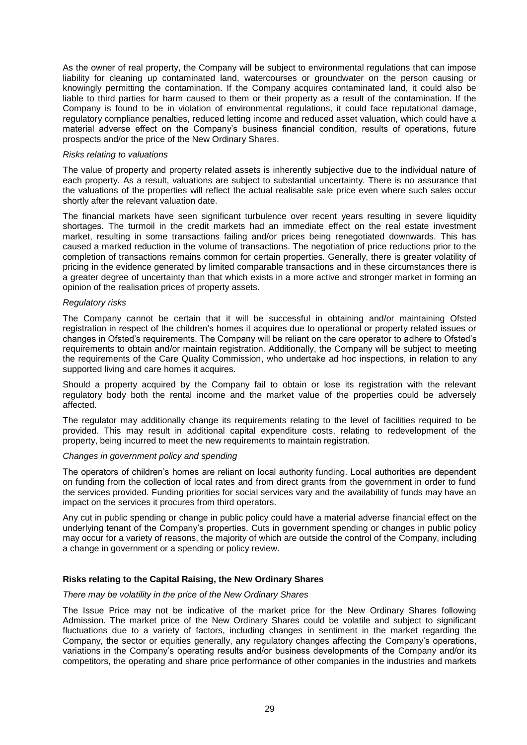As the owner of real property, the Company will be subject to environmental regulations that can impose liability for cleaning up contaminated land, watercourses or groundwater on the person causing or knowingly permitting the contamination. If the Company acquires contaminated land, it could also be liable to third parties for harm caused to them or their property as a result of the contamination. If the Company is found to be in violation of environmental regulations, it could face reputational damage, regulatory compliance penalties, reduced letting income and reduced asset valuation, which could have a material adverse effect on the Company's business financial condition, results of operations, future prospects and/or the price of the New Ordinary Shares.

#### *Risks relating to valuations*

The value of property and property related assets is inherently subjective due to the individual nature of each property. As a result, valuations are subject to substantial uncertainty. There is no assurance that the valuations of the properties will reflect the actual realisable sale price even where such sales occur shortly after the relevant valuation date.

The financial markets have seen significant turbulence over recent years resulting in severe liquidity shortages. The turmoil in the credit markets had an immediate effect on the real estate investment market, resulting in some transactions failing and/or prices being renegotiated downwards. This has caused a marked reduction in the volume of transactions. The negotiation of price reductions prior to the completion of transactions remains common for certain properties. Generally, there is greater volatility of pricing in the evidence generated by limited comparable transactions and in these circumstances there is a greater degree of uncertainty than that which exists in a more active and stronger market in forming an opinion of the realisation prices of property assets.

#### *Regulatory risks*

The Company cannot be certain that it will be successful in obtaining and/or maintaining Ofsted registration in respect of the children's homes it acquires due to operational or property related issues or changes in Ofsted's requirements. The Company will be reliant on the care operator to adhere to Ofsted's requirements to obtain and/or maintain registration. Additionally, the Company will be subject to meeting the requirements of the Care Quality Commission, who undertake ad hoc inspections, in relation to any supported living and care homes it acquires.

Should a property acquired by the Company fail to obtain or lose its registration with the relevant regulatory body both the rental income and the market value of the properties could be adversely affected.

The regulator may additionally change its requirements relating to the level of facilities required to be provided. This may result in additional capital expenditure costs, relating to redevelopment of the property, being incurred to meet the new requirements to maintain registration.

#### *Changes in government policy and spending*

The operators of children's homes are reliant on local authority funding. Local authorities are dependent on funding from the collection of local rates and from direct grants from the government in order to fund the services provided. Funding priorities for social services vary and the availability of funds may have an impact on the services it procures from third operators.

Any cut in public spending or change in public policy could have a material adverse financial effect on the underlying tenant of the Company's properties. Cuts in government spending or changes in public policy may occur for a variety of reasons, the majority of which are outside the control of the Company, including a change in government or a spending or policy review.

#### **Risks relating to the Capital Raising, the New Ordinary Shares**

#### *There may be volatility in the price of the New Ordinary Shares*

The Issue Price may not be indicative of the market price for the New Ordinary Shares following Admission. The market price of the New Ordinary Shares could be volatile and subject to significant fluctuations due to a variety of factors, including changes in sentiment in the market regarding the Company, the sector or equities generally, any regulatory changes affecting the Company's operations, variations in the Company's operating results and/or business developments of the Company and/or its competitors, the operating and share price performance of other companies in the industries and markets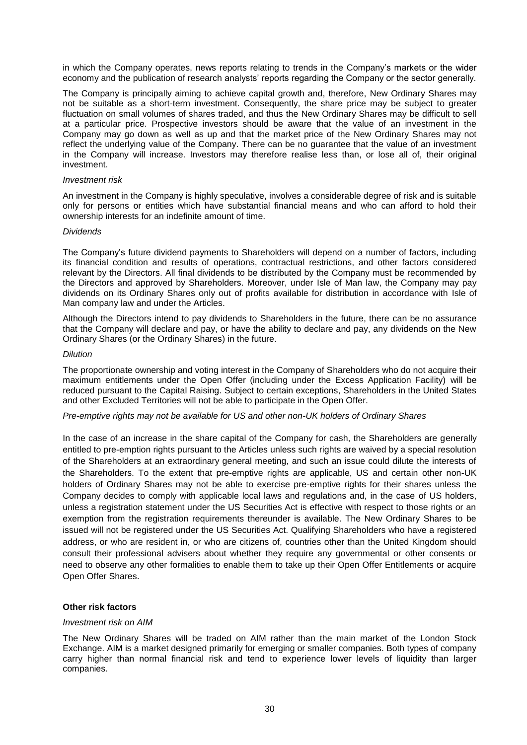in which the Company operates, news reports relating to trends in the Company's markets or the wider economy and the publication of research analysts' reports regarding the Company or the sector generally.

The Company is principally aiming to achieve capital growth and, therefore, New Ordinary Shares may not be suitable as a short-term investment. Consequently, the share price may be subject to greater fluctuation on small volumes of shares traded, and thus the New Ordinary Shares may be difficult to sell at a particular price. Prospective investors should be aware that the value of an investment in the Company may go down as well as up and that the market price of the New Ordinary Shares may not reflect the underlying value of the Company. There can be no guarantee that the value of an investment in the Company will increase. Investors may therefore realise less than, or lose all of, their original investment.

#### *Investment risk*

An investment in the Company is highly speculative, involves a considerable degree of risk and is suitable only for persons or entities which have substantial financial means and who can afford to hold their ownership interests for an indefinite amount of time.

#### *Dividends*

The Company's future dividend payments to Shareholders will depend on a number of factors, including its financial condition and results of operations, contractual restrictions, and other factors considered relevant by the Directors. All final dividends to be distributed by the Company must be recommended by the Directors and approved by Shareholders. Moreover, under Isle of Man law, the Company may pay dividends on its Ordinary Shares only out of profits available for distribution in accordance with Isle of Man company law and under the Articles.

Although the Directors intend to pay dividends to Shareholders in the future, there can be no assurance that the Company will declare and pay, or have the ability to declare and pay, any dividends on the New Ordinary Shares (or the Ordinary Shares) in the future.

#### *Dilution*

The proportionate ownership and voting interest in the Company of Shareholders who do not acquire their maximum entitlements under the Open Offer (including under the Excess Application Facility) will be reduced pursuant to the Capital Raising. Subject to certain exceptions, Shareholders in the United States and other Excluded Territories will not be able to participate in the Open Offer.

#### *Pre-emptive rights may not be available for US and other non-UK holders of Ordinary Shares*

In the case of an increase in the share capital of the Company for cash, the Shareholders are generally entitled to pre-emption rights pursuant to the Articles unless such rights are waived by a special resolution of the Shareholders at an extraordinary general meeting, and such an issue could dilute the interests of the Shareholders. To the extent that pre-emptive rights are applicable, US and certain other non-UK holders of Ordinary Shares may not be able to exercise pre-emptive rights for their shares unless the Company decides to comply with applicable local laws and regulations and, in the case of US holders, unless a registration statement under the US Securities Act is effective with respect to those rights or an exemption from the registration requirements thereunder is available. The New Ordinary Shares to be issued will not be registered under the US Securities Act. Qualifying Shareholders who have a registered address, or who are resident in, or who are citizens of, countries other than the United Kingdom should consult their professional advisers about whether they require any governmental or other consents or need to observe any other formalities to enable them to take up their Open Offer Entitlements or acquire Open Offer Shares.

#### **Other risk factors**

#### *Investment risk on AIM*

The New Ordinary Shares will be traded on AIM rather than the main market of the London Stock Exchange. AIM is a market designed primarily for emerging or smaller companies. Both types of company carry higher than normal financial risk and tend to experience lower levels of liquidity than larger companies.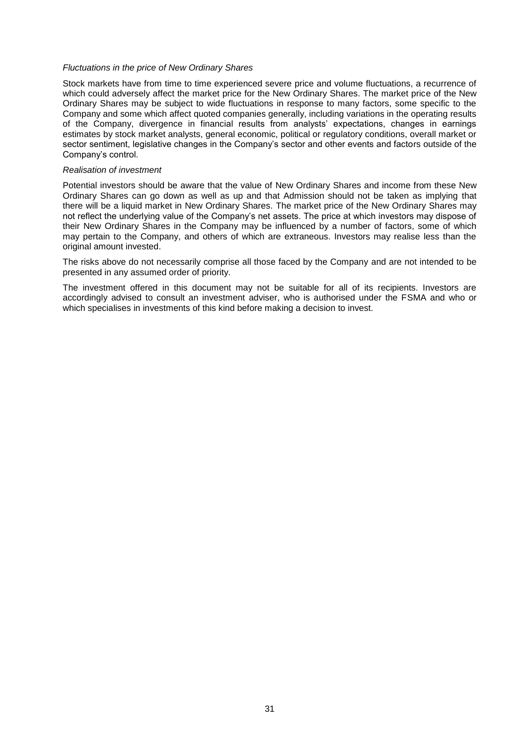#### *Fluctuations in the price of New Ordinary Shares*

Stock markets have from time to time experienced severe price and volume fluctuations, a recurrence of which could adversely affect the market price for the New Ordinary Shares. The market price of the New Ordinary Shares may be subject to wide fluctuations in response to many factors, some specific to the Company and some which affect quoted companies generally, including variations in the operating results of the Company, divergence in financial results from analysts' expectations, changes in earnings estimates by stock market analysts, general economic, political or regulatory conditions, overall market or sector sentiment, legislative changes in the Company's sector and other events and factors outside of the Company's control.

#### *Realisation of investment*

Potential investors should be aware that the value of New Ordinary Shares and income from these New Ordinary Shares can go down as well as up and that Admission should not be taken as implying that there will be a liquid market in New Ordinary Shares. The market price of the New Ordinary Shares may not reflect the underlying value of the Company's net assets. The price at which investors may dispose of their New Ordinary Shares in the Company may be influenced by a number of factors, some of which may pertain to the Company, and others of which are extraneous. Investors may realise less than the original amount invested.

The risks above do not necessarily comprise all those faced by the Company and are not intended to be presented in any assumed order of priority.

The investment offered in this document may not be suitable for all of its recipients. Investors are accordingly advised to consult an investment adviser, who is authorised under the FSMA and who or which specialises in investments of this kind before making a decision to invest.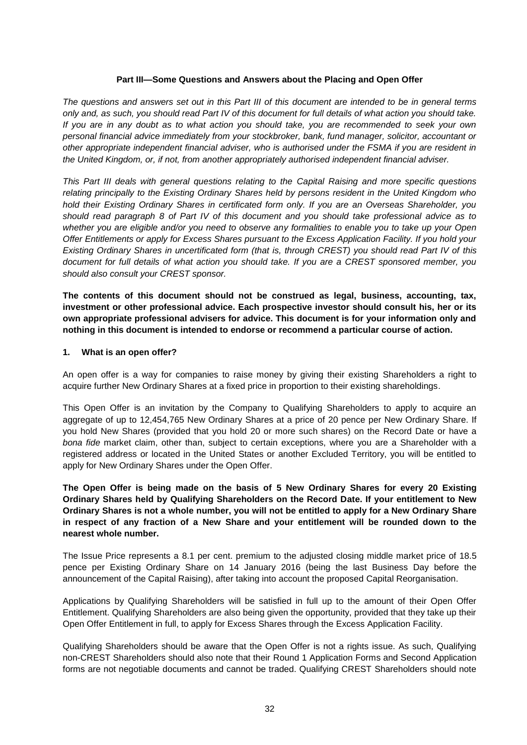#### **Part III—Some Questions and Answers about the Placing and Open Offer**

*The questions and answers set out in this Part III of this document are intended to be in general terms only and, as such, you should read Part IV of this document for full details of what action you should take. If you are in any doubt as to what action you should take, you are recommended to seek your own personal financial advice immediately from your stockbroker, bank, fund manager, solicitor, accountant or other appropriate independent financial adviser, who is authorised under the FSMA if you are resident in the United Kingdom, or, if not, from another appropriately authorised independent financial adviser.*

*This Part III deals with general questions relating to the Capital Raising and more specific questions relating principally to the Existing Ordinary Shares held by persons resident in the United Kingdom who hold their Existing Ordinary Shares in certificated form only. If you are an Overseas Shareholder, you should read paragraph 8 of Part IV of this document and you should take professional advice as to whether you are eligible and/or you need to observe any formalities to enable you to take up your Open Offer Entitlements or apply for Excess Shares pursuant to the Excess Application Facility. If you hold your Existing Ordinary Shares in uncertificated form (that is, through CREST) you should read Part IV of this document for full details of what action you should take. If you are a CREST sponsored member, you should also consult your CREST sponsor.*

**The contents of this document should not be construed as legal, business, accounting, tax, investment or other professional advice. Each prospective investor should consult his, her or its own appropriate professional advisers for advice. This document is for your information only and nothing in this document is intended to endorse or recommend a particular course of action.**

#### **1. What is an open offer?**

An open offer is a way for companies to raise money by giving their existing Shareholders a right to acquire further New Ordinary Shares at a fixed price in proportion to their existing shareholdings.

This Open Offer is an invitation by the Company to Qualifying Shareholders to apply to acquire an aggregate of up to 12,454,765 New Ordinary Shares at a price of 20 pence per New Ordinary Share. If you hold New Shares (provided that you hold 20 or more such shares) on the Record Date or have a *bona fide* market claim, other than, subject to certain exceptions, where you are a Shareholder with a registered address or located in the United States or another Excluded Territory, you will be entitled to apply for New Ordinary Shares under the Open Offer.

**The Open Offer is being made on the basis of 5 New Ordinary Shares for every 20 Existing Ordinary Shares held by Qualifying Shareholders on the Record Date. If your entitlement to New Ordinary Shares is not a whole number, you will not be entitled to apply for a New Ordinary Share in respect of any fraction of a New Share and your entitlement will be rounded down to the nearest whole number.**

The Issue Price represents a 8.1 per cent. premium to the adjusted closing middle market price of 18.5 pence per Existing Ordinary Share on 14 January 2016 (being the last Business Day before the announcement of the Capital Raising), after taking into account the proposed Capital Reorganisation.

Applications by Qualifying Shareholders will be satisfied in full up to the amount of their Open Offer Entitlement. Qualifying Shareholders are also being given the opportunity, provided that they take up their Open Offer Entitlement in full, to apply for Excess Shares through the Excess Application Facility.

Qualifying Shareholders should be aware that the Open Offer is not a rights issue. As such, Qualifying non-CREST Shareholders should also note that their Round 1 Application Forms and Second Application forms are not negotiable documents and cannot be traded. Qualifying CREST Shareholders should note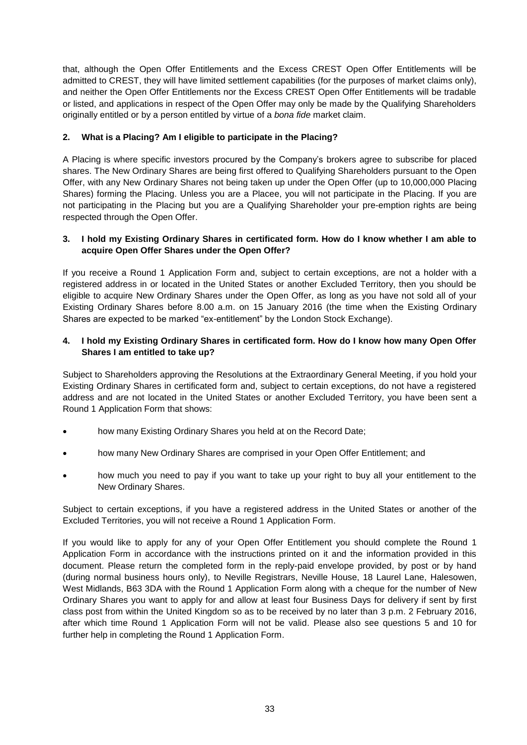that, although the Open Offer Entitlements and the Excess CREST Open Offer Entitlements will be admitted to CREST, they will have limited settlement capabilities (for the purposes of market claims only), and neither the Open Offer Entitlements nor the Excess CREST Open Offer Entitlements will be tradable or listed, and applications in respect of the Open Offer may only be made by the Qualifying Shareholders originally entitled or by a person entitled by virtue of a *bona fide* market claim.

## **2. What is a Placing? Am I eligible to participate in the Placing?**

A Placing is where specific investors procured by the Company's brokers agree to subscribe for placed shares. The New Ordinary Shares are being first offered to Qualifying Shareholders pursuant to the Open Offer, with any New Ordinary Shares not being taken up under the Open Offer (up to 10,000,000 Placing Shares) forming the Placing. Unless you are a Placee, you will not participate in the Placing. If you are not participating in the Placing but you are a Qualifying Shareholder your pre-emption rights are being respected through the Open Offer.

#### **3. I hold my Existing Ordinary Shares in certificated form. How do I know whether I am able to acquire Open Offer Shares under the Open Offer?**

If you receive a Round 1 Application Form and, subject to certain exceptions, are not a holder with a registered address in or located in the United States or another Excluded Territory, then you should be eligible to acquire New Ordinary Shares under the Open Offer, as long as you have not sold all of your Existing Ordinary Shares before 8.00 a.m. on 15 January 2016 (the time when the Existing Ordinary Shares are expected to be marked "ex-entitlement" by the London Stock Exchange).

## **4. I hold my Existing Ordinary Shares in certificated form. How do I know how many Open Offer Shares I am entitled to take up?**

Subject to Shareholders approving the Resolutions at the Extraordinary General Meeting, if you hold your Existing Ordinary Shares in certificated form and, subject to certain exceptions, do not have a registered address and are not located in the United States or another Excluded Territory, you have been sent a Round 1 Application Form that shows:

- how many Existing Ordinary Shares you held at on the Record Date;
- how many New Ordinary Shares are comprised in your Open Offer Entitlement; and
- how much you need to pay if you want to take up your right to buy all your entitlement to the New Ordinary Shares.

Subject to certain exceptions, if you have a registered address in the United States or another of the Excluded Territories, you will not receive a Round 1 Application Form.

If you would like to apply for any of your Open Offer Entitlement you should complete the Round 1 Application Form in accordance with the instructions printed on it and the information provided in this document. Please return the completed form in the reply-paid envelope provided, by post or by hand (during normal business hours only), to Neville Registrars, Neville House, 18 Laurel Lane, Halesowen, West Midlands, B63 3DA with the Round 1 Application Form along with a cheque for the number of New Ordinary Shares you want to apply for and allow at least four Business Days for delivery if sent by first class post from within the United Kingdom so as to be received by no later than 3 p.m. 2 February 2016, after which time Round 1 Application Form will not be valid. Please also see questions 5 and 10 for further help in completing the Round 1 Application Form.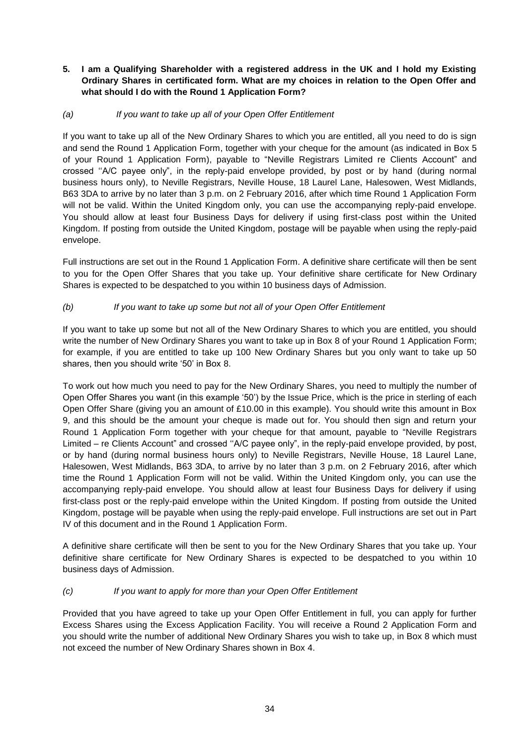## **5. I am a Qualifying Shareholder with a registered address in the UK and I hold my Existing Ordinary Shares in certificated form. What are my choices in relation to the Open Offer and what should I do with the Round 1 Application Form?**

## *(a) If you want to take up all of your Open Offer Entitlement*

If you want to take up all of the New Ordinary Shares to which you are entitled, all you need to do is sign and send the Round 1 Application Form, together with your cheque for the amount (as indicated in Box 5 of your Round 1 Application Form), payable to "Neville Registrars Limited re Clients Account" and crossed ''A/C payee only", in the reply-paid envelope provided, by post or by hand (during normal business hours only), to Neville Registrars, Neville House, 18 Laurel Lane, Halesowen, West Midlands, B63 3DA to arrive by no later than 3 p.m. on 2 February 2016, after which time Round 1 Application Form will not be valid. Within the United Kingdom only, you can use the accompanying reply-paid envelope. You should allow at least four Business Days for delivery if using first-class post within the United Kingdom. If posting from outside the United Kingdom, postage will be payable when using the reply-paid envelope.

Full instructions are set out in the Round 1 Application Form. A definitive share certificate will then be sent to you for the Open Offer Shares that you take up. Your definitive share certificate for New Ordinary Shares is expected to be despatched to you within 10 business days of Admission.

## *(b) If you want to take up some but not all of your Open Offer Entitlement*

If you want to take up some but not all of the New Ordinary Shares to which you are entitled, you should write the number of New Ordinary Shares you want to take up in Box 8 of your Round 1 Application Form; for example, if you are entitled to take up 100 New Ordinary Shares but you only want to take up 50 shares, then you should write '50' in Box 8.

To work out how much you need to pay for the New Ordinary Shares, you need to multiply the number of Open Offer Shares you want (in this example '50') by the Issue Price, which is the price in sterling of each Open Offer Share (giving you an amount of £10.00 in this example). You should write this amount in Box 9, and this should be the amount your cheque is made out for. You should then sign and return your Round 1 Application Form together with your cheque for that amount, payable to "Neville Registrars Limited – re Clients Account" and crossed ''A/C payee only", in the reply-paid envelope provided, by post, or by hand (during normal business hours only) to Neville Registrars, Neville House, 18 Laurel Lane, Halesowen, West Midlands, B63 3DA, to arrive by no later than 3 p.m. on 2 February 2016, after which time the Round 1 Application Form will not be valid. Within the United Kingdom only, you can use the accompanying reply-paid envelope. You should allow at least four Business Days for delivery if using first-class post or the reply-paid envelope within the United Kingdom. If posting from outside the United Kingdom, postage will be payable when using the reply-paid envelope. Full instructions are set out in Part IV of this document and in the Round 1 Application Form.

A definitive share certificate will then be sent to you for the New Ordinary Shares that you take up. Your definitive share certificate for New Ordinary Shares is expected to be despatched to you within 10 business days of Admission.

## *(c) If you want to apply for more than your Open Offer Entitlement*

Provided that you have agreed to take up your Open Offer Entitlement in full, you can apply for further Excess Shares using the Excess Application Facility. You will receive a Round 2 Application Form and you should write the number of additional New Ordinary Shares you wish to take up, in Box 8 which must not exceed the number of New Ordinary Shares shown in Box 4.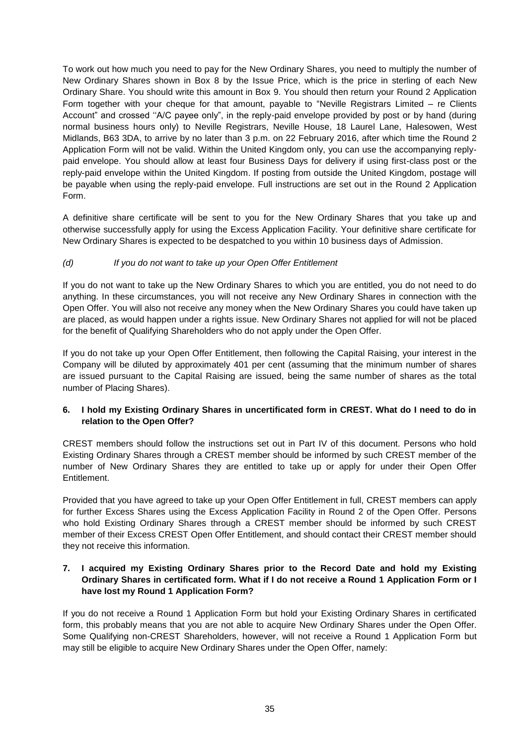To work out how much you need to pay for the New Ordinary Shares, you need to multiply the number of New Ordinary Shares shown in Box 8 by the Issue Price, which is the price in sterling of each New Ordinary Share. You should write this amount in Box 9. You should then return your Round 2 Application Form together with your cheque for that amount, payable to "Neville Registrars Limited – re Clients Account" and crossed ''A/C payee only", in the reply-paid envelope provided by post or by hand (during normal business hours only) to Neville Registrars, Neville House, 18 Laurel Lane, Halesowen, West Midlands, B63 3DA, to arrive by no later than 3 p.m. on 22 February 2016, after which time the Round 2 Application Form will not be valid. Within the United Kingdom only, you can use the accompanying replypaid envelope. You should allow at least four Business Days for delivery if using first-class post or the reply-paid envelope within the United Kingdom. If posting from outside the United Kingdom, postage will be payable when using the reply-paid envelope. Full instructions are set out in the Round 2 Application Form.

A definitive share certificate will be sent to you for the New Ordinary Shares that you take up and otherwise successfully apply for using the Excess Application Facility. Your definitive share certificate for New Ordinary Shares is expected to be despatched to you within 10 business days of Admission.

## *(d) If you do not want to take up your Open Offer Entitlement*

If you do not want to take up the New Ordinary Shares to which you are entitled, you do not need to do anything. In these circumstances, you will not receive any New Ordinary Shares in connection with the Open Offer. You will also not receive any money when the New Ordinary Shares you could have taken up are placed, as would happen under a rights issue. New Ordinary Shares not applied for will not be placed for the benefit of Qualifying Shareholders who do not apply under the Open Offer.

If you do not take up your Open Offer Entitlement, then following the Capital Raising, your interest in the Company will be diluted by approximately 401 per cent (assuming that the minimum number of shares are issued pursuant to the Capital Raising are issued, being the same number of shares as the total number of Placing Shares).

## **6. I hold my Existing Ordinary Shares in uncertificated form in CREST. What do I need to do in relation to the Open Offer?**

CREST members should follow the instructions set out in Part IV of this document. Persons who hold Existing Ordinary Shares through a CREST member should be informed by such CREST member of the number of New Ordinary Shares they are entitled to take up or apply for under their Open Offer Entitlement.

Provided that you have agreed to take up your Open Offer Entitlement in full, CREST members can apply for further Excess Shares using the Excess Application Facility in Round 2 of the Open Offer. Persons who hold Existing Ordinary Shares through a CREST member should be informed by such CREST member of their Excess CREST Open Offer Entitlement, and should contact their CREST member should they not receive this information.

## **7. I acquired my Existing Ordinary Shares prior to the Record Date and hold my Existing Ordinary Shares in certificated form. What if I do not receive a Round 1 Application Form or I have lost my Round 1 Application Form?**

If you do not receive a Round 1 Application Form but hold your Existing Ordinary Shares in certificated form, this probably means that you are not able to acquire New Ordinary Shares under the Open Offer. Some Qualifying non-CREST Shareholders, however, will not receive a Round 1 Application Form but may still be eligible to acquire New Ordinary Shares under the Open Offer, namely: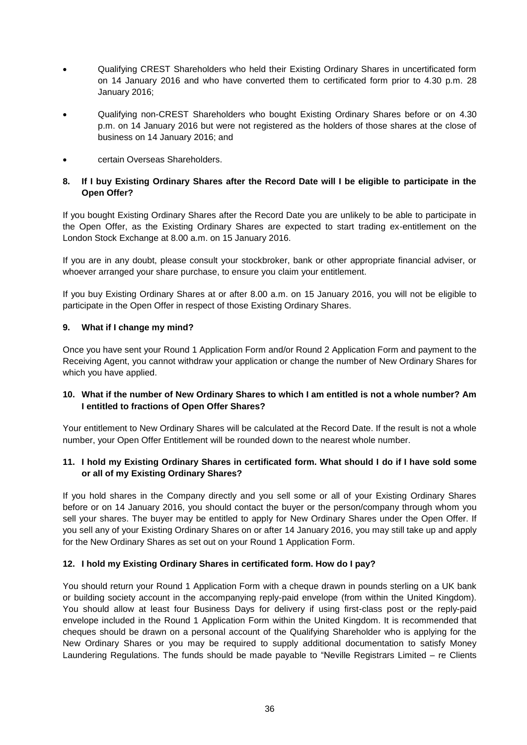- Qualifying CREST Shareholders who held their Existing Ordinary Shares in uncertificated form on 14 January 2016 and who have converted them to certificated form prior to 4.30 p.m. 28 January 2016;
- Qualifying non-CREST Shareholders who bought Existing Ordinary Shares before or on 4.30 p.m. on 14 January 2016 but were not registered as the holders of those shares at the close of business on 14 January 2016; and
- certain Overseas Shareholders.

## **8. If I buy Existing Ordinary Shares after the Record Date will I be eligible to participate in the Open Offer?**

If you bought Existing Ordinary Shares after the Record Date you are unlikely to be able to participate in the Open Offer, as the Existing Ordinary Shares are expected to start trading ex-entitlement on the London Stock Exchange at 8.00 a.m. on 15 January 2016.

If you are in any doubt, please consult your stockbroker, bank or other appropriate financial adviser, or whoever arranged your share purchase, to ensure you claim your entitlement.

If you buy Existing Ordinary Shares at or after 8.00 a.m. on 15 January 2016, you will not be eligible to participate in the Open Offer in respect of those Existing Ordinary Shares.

## **9. What if I change my mind?**

Once you have sent your Round 1 Application Form and/or Round 2 Application Form and payment to the Receiving Agent, you cannot withdraw your application or change the number of New Ordinary Shares for which you have applied.

## **10. What if the number of New Ordinary Shares to which I am entitled is not a whole number? Am I entitled to fractions of Open Offer Shares?**

Your entitlement to New Ordinary Shares will be calculated at the Record Date. If the result is not a whole number, your Open Offer Entitlement will be rounded down to the nearest whole number.

## **11. I hold my Existing Ordinary Shares in certificated form. What should I do if I have sold some or all of my Existing Ordinary Shares?**

If you hold shares in the Company directly and you sell some or all of your Existing Ordinary Shares before or on 14 January 2016, you should contact the buyer or the person/company through whom you sell your shares. The buyer may be entitled to apply for New Ordinary Shares under the Open Offer. If you sell any of your Existing Ordinary Shares on or after 14 January 2016, you may still take up and apply for the New Ordinary Shares as set out on your Round 1 Application Form.

#### **12. I hold my Existing Ordinary Shares in certificated form. How do I pay?**

You should return your Round 1 Application Form with a cheque drawn in pounds sterling on a UK bank or building society account in the accompanying reply-paid envelope (from within the United Kingdom). You should allow at least four Business Days for delivery if using first-class post or the reply-paid envelope included in the Round 1 Application Form within the United Kingdom. It is recommended that cheques should be drawn on a personal account of the Qualifying Shareholder who is applying for the New Ordinary Shares or you may be required to supply additional documentation to satisfy Money Laundering Regulations. The funds should be made payable to "Neville Registrars Limited – re Clients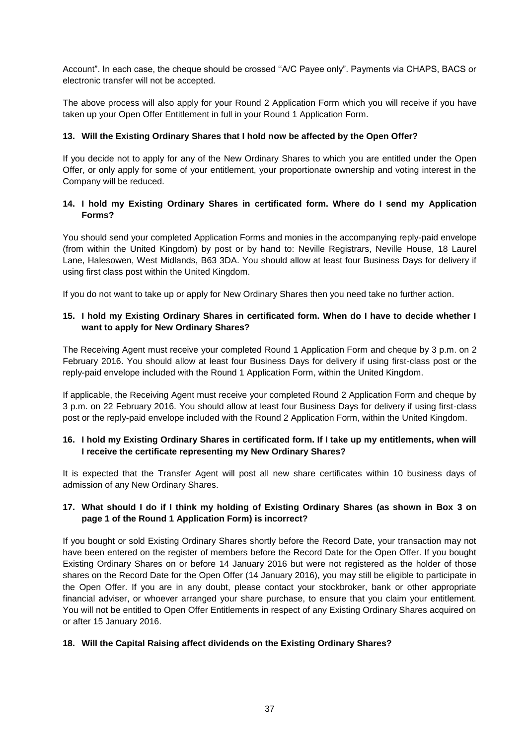Account". In each case, the cheque should be crossed ''A/C Payee only". Payments via CHAPS, BACS or electronic transfer will not be accepted.

The above process will also apply for your Round 2 Application Form which you will receive if you have taken up your Open Offer Entitlement in full in your Round 1 Application Form.

#### **13. Will the Existing Ordinary Shares that I hold now be affected by the Open Offer?**

If you decide not to apply for any of the New Ordinary Shares to which you are entitled under the Open Offer, or only apply for some of your entitlement, your proportionate ownership and voting interest in the Company will be reduced.

#### **14. I hold my Existing Ordinary Shares in certificated form. Where do I send my Application Forms?**

You should send your completed Application Forms and monies in the accompanying reply-paid envelope (from within the United Kingdom) by post or by hand to: Neville Registrars, Neville House, 18 Laurel Lane, Halesowen, West Midlands, B63 3DA. You should allow at least four Business Days for delivery if using first class post within the United Kingdom.

If you do not want to take up or apply for New Ordinary Shares then you need take no further action.

## **15. I hold my Existing Ordinary Shares in certificated form. When do I have to decide whether I want to apply for New Ordinary Shares?**

The Receiving Agent must receive your completed Round 1 Application Form and cheque by 3 p.m. on 2 February 2016. You should allow at least four Business Days for delivery if using first-class post or the reply-paid envelope included with the Round 1 Application Form, within the United Kingdom.

If applicable, the Receiving Agent must receive your completed Round 2 Application Form and cheque by 3 p.m. on 22 February 2016. You should allow at least four Business Days for delivery if using first-class post or the reply-paid envelope included with the Round 2 Application Form, within the United Kingdom.

## **16. I hold my Existing Ordinary Shares in certificated form. If I take up my entitlements, when will I receive the certificate representing my New Ordinary Shares?**

It is expected that the Transfer Agent will post all new share certificates within 10 business days of admission of any New Ordinary Shares.

## **17. What should I do if I think my holding of Existing Ordinary Shares (as shown in Box 3 on page 1 of the Round 1 Application Form) is incorrect?**

If you bought or sold Existing Ordinary Shares shortly before the Record Date, your transaction may not have been entered on the register of members before the Record Date for the Open Offer. If you bought Existing Ordinary Shares on or before 14 January 2016 but were not registered as the holder of those shares on the Record Date for the Open Offer (14 January 2016), you may still be eligible to participate in the Open Offer. If you are in any doubt, please contact your stockbroker, bank or other appropriate financial adviser, or whoever arranged your share purchase, to ensure that you claim your entitlement. You will not be entitled to Open Offer Entitlements in respect of any Existing Ordinary Shares acquired on or after 15 January 2016.

#### **18. Will the Capital Raising affect dividends on the Existing Ordinary Shares?**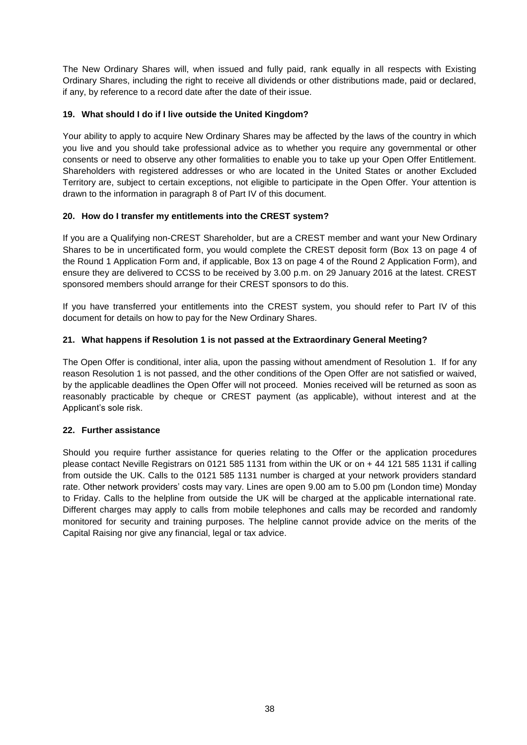The New Ordinary Shares will, when issued and fully paid, rank equally in all respects with Existing Ordinary Shares, including the right to receive all dividends or other distributions made, paid or declared, if any, by reference to a record date after the date of their issue.

#### **19. What should I do if I live outside the United Kingdom?**

Your ability to apply to acquire New Ordinary Shares may be affected by the laws of the country in which you live and you should take professional advice as to whether you require any governmental or other consents or need to observe any other formalities to enable you to take up your Open Offer Entitlement. Shareholders with registered addresses or who are located in the United States or another Excluded Territory are, subject to certain exceptions, not eligible to participate in the Open Offer. Your attention is drawn to the information in paragraph 8 of Part IV of this document.

## **20. How do I transfer my entitlements into the CREST system?**

If you are a Qualifying non-CREST Shareholder, but are a CREST member and want your New Ordinary Shares to be in uncertificated form, you would complete the CREST deposit form (Box 13 on page 4 of the Round 1 Application Form and, if applicable, Box 13 on page 4 of the Round 2 Application Form), and ensure they are delivered to CCSS to be received by 3.00 p.m. on 29 January 2016 at the latest. CREST sponsored members should arrange for their CREST sponsors to do this.

If you have transferred your entitlements into the CREST system, you should refer to Part IV of this document for details on how to pay for the New Ordinary Shares.

## **21. What happens if Resolution 1 is not passed at the Extraordinary General Meeting?**

The Open Offer is conditional, inter alia, upon the passing without amendment of Resolution 1. If for any reason Resolution 1 is not passed, and the other conditions of the Open Offer are not satisfied or waived, by the applicable deadlines the Open Offer will not proceed. Monies received will be returned as soon as reasonably practicable by cheque or CREST payment (as applicable), without interest and at the Applicant's sole risk.

#### **22. Further assistance**

Should you require further assistance for queries relating to the Offer or the application procedures please contact Neville Registrars on 0121 585 1131 from within the UK or on + 44 121 585 1131 if calling from outside the UK. Calls to the 0121 585 1131 number is charged at your network providers standard rate. Other network providers' costs may vary. Lines are open 9.00 am to 5.00 pm (London time) Monday to Friday. Calls to the helpline from outside the UK will be charged at the applicable international rate. Different charges may apply to calls from mobile telephones and calls may be recorded and randomly monitored for security and training purposes. The helpline cannot provide advice on the merits of the Capital Raising nor give any financial, legal or tax advice.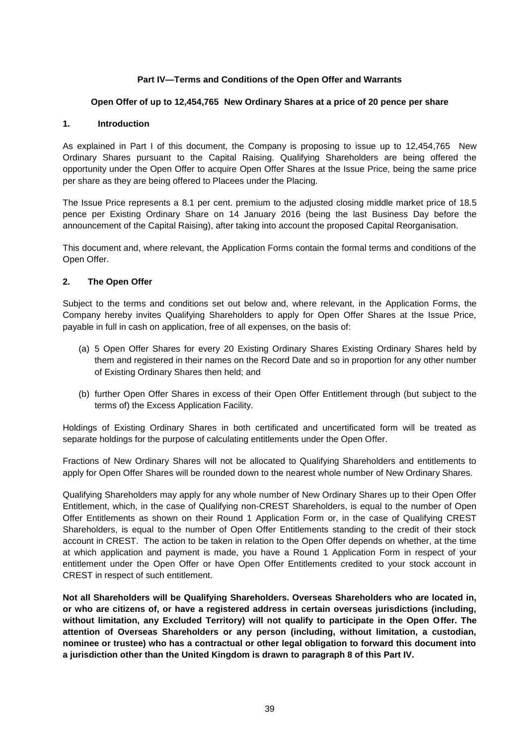## **Part IV—Terms and Conditions of the Open Offer and Warrants**

#### **Open Offer of up to 12,454,765 New Ordinary Shares at a price of 20 pence per share**

#### **1. Introduction**

As explained in Part I of this document, the Company is proposing to issue up to 12,454,765 New Ordinary Shares pursuant to the Capital Raising. Qualifying Shareholders are being offered the opportunity under the Open Offer to acquire Open Offer Shares at the Issue Price, being the same price per share as they are being offered to Placees under the Placing.

The Issue Price represents a 8.1 per cent. premium to the adjusted closing middle market price of 18.5 pence per Existing Ordinary Share on 14 January 2016 (being the last Business Day before the announcement of the Capital Raising), after taking into account the proposed Capital Reorganisation.

This document and, where relevant, the Application Forms contain the formal terms and conditions of the Open Offer.

#### **2. The Open Offer**

Subject to the terms and conditions set out below and, where relevant, in the Application Forms, the Company hereby invites Qualifying Shareholders to apply for Open Offer Shares at the Issue Price, payable in full in cash on application, free of all expenses, on the basis of:

- (a) 5 Open Offer Shares for every 20 Existing Ordinary Shares Existing Ordinary Shares held by them and registered in their names on the Record Date and so in proportion for any other number of Existing Ordinary Shares then held; and
- (b) further Open Offer Shares in excess of their Open Offer Entitlement through (but subject to the terms of) the Excess Application Facility.

Holdings of Existing Ordinary Shares in both certificated and uncertificated form will be treated as separate holdings for the purpose of calculating entitlements under the Open Offer.

Fractions of New Ordinary Shares will not be allocated to Qualifying Shareholders and entitlements to apply for Open Offer Shares will be rounded down to the nearest whole number of New Ordinary Shares.

Qualifying Shareholders may apply for any whole number of New Ordinary Shares up to their Open Offer Entitlement, which, in the case of Qualifying non-CREST Shareholders, is equal to the number of Open Offer Entitlements as shown on their Round 1 Application Form or, in the case of Qualifying CREST Shareholders, is equal to the number of Open Offer Entitlements standing to the credit of their stock account in CREST. The action to be taken in relation to the Open Offer depends on whether, at the time at which application and payment is made, you have a Round 1 Application Form in respect of your entitlement under the Open Offer or have Open Offer Entitlements credited to your stock account in CREST in respect of such entitlement.

**Not all Shareholders will be Qualifying Shareholders. Overseas Shareholders who are located in, or who are citizens of, or have a registered address in certain overseas jurisdictions (including, without limitation, any Excluded Territory) will not qualify to participate in the Open Offer. The attention of Overseas Shareholders or any person (including, without limitation, a custodian, nominee or trustee) who has a contractual or other legal obligation to forward this document into a jurisdiction other than the United Kingdom is drawn to paragraph 8 of this Part IV.**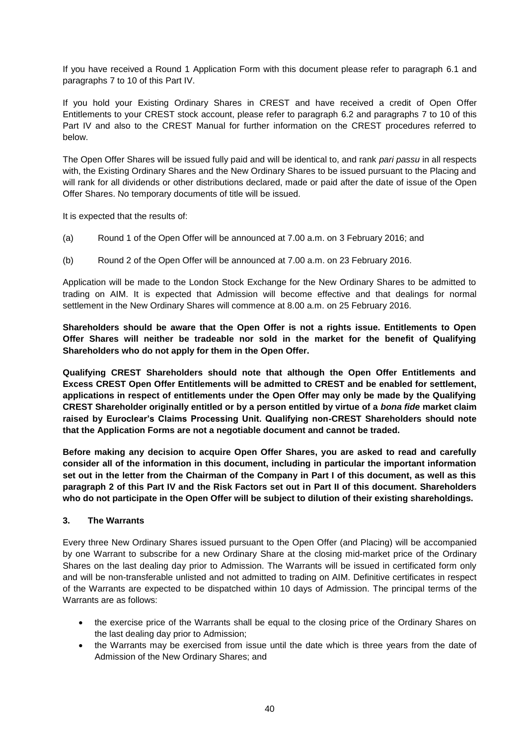If you have received a Round 1 Application Form with this document please refer to paragraph 6.1 and paragraphs 7 to 10 of this Part IV.

If you hold your Existing Ordinary Shares in CREST and have received a credit of Open Offer Entitlements to your CREST stock account, please refer to paragraph 6.2 and paragraphs 7 to 10 of this Part IV and also to the CREST Manual for further information on the CREST procedures referred to below.

The Open Offer Shares will be issued fully paid and will be identical to, and rank *pari passu* in all respects with, the Existing Ordinary Shares and the New Ordinary Shares to be issued pursuant to the Placing and will rank for all dividends or other distributions declared, made or paid after the date of issue of the Open Offer Shares. No temporary documents of title will be issued.

It is expected that the results of:

- (a) Round 1 of the Open Offer will be announced at 7.00 a.m. on 3 February 2016; and
- (b) Round 2 of the Open Offer will be announced at 7.00 a.m. on 23 February 2016.

Application will be made to the London Stock Exchange for the New Ordinary Shares to be admitted to trading on AIM. It is expected that Admission will become effective and that dealings for normal settlement in the New Ordinary Shares will commence at 8.00 a.m. on 25 February 2016.

**Shareholders should be aware that the Open Offer is not a rights issue. Entitlements to Open Offer Shares will neither be tradeable nor sold in the market for the benefit of Qualifying Shareholders who do not apply for them in the Open Offer.**

**Qualifying CREST Shareholders should note that although the Open Offer Entitlements and Excess CREST Open Offer Entitlements will be admitted to CREST and be enabled for settlement, applications in respect of entitlements under the Open Offer may only be made by the Qualifying CREST Shareholder originally entitled or by a person entitled by virtue of a** *bona fide* **market claim raised by Euroclear's Claims Processing Unit. Qualifying non-CREST Shareholders should note that the Application Forms are not a negotiable document and cannot be traded.**

**Before making any decision to acquire Open Offer Shares, you are asked to read and carefully consider all of the information in this document, including in particular the important information set out in the letter from the Chairman of the Company in Part I of this document, as well as this paragraph 2 of this Part IV and the Risk Factors set out in Part II of this document. Shareholders who do not participate in the Open Offer will be subject to dilution of their existing shareholdings.**

#### **3. The Warrants**

Every three New Ordinary Shares issued pursuant to the Open Offer (and Placing) will be accompanied by one Warrant to subscribe for a new Ordinary Share at the closing mid-market price of the Ordinary Shares on the last dealing day prior to Admission. The Warrants will be issued in certificated form only and will be non-transferable unlisted and not admitted to trading on AIM. Definitive certificates in respect of the Warrants are expected to be dispatched within 10 days of Admission. The principal terms of the Warrants are as follows:

- the exercise price of the Warrants shall be equal to the closing price of the Ordinary Shares on the last dealing day prior to Admission;
- the Warrants may be exercised from issue until the date which is three years from the date of Admission of the New Ordinary Shares; and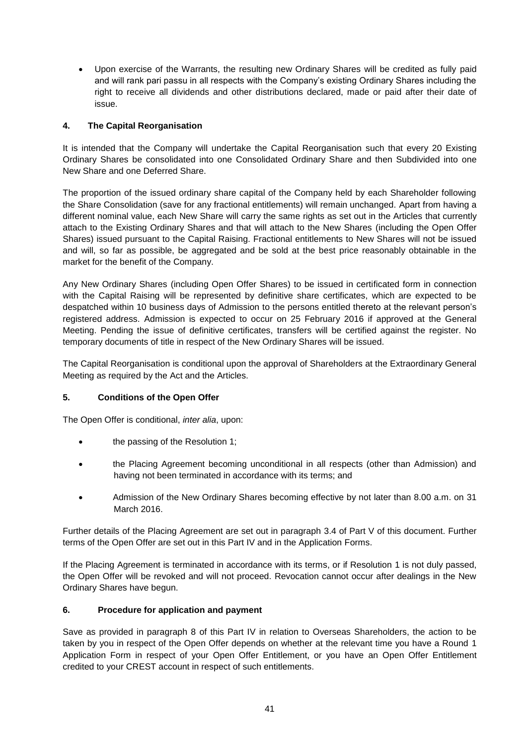Upon exercise of the Warrants, the resulting new Ordinary Shares will be credited as fully paid and will rank pari passu in all respects with the Company's existing Ordinary Shares including the right to receive all dividends and other distributions declared, made or paid after their date of issue.

## **4. The Capital Reorganisation**

It is intended that the Company will undertake the Capital Reorganisation such that every 20 Existing Ordinary Shares be consolidated into one Consolidated Ordinary Share and then Subdivided into one New Share and one Deferred Share.

The proportion of the issued ordinary share capital of the Company held by each Shareholder following the Share Consolidation (save for any fractional entitlements) will remain unchanged. Apart from having a different nominal value, each New Share will carry the same rights as set out in the Articles that currently attach to the Existing Ordinary Shares and that will attach to the New Shares (including the Open Offer Shares) issued pursuant to the Capital Raising. Fractional entitlements to New Shares will not be issued and will, so far as possible, be aggregated and be sold at the best price reasonably obtainable in the market for the benefit of the Company.

Any New Ordinary Shares (including Open Offer Shares) to be issued in certificated form in connection with the Capital Raising will be represented by definitive share certificates, which are expected to be despatched within 10 business days of Admission to the persons entitled thereto at the relevant person's registered address. Admission is expected to occur on 25 February 2016 if approved at the General Meeting. Pending the issue of definitive certificates, transfers will be certified against the register. No temporary documents of title in respect of the New Ordinary Shares will be issued.

The Capital Reorganisation is conditional upon the approval of Shareholders at the Extraordinary General Meeting as required by the Act and the Articles.

#### **5. Conditions of the Open Offer**

The Open Offer is conditional, *inter alia*, upon:

- the passing of the Resolution 1;
- the Placing Agreement becoming unconditional in all respects (other than Admission) and having not been terminated in accordance with its terms; and
- Admission of the New Ordinary Shares becoming effective by not later than 8.00 a.m. on 31 March 2016.

Further details of the Placing Agreement are set out in paragraph 3.4 of Part V of this document. Further terms of the Open Offer are set out in this Part IV and in the Application Forms.

If the Placing Agreement is terminated in accordance with its terms, or if Resolution 1 is not duly passed, the Open Offer will be revoked and will not proceed. Revocation cannot occur after dealings in the New Ordinary Shares have begun.

#### **6. Procedure for application and payment**

Save as provided in paragraph 8 of this Part IV in relation to Overseas Shareholders, the action to be taken by you in respect of the Open Offer depends on whether at the relevant time you have a Round 1 Application Form in respect of your Open Offer Entitlement, or you have an Open Offer Entitlement credited to your CREST account in respect of such entitlements.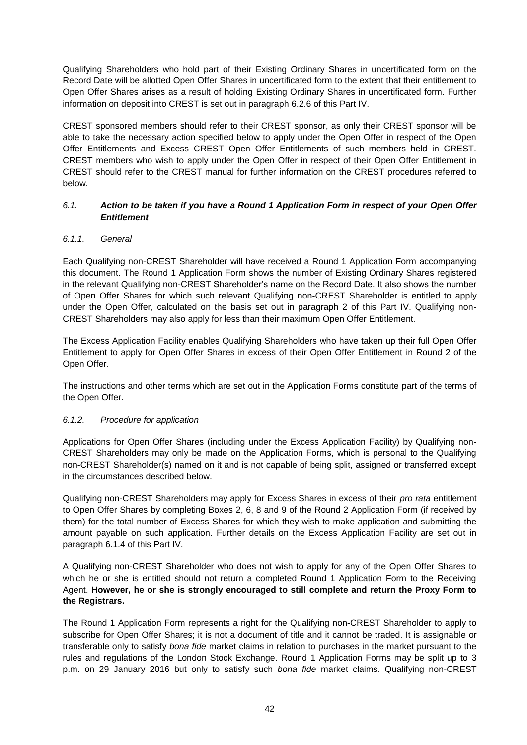Qualifying Shareholders who hold part of their Existing Ordinary Shares in uncertificated form on the Record Date will be allotted Open Offer Shares in uncertificated form to the extent that their entitlement to Open Offer Shares arises as a result of holding Existing Ordinary Shares in uncertificated form. Further information on deposit into CREST is set out in paragraph 6.2.6 of this Part IV.

CREST sponsored members should refer to their CREST sponsor, as only their CREST sponsor will be able to take the necessary action specified below to apply under the Open Offer in respect of the Open Offer Entitlements and Excess CREST Open Offer Entitlements of such members held in CREST. CREST members who wish to apply under the Open Offer in respect of their Open Offer Entitlement in CREST should refer to the CREST manual for further information on the CREST procedures referred to below.

## *6.1. Action to be taken if you have a Round 1 Application Form in respect of your Open Offer Entitlement*

## *6.1.1. General*

Each Qualifying non-CREST Shareholder will have received a Round 1 Application Form accompanying this document. The Round 1 Application Form shows the number of Existing Ordinary Shares registered in the relevant Qualifying non-CREST Shareholder's name on the Record Date. It also shows the number of Open Offer Shares for which such relevant Qualifying non-CREST Shareholder is entitled to apply under the Open Offer, calculated on the basis set out in paragraph 2 of this Part IV. Qualifying non-CREST Shareholders may also apply for less than their maximum Open Offer Entitlement.

The Excess Application Facility enables Qualifying Shareholders who have taken up their full Open Offer Entitlement to apply for Open Offer Shares in excess of their Open Offer Entitlement in Round 2 of the Open Offer.

The instructions and other terms which are set out in the Application Forms constitute part of the terms of the Open Offer.

#### *6.1.2. Procedure for application*

Applications for Open Offer Shares (including under the Excess Application Facility) by Qualifying non-CREST Shareholders may only be made on the Application Forms, which is personal to the Qualifying non-CREST Shareholder(s) named on it and is not capable of being split, assigned or transferred except in the circumstances described below.

Qualifying non-CREST Shareholders may apply for Excess Shares in excess of their *pro rata* entitlement to Open Offer Shares by completing Boxes 2, 6, 8 and 9 of the Round 2 Application Form (if received by them) for the total number of Excess Shares for which they wish to make application and submitting the amount payable on such application. Further details on the Excess Application Facility are set out in paragraph 6.1.4 of this Part IV.

A Qualifying non-CREST Shareholder who does not wish to apply for any of the Open Offer Shares to which he or she is entitled should not return a completed Round 1 Application Form to the Receiving Agent. **However, he or she is strongly encouraged to still complete and return the Proxy Form to the Registrars.**

The Round 1 Application Form represents a right for the Qualifying non-CREST Shareholder to apply to subscribe for Open Offer Shares; it is not a document of title and it cannot be traded. It is assignable or transferable only to satisfy *bona fide* market claims in relation to purchases in the market pursuant to the rules and regulations of the London Stock Exchange. Round 1 Application Forms may be split up to 3 p.m. on 29 January 2016 but only to satisfy such *bona fide* market claims. Qualifying non-CREST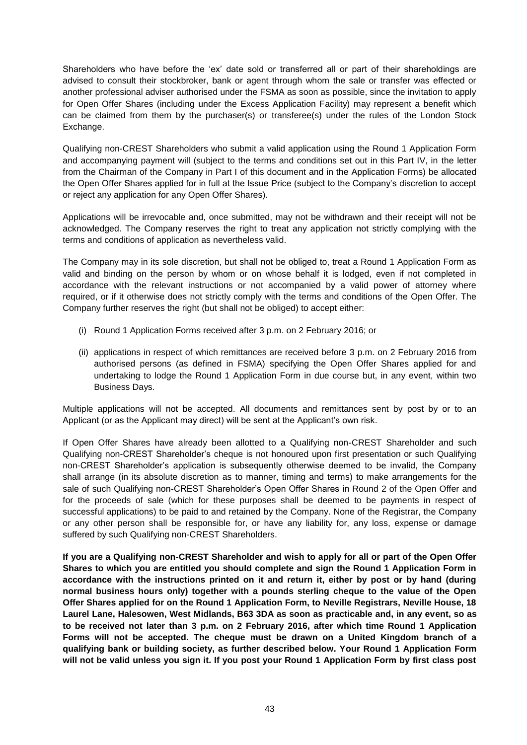Shareholders who have before the 'ex' date sold or transferred all or part of their shareholdings are advised to consult their stockbroker, bank or agent through whom the sale or transfer was effected or another professional adviser authorised under the FSMA as soon as possible, since the invitation to apply for Open Offer Shares (including under the Excess Application Facility) may represent a benefit which can be claimed from them by the purchaser(s) or transferee(s) under the rules of the London Stock Exchange.

Qualifying non-CREST Shareholders who submit a valid application using the Round 1 Application Form and accompanying payment will (subject to the terms and conditions set out in this Part IV, in the letter from the Chairman of the Company in Part I of this document and in the Application Forms) be allocated the Open Offer Shares applied for in full at the Issue Price (subject to the Company's discretion to accept or reject any application for any Open Offer Shares).

Applications will be irrevocable and, once submitted, may not be withdrawn and their receipt will not be acknowledged. The Company reserves the right to treat any application not strictly complying with the terms and conditions of application as nevertheless valid.

The Company may in its sole discretion, but shall not be obliged to, treat a Round 1 Application Form as valid and binding on the person by whom or on whose behalf it is lodged, even if not completed in accordance with the relevant instructions or not accompanied by a valid power of attorney where required, or if it otherwise does not strictly comply with the terms and conditions of the Open Offer. The Company further reserves the right (but shall not be obliged) to accept either:

- (i) Round 1 Application Forms received after 3 p.m. on 2 February 2016; or
- (ii) applications in respect of which remittances are received before 3 p.m. on 2 February 2016 from authorised persons (as defined in FSMA) specifying the Open Offer Shares applied for and undertaking to lodge the Round 1 Application Form in due course but, in any event, within two Business Days.

Multiple applications will not be accepted. All documents and remittances sent by post by or to an Applicant (or as the Applicant may direct) will be sent at the Applicant's own risk.

If Open Offer Shares have already been allotted to a Qualifying non-CREST Shareholder and such Qualifying non-CREST Shareholder's cheque is not honoured upon first presentation or such Qualifying non-CREST Shareholder's application is subsequently otherwise deemed to be invalid, the Company shall arrange (in its absolute discretion as to manner, timing and terms) to make arrangements for the sale of such Qualifying non-CREST Shareholder's Open Offer Shares in Round 2 of the Open Offer and for the proceeds of sale (which for these purposes shall be deemed to be payments in respect of successful applications) to be paid to and retained by the Company. None of the Registrar, the Company or any other person shall be responsible for, or have any liability for, any loss, expense or damage suffered by such Qualifying non-CREST Shareholders.

**If you are a Qualifying non-CREST Shareholder and wish to apply for all or part of the Open Offer Shares to which you are entitled you should complete and sign the Round 1 Application Form in accordance with the instructions printed on it and return it, either by post or by hand (during normal business hours only) together with a pounds sterling cheque to the value of the Open Offer Shares applied for on the Round 1 Application Form, to Neville Registrars, Neville House, 18 Laurel Lane, Halesowen, West Midlands, B63 3DA as soon as practicable and, in any event, so as to be received not later than 3 p.m. on 2 February 2016, after which time Round 1 Application Forms will not be accepted. The cheque must be drawn on a United Kingdom branch of a qualifying bank or building society, as further described below. Your Round 1 Application Form will not be valid unless you sign it. If you post your Round 1 Application Form by first class post**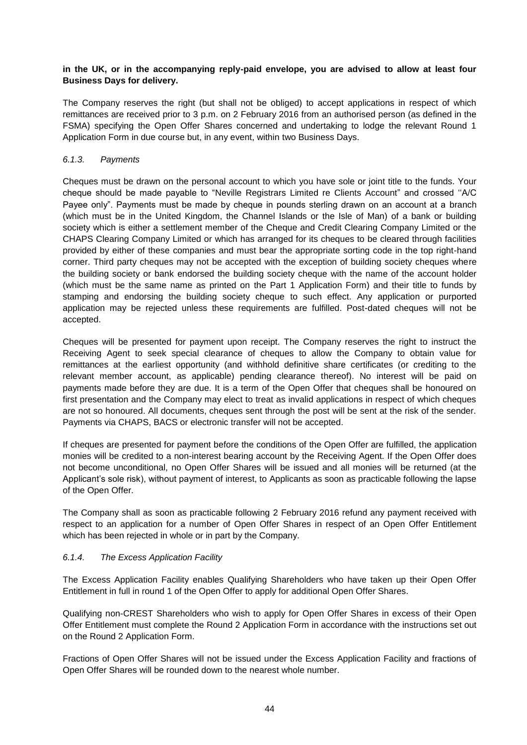#### **in the UK, or in the accompanying reply-paid envelope, you are advised to allow at least four Business Days for delivery.**

The Company reserves the right (but shall not be obliged) to accept applications in respect of which remittances are received prior to 3 p.m. on 2 February 2016 from an authorised person (as defined in the FSMA) specifying the Open Offer Shares concerned and undertaking to lodge the relevant Round 1 Application Form in due course but, in any event, within two Business Days.

## *6.1.3. Payments*

Cheques must be drawn on the personal account to which you have sole or joint title to the funds. Your cheque should be made payable to "Neville Registrars Limited re Clients Account" and crossed ''A/C Payee only". Payments must be made by cheque in pounds sterling drawn on an account at a branch (which must be in the United Kingdom, the Channel Islands or the Isle of Man) of a bank or building society which is either a settlement member of the Cheque and Credit Clearing Company Limited or the CHAPS Clearing Company Limited or which has arranged for its cheques to be cleared through facilities provided by either of these companies and must bear the appropriate sorting code in the top right-hand corner. Third party cheques may not be accepted with the exception of building society cheques where the building society or bank endorsed the building society cheque with the name of the account holder (which must be the same name as printed on the Part 1 Application Form) and their title to funds by stamping and endorsing the building society cheque to such effect. Any application or purported application may be rejected unless these requirements are fulfilled. Post-dated cheques will not be accepted.

Cheques will be presented for payment upon receipt. The Company reserves the right to instruct the Receiving Agent to seek special clearance of cheques to allow the Company to obtain value for remittances at the earliest opportunity (and withhold definitive share certificates (or crediting to the relevant member account, as applicable) pending clearance thereof). No interest will be paid on payments made before they are due. It is a term of the Open Offer that cheques shall be honoured on first presentation and the Company may elect to treat as invalid applications in respect of which cheques are not so honoured. All documents, cheques sent through the post will be sent at the risk of the sender. Payments via CHAPS, BACS or electronic transfer will not be accepted.

If cheques are presented for payment before the conditions of the Open Offer are fulfilled, the application monies will be credited to a non-interest bearing account by the Receiving Agent. If the Open Offer does not become unconditional, no Open Offer Shares will be issued and all monies will be returned (at the Applicant's sole risk), without payment of interest, to Applicants as soon as practicable following the lapse of the Open Offer.

The Company shall as soon as practicable following 2 February 2016 refund any payment received with respect to an application for a number of Open Offer Shares in respect of an Open Offer Entitlement which has been rejected in whole or in part by the Company.

#### *6.1.4. The Excess Application Facility*

The Excess Application Facility enables Qualifying Shareholders who have taken up their Open Offer Entitlement in full in round 1 of the Open Offer to apply for additional Open Offer Shares.

Qualifying non-CREST Shareholders who wish to apply for Open Offer Shares in excess of their Open Offer Entitlement must complete the Round 2 Application Form in accordance with the instructions set out on the Round 2 Application Form.

Fractions of Open Offer Shares will not be issued under the Excess Application Facility and fractions of Open Offer Shares will be rounded down to the nearest whole number.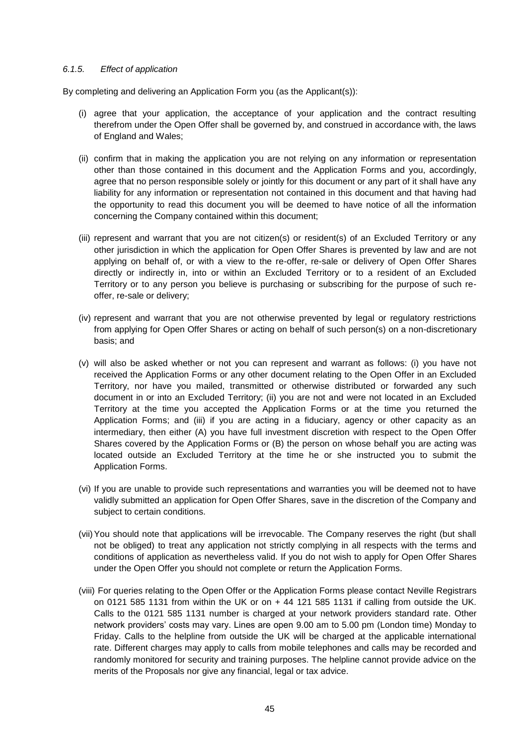#### *6.1.5. Effect of application*

By completing and delivering an Application Form you (as the Applicant(s)):

- (i) agree that your application, the acceptance of your application and the contract resulting therefrom under the Open Offer shall be governed by, and construed in accordance with, the laws of England and Wales;
- (ii) confirm that in making the application you are not relying on any information or representation other than those contained in this document and the Application Forms and you, accordingly, agree that no person responsible solely or jointly for this document or any part of it shall have any liability for any information or representation not contained in this document and that having had the opportunity to read this document you will be deemed to have notice of all the information concerning the Company contained within this document;
- (iii) represent and warrant that you are not citizen(s) or resident(s) of an Excluded Territory or any other jurisdiction in which the application for Open Offer Shares is prevented by law and are not applying on behalf of, or with a view to the re-offer, re-sale or delivery of Open Offer Shares directly or indirectly in, into or within an Excluded Territory or to a resident of an Excluded Territory or to any person you believe is purchasing or subscribing for the purpose of such reoffer, re-sale or delivery;
- (iv) represent and warrant that you are not otherwise prevented by legal or regulatory restrictions from applying for Open Offer Shares or acting on behalf of such person(s) on a non-discretionary basis; and
- (v) will also be asked whether or not you can represent and warrant as follows: (i) you have not received the Application Forms or any other document relating to the Open Offer in an Excluded Territory, nor have you mailed, transmitted or otherwise distributed or forwarded any such document in or into an Excluded Territory; (ii) you are not and were not located in an Excluded Territory at the time you accepted the Application Forms or at the time you returned the Application Forms; and (iii) if you are acting in a fiduciary, agency or other capacity as an intermediary, then either (A) you have full investment discretion with respect to the Open Offer Shares covered by the Application Forms or (B) the person on whose behalf you are acting was located outside an Excluded Territory at the time he or she instructed you to submit the Application Forms.
- (vi) If you are unable to provide such representations and warranties you will be deemed not to have validly submitted an application for Open Offer Shares, save in the discretion of the Company and subject to certain conditions.
- (vii)You should note that applications will be irrevocable. The Company reserves the right (but shall not be obliged) to treat any application not strictly complying in all respects with the terms and conditions of application as nevertheless valid. If you do not wish to apply for Open Offer Shares under the Open Offer you should not complete or return the Application Forms.
- (viii) For queries relating to the Open Offer or the Application Forms please contact Neville Registrars on 0121 585 1131 from within the UK or on  $+ 44$  121 585 1131 if calling from outside the UK. Calls to the 0121 585 1131 number is charged at your network providers standard rate. Other network providers' costs may vary. Lines are open 9.00 am to 5.00 pm (London time) Monday to Friday. Calls to the helpline from outside the UK will be charged at the applicable international rate. Different charges may apply to calls from mobile telephones and calls may be recorded and randomly monitored for security and training purposes. The helpline cannot provide advice on the merits of the Proposals nor give any financial, legal or tax advice.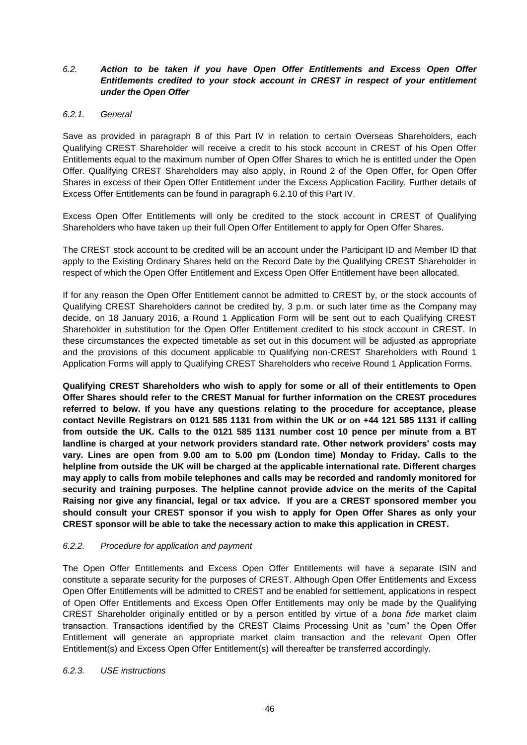## *6.2. Action to be taken if you have Open Offer Entitlements and Excess Open Offer Entitlements credited to your stock account in CREST in respect of your entitlement under the Open Offer*

#### *6.2.1. General*

Save as provided in paragraph 8 of this Part IV in relation to certain Overseas Shareholders, each Qualifying CREST Shareholder will receive a credit to his stock account in CREST of his Open Offer Entitlements equal to the maximum number of Open Offer Shares to which he is entitled under the Open Offer. Qualifying CREST Shareholders may also apply, in Round 2 of the Open Offer, for Open Offer Shares in excess of their Open Offer Entitlement under the Excess Application Facility. Further details of Excess Offer Entitlements can be found in paragraph 6.2.10 of this Part IV.

Excess Open Offer Entitlements will only be credited to the stock account in CREST of Qualifying Shareholders who have taken up their full Open Offer Entitlement to apply for Open Offer Shares.

The CREST stock account to be credited will be an account under the Participant ID and Member ID that apply to the Existing Ordinary Shares held on the Record Date by the Qualifying CREST Shareholder in respect of which the Open Offer Entitlement and Excess Open Offer Entitlement have been allocated.

If for any reason the Open Offer Entitlement cannot be admitted to CREST by, or the stock accounts of Qualifying CREST Shareholders cannot be credited by, 3 p.m. or such later time as the Company may decide, on 18 January 2016, a Round 1 Application Form will be sent out to each Qualifying CREST Shareholder in substitution for the Open Offer Entitlement credited to his stock account in CREST. In these circumstances the expected timetable as set out in this document will be adjusted as appropriate and the provisions of this document applicable to Qualifying non-CREST Shareholders with Round 1 Application Forms will apply to Qualifying CREST Shareholders who receive Round 1 Application Forms.

**Qualifying CREST Shareholders who wish to apply for some or all of their entitlements to Open Offer Shares should refer to the CREST Manual for further information on the CREST procedures referred to below. If you have any questions relating to the procedure for acceptance, please contact Neville Registrars on 0121 585 1131 from within the UK or on +44 121 585 1131 if calling from outside the UK. Calls to the 0121 585 1131 number cost 10 pence per minute from a BT landline is charged at your network providers standard rate. Other network providers' costs may vary. Lines are open from 9.00 am to 5.00 pm (London time) Monday to Friday. Calls to the helpline from outside the UK will be charged at the applicable international rate. Different charges may apply to calls from mobile telephones and calls may be recorded and randomly monitored for security and training purposes. The helpline cannot provide advice on the merits of the Capital Raising nor give any financial, legal or tax advice. If you are a CREST sponsored member you should consult your CREST sponsor if you wish to apply for Open Offer Shares as only your CREST sponsor will be able to take the necessary action to make this application in CREST.**

#### *6.2.2. Procedure for application and payment*

The Open Offer Entitlements and Excess Open Offer Entitlements will have a separate ISIN and constitute a separate security for the purposes of CREST. Although Open Offer Entitlements and Excess Open Offer Entitlements will be admitted to CREST and be enabled for settlement, applications in respect of Open Offer Entitlements and Excess Open Offer Entitlements may only be made by the Qualifying CREST Shareholder originally entitled or by a person entitled by virtue of a *bona fide* market claim transaction. Transactions identified by the CREST Claims Processing Unit as "cum" the Open Offer Entitlement will generate an appropriate market claim transaction and the relevant Open Offer Entitlement(s) and Excess Open Offer Entitlement(s) will thereafter be transferred accordingly.

#### *6.2.3. USE instructions*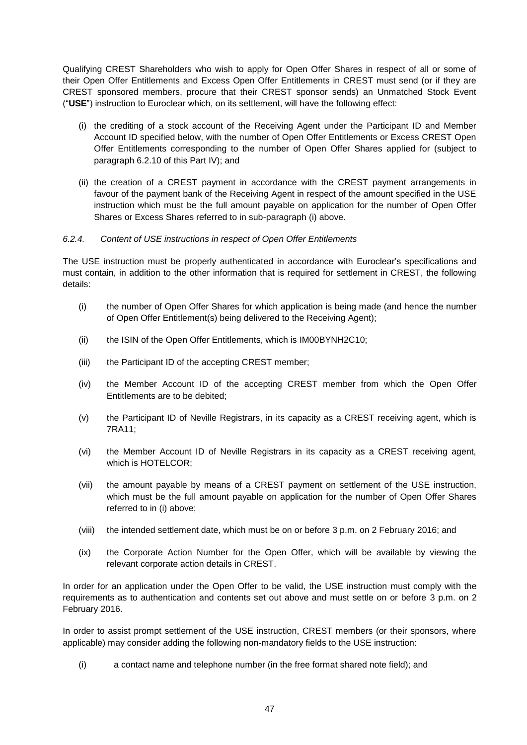Qualifying CREST Shareholders who wish to apply for Open Offer Shares in respect of all or some of their Open Offer Entitlements and Excess Open Offer Entitlements in CREST must send (or if they are CREST sponsored members, procure that their CREST sponsor sends) an Unmatched Stock Event ("**USE**") instruction to Euroclear which, on its settlement, will have the following effect:

- (i) the crediting of a stock account of the Receiving Agent under the Participant ID and Member Account ID specified below, with the number of Open Offer Entitlements or Excess CREST Open Offer Entitlements corresponding to the number of Open Offer Shares applied for (subject to paragraph 6.2.10 of this Part IV); and
- (ii) the creation of a CREST payment in accordance with the CREST payment arrangements in favour of the payment bank of the Receiving Agent in respect of the amount specified in the USE instruction which must be the full amount payable on application for the number of Open Offer Shares or Excess Shares referred to in sub-paragraph (i) above.

#### *6.2.4. Content of USE instructions in respect of Open Offer Entitlements*

The USE instruction must be properly authenticated in accordance with Euroclear's specifications and must contain, in addition to the other information that is required for settlement in CREST, the following details:

- (i) the number of Open Offer Shares for which application is being made (and hence the number of Open Offer Entitlement(s) being delivered to the Receiving Agent);
- (ii) the ISIN of the Open Offer Entitlements, which is IM00BYNH2C10;
- (iii) the Participant ID of the accepting CREST member;
- (iv) the Member Account ID of the accepting CREST member from which the Open Offer Entitlements are to be debited;
- (v) the Participant ID of Neville Registrars, in its capacity as a CREST receiving agent, which is 7RA11;
- (vi) the Member Account ID of Neville Registrars in its capacity as a CREST receiving agent, which is HOTELCOR;
- (vii) the amount payable by means of a CREST payment on settlement of the USE instruction, which must be the full amount payable on application for the number of Open Offer Shares referred to in (i) above;
- (viii) the intended settlement date, which must be on or before 3 p.m. on 2 February 2016; and
- (ix) the Corporate Action Number for the Open Offer, which will be available by viewing the relevant corporate action details in CREST.

In order for an application under the Open Offer to be valid, the USE instruction must comply with the requirements as to authentication and contents set out above and must settle on or before 3 p.m. on 2 February 2016.

In order to assist prompt settlement of the USE instruction, CREST members (or their sponsors, where applicable) may consider adding the following non-mandatory fields to the USE instruction:

(i) a contact name and telephone number (in the free format shared note field); and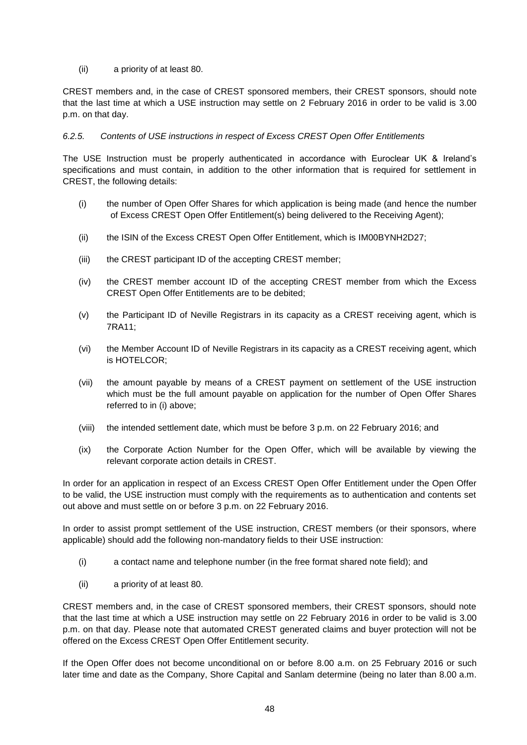(ii) a priority of at least 80.

CREST members and, in the case of CREST sponsored members, their CREST sponsors, should note that the last time at which a USE instruction may settle on 2 February 2016 in order to be valid is 3.00 p.m. on that day.

#### *6.2.5. Contents of USE instructions in respect of Excess CREST Open Offer Entitlements*

The USE Instruction must be properly authenticated in accordance with Euroclear UK & Ireland's specifications and must contain, in addition to the other information that is required for settlement in CREST, the following details:

- (i) the number of Open Offer Shares for which application is being made (and hence the number of Excess CREST Open Offer Entitlement(s) being delivered to the Receiving Agent);
- (ii) the ISIN of the Excess CREST Open Offer Entitlement, which is IM00BYNH2D27;
- (iii) the CREST participant ID of the accepting CREST member;
- (iv) the CREST member account ID of the accepting CREST member from which the Excess CREST Open Offer Entitlements are to be debited;
- (v) the Participant ID of Neville Registrars in its capacity as a CREST receiving agent, which is 7RA11;
- (vi) the Member Account ID of Neville Registrars in its capacity as a CREST receiving agent, which is HOTELCOR;
- (vii) the amount payable by means of a CREST payment on settlement of the USE instruction which must be the full amount payable on application for the number of Open Offer Shares referred to in (i) above;
- (viii) the intended settlement date, which must be before 3 p.m. on 22 February 2016; and
- (ix) the Corporate Action Number for the Open Offer, which will be available by viewing the relevant corporate action details in CREST.

In order for an application in respect of an Excess CREST Open Offer Entitlement under the Open Offer to be valid, the USE instruction must comply with the requirements as to authentication and contents set out above and must settle on or before 3 p.m. on 22 February 2016.

In order to assist prompt settlement of the USE instruction, CREST members (or their sponsors, where applicable) should add the following non-mandatory fields to their USE instruction:

- (i) a contact name and telephone number (in the free format shared note field); and
- (ii) a priority of at least 80.

CREST members and, in the case of CREST sponsored members, their CREST sponsors, should note that the last time at which a USE instruction may settle on 22 February 2016 in order to be valid is 3.00 p.m. on that day. Please note that automated CREST generated claims and buyer protection will not be offered on the Excess CREST Open Offer Entitlement security.

If the Open Offer does not become unconditional on or before 8.00 a.m. on 25 February 2016 or such later time and date as the Company, Shore Capital and Sanlam determine (being no later than 8.00 a.m.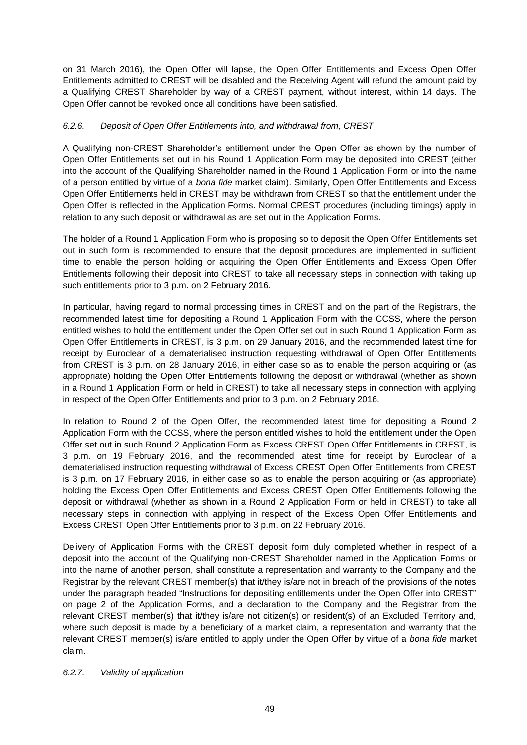on 31 March 2016), the Open Offer will lapse, the Open Offer Entitlements and Excess Open Offer Entitlements admitted to CREST will be disabled and the Receiving Agent will refund the amount paid by a Qualifying CREST Shareholder by way of a CREST payment, without interest, within 14 days. The Open Offer cannot be revoked once all conditions have been satisfied.

## *6.2.6. Deposit of Open Offer Entitlements into, and withdrawal from, CREST*

A Qualifying non-CREST Shareholder's entitlement under the Open Offer as shown by the number of Open Offer Entitlements set out in his Round 1 Application Form may be deposited into CREST (either into the account of the Qualifying Shareholder named in the Round 1 Application Form or into the name of a person entitled by virtue of a *bona fide* market claim). Similarly, Open Offer Entitlements and Excess Open Offer Entitlements held in CREST may be withdrawn from CREST so that the entitlement under the Open Offer is reflected in the Application Forms. Normal CREST procedures (including timings) apply in relation to any such deposit or withdrawal as are set out in the Application Forms.

The holder of a Round 1 Application Form who is proposing so to deposit the Open Offer Entitlements set out in such form is recommended to ensure that the deposit procedures are implemented in sufficient time to enable the person holding or acquiring the Open Offer Entitlements and Excess Open Offer Entitlements following their deposit into CREST to take all necessary steps in connection with taking up such entitlements prior to 3 p.m. on 2 February 2016.

In particular, having regard to normal processing times in CREST and on the part of the Registrars, the recommended latest time for depositing a Round 1 Application Form with the CCSS, where the person entitled wishes to hold the entitlement under the Open Offer set out in such Round 1 Application Form as Open Offer Entitlements in CREST, is 3 p.m. on 29 January 2016, and the recommended latest time for receipt by Euroclear of a dematerialised instruction requesting withdrawal of Open Offer Entitlements from CREST is 3 p.m. on 28 January 2016, in either case so as to enable the person acquiring or (as appropriate) holding the Open Offer Entitlements following the deposit or withdrawal (whether as shown in a Round 1 Application Form or held in CREST) to take all necessary steps in connection with applying in respect of the Open Offer Entitlements and prior to 3 p.m. on 2 February 2016.

In relation to Round 2 of the Open Offer, the recommended latest time for depositing a Round 2 Application Form with the CCSS, where the person entitled wishes to hold the entitlement under the Open Offer set out in such Round 2 Application Form as Excess CREST Open Offer Entitlements in CREST, is 3 p.m. on 19 February 2016, and the recommended latest time for receipt by Euroclear of a dematerialised instruction requesting withdrawal of Excess CREST Open Offer Entitlements from CREST is 3 p.m. on 17 February 2016, in either case so as to enable the person acquiring or (as appropriate) holding the Excess Open Offer Entitlements and Excess CREST Open Offer Entitlements following the deposit or withdrawal (whether as shown in a Round 2 Application Form or held in CREST) to take all necessary steps in connection with applying in respect of the Excess Open Offer Entitlements and Excess CREST Open Offer Entitlements prior to 3 p.m. on 22 February 2016.

Delivery of Application Forms with the CREST deposit form duly completed whether in respect of a deposit into the account of the Qualifying non-CREST Shareholder named in the Application Forms or into the name of another person, shall constitute a representation and warranty to the Company and the Registrar by the relevant CREST member(s) that it/they is/are not in breach of the provisions of the notes under the paragraph headed "Instructions for depositing entitlements under the Open Offer into CREST" on page 2 of the Application Forms, and a declaration to the Company and the Registrar from the relevant CREST member(s) that it/they is/are not citizen(s) or resident(s) of an Excluded Territory and, where such deposit is made by a beneficiary of a market claim, a representation and warranty that the relevant CREST member(s) is/are entitled to apply under the Open Offer by virtue of a *bona fide* market claim.

#### *6.2.7. Validity of application*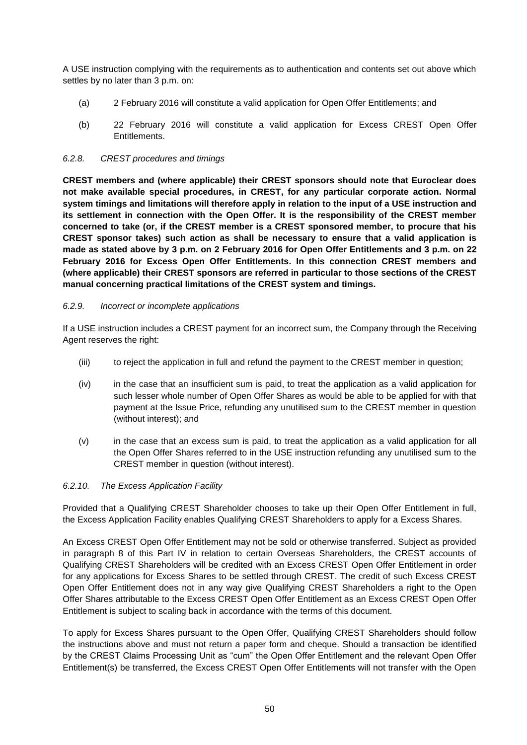A USE instruction complying with the requirements as to authentication and contents set out above which settles by no later than 3 p.m. on:

- (a) 2 February 2016 will constitute a valid application for Open Offer Entitlements; and
- (b) 22 February 2016 will constitute a valid application for Excess CREST Open Offer Entitlements.

#### *6.2.8. CREST procedures and timings*

**CREST members and (where applicable) their CREST sponsors should note that Euroclear does not make available special procedures, in CREST, for any particular corporate action. Normal system timings and limitations will therefore apply in relation to the input of a USE instruction and its settlement in connection with the Open Offer. It is the responsibility of the CREST member concerned to take (or, if the CREST member is a CREST sponsored member, to procure that his CREST sponsor takes) such action as shall be necessary to ensure that a valid application is made as stated above by 3 p.m. on 2 February 2016 for Open Offer Entitlements and 3 p.m. on 22 February 2016 for Excess Open Offer Entitlements. In this connection CREST members and (where applicable) their CREST sponsors are referred in particular to those sections of the CREST manual concerning practical limitations of the CREST system and timings.**

#### *6.2.9. Incorrect or incomplete applications*

If a USE instruction includes a CREST payment for an incorrect sum, the Company through the Receiving Agent reserves the right:

- (iii) to reject the application in full and refund the payment to the CREST member in question;
- (iv) in the case that an insufficient sum is paid, to treat the application as a valid application for such lesser whole number of Open Offer Shares as would be able to be applied for with that payment at the Issue Price, refunding any unutilised sum to the CREST member in question (without interest); and
- (v) in the case that an excess sum is paid, to treat the application as a valid application for all the Open Offer Shares referred to in the USE instruction refunding any unutilised sum to the CREST member in question (without interest).

#### *6.2.10. The Excess Application Facility*

Provided that a Qualifying CREST Shareholder chooses to take up their Open Offer Entitlement in full, the Excess Application Facility enables Qualifying CREST Shareholders to apply for a Excess Shares.

An Excess CREST Open Offer Entitlement may not be sold or otherwise transferred. Subject as provided in paragraph 8 of this Part IV in relation to certain Overseas Shareholders, the CREST accounts of Qualifying CREST Shareholders will be credited with an Excess CREST Open Offer Entitlement in order for any applications for Excess Shares to be settled through CREST. The credit of such Excess CREST Open Offer Entitlement does not in any way give Qualifying CREST Shareholders a right to the Open Offer Shares attributable to the Excess CREST Open Offer Entitlement as an Excess CREST Open Offer Entitlement is subject to scaling back in accordance with the terms of this document.

To apply for Excess Shares pursuant to the Open Offer, Qualifying CREST Shareholders should follow the instructions above and must not return a paper form and cheque. Should a transaction be identified by the CREST Claims Processing Unit as "cum" the Open Offer Entitlement and the relevant Open Offer Entitlement(s) be transferred, the Excess CREST Open Offer Entitlements will not transfer with the Open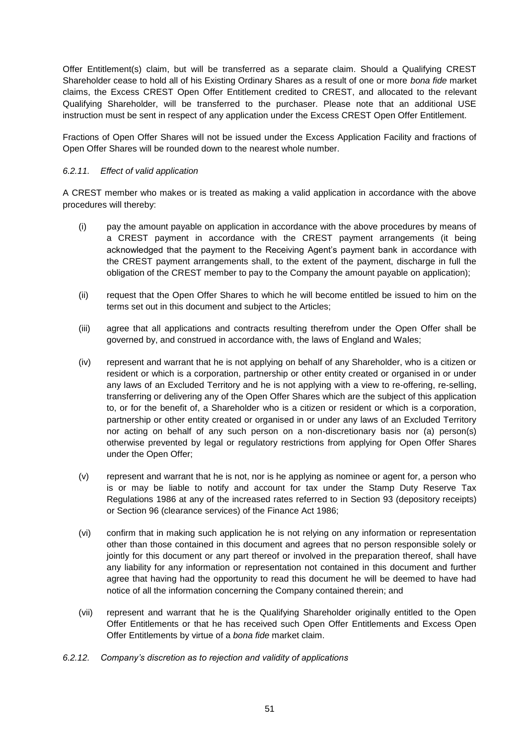Offer Entitlement(s) claim, but will be transferred as a separate claim. Should a Qualifying CREST Shareholder cease to hold all of his Existing Ordinary Shares as a result of one or more *bona fide* market claims, the Excess CREST Open Offer Entitlement credited to CREST, and allocated to the relevant Qualifying Shareholder, will be transferred to the purchaser. Please note that an additional USE instruction must be sent in respect of any application under the Excess CREST Open Offer Entitlement.

Fractions of Open Offer Shares will not be issued under the Excess Application Facility and fractions of Open Offer Shares will be rounded down to the nearest whole number.

#### *6.2.11. Effect of valid application*

A CREST member who makes or is treated as making a valid application in accordance with the above procedures will thereby:

- (i) pay the amount payable on application in accordance with the above procedures by means of a CREST payment in accordance with the CREST payment arrangements (it being acknowledged that the payment to the Receiving Agent's payment bank in accordance with the CREST payment arrangements shall, to the extent of the payment, discharge in full the obligation of the CREST member to pay to the Company the amount payable on application);
- (ii) request that the Open Offer Shares to which he will become entitled be issued to him on the terms set out in this document and subject to the Articles;
- (iii) agree that all applications and contracts resulting therefrom under the Open Offer shall be governed by, and construed in accordance with, the laws of England and Wales;
- (iv) represent and warrant that he is not applying on behalf of any Shareholder, who is a citizen or resident or which is a corporation, partnership or other entity created or organised in or under any laws of an Excluded Territory and he is not applying with a view to re-offering, re-selling, transferring or delivering any of the Open Offer Shares which are the subject of this application to, or for the benefit of, a Shareholder who is a citizen or resident or which is a corporation, partnership or other entity created or organised in or under any laws of an Excluded Territory nor acting on behalf of any such person on a non-discretionary basis nor (a) person(s) otherwise prevented by legal or regulatory restrictions from applying for Open Offer Shares under the Open Offer;
- (v) represent and warrant that he is not, nor is he applying as nominee or agent for, a person who is or may be liable to notify and account for tax under the Stamp Duty Reserve Tax Regulations 1986 at any of the increased rates referred to in Section 93 (depository receipts) or Section 96 (clearance services) of the Finance Act 1986;
- (vi) confirm that in making such application he is not relying on any information or representation other than those contained in this document and agrees that no person responsible solely or jointly for this document or any part thereof or involved in the preparation thereof, shall have any liability for any information or representation not contained in this document and further agree that having had the opportunity to read this document he will be deemed to have had notice of all the information concerning the Company contained therein; and
- (vii) represent and warrant that he is the Qualifying Shareholder originally entitled to the Open Offer Entitlements or that he has received such Open Offer Entitlements and Excess Open Offer Entitlements by virtue of a *bona fide* market claim.
- *6.2.12. Company's discretion as to rejection and validity of applications*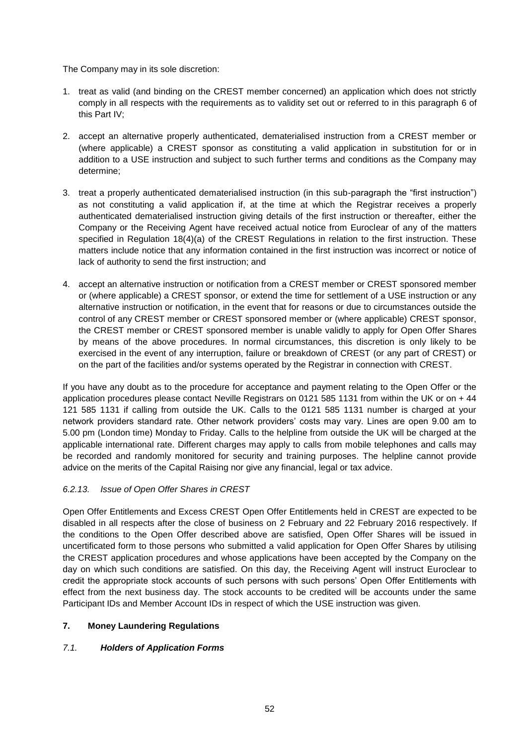The Company may in its sole discretion:

- 1. treat as valid (and binding on the CREST member concerned) an application which does not strictly comply in all respects with the requirements as to validity set out or referred to in this paragraph 6 of this Part IV;
- 2. accept an alternative properly authenticated, dematerialised instruction from a CREST member or (where applicable) a CREST sponsor as constituting a valid application in substitution for or in addition to a USE instruction and subject to such further terms and conditions as the Company may determine;
- 3. treat a properly authenticated dematerialised instruction (in this sub-paragraph the "first instruction") as not constituting a valid application if, at the time at which the Registrar receives a properly authenticated dematerialised instruction giving details of the first instruction or thereafter, either the Company or the Receiving Agent have received actual notice from Euroclear of any of the matters specified in Regulation 18(4)(a) of the CREST Regulations in relation to the first instruction. These matters include notice that any information contained in the first instruction was incorrect or notice of lack of authority to send the first instruction; and
- 4. accept an alternative instruction or notification from a CREST member or CREST sponsored member or (where applicable) a CREST sponsor, or extend the time for settlement of a USE instruction or any alternative instruction or notification, in the event that for reasons or due to circumstances outside the control of any CREST member or CREST sponsored member or (where applicable) CREST sponsor, the CREST member or CREST sponsored member is unable validly to apply for Open Offer Shares by means of the above procedures. In normal circumstances, this discretion is only likely to be exercised in the event of any interruption, failure or breakdown of CREST (or any part of CREST) or on the part of the facilities and/or systems operated by the Registrar in connection with CREST.

If you have any doubt as to the procedure for acceptance and payment relating to the Open Offer or the application procedures please contact Neville Registrars on 0121 585 1131 from within the UK or on + 44 121 585 1131 if calling from outside the UK. Calls to the 0121 585 1131 number is charged at your network providers standard rate. Other network providers' costs may vary. Lines are open 9.00 am to 5.00 pm (London time) Monday to Friday. Calls to the helpline from outside the UK will be charged at the applicable international rate. Different charges may apply to calls from mobile telephones and calls may be recorded and randomly monitored for security and training purposes. The helpline cannot provide advice on the merits of the Capital Raising nor give any financial, legal or tax advice.

## *6.2.13. Issue of Open Offer Shares in CREST*

Open Offer Entitlements and Excess CREST Open Offer Entitlements held in CREST are expected to be disabled in all respects after the close of business on 2 February and 22 February 2016 respectively. If the conditions to the Open Offer described above are satisfied, Open Offer Shares will be issued in uncertificated form to those persons who submitted a valid application for Open Offer Shares by utilising the CREST application procedures and whose applications have been accepted by the Company on the day on which such conditions are satisfied. On this day, the Receiving Agent will instruct Euroclear to credit the appropriate stock accounts of such persons with such persons' Open Offer Entitlements with effect from the next business day. The stock accounts to be credited will be accounts under the same Participant IDs and Member Account IDs in respect of which the USE instruction was given.

## **7. Money Laundering Regulations**

## *7.1. Holders of Application Forms*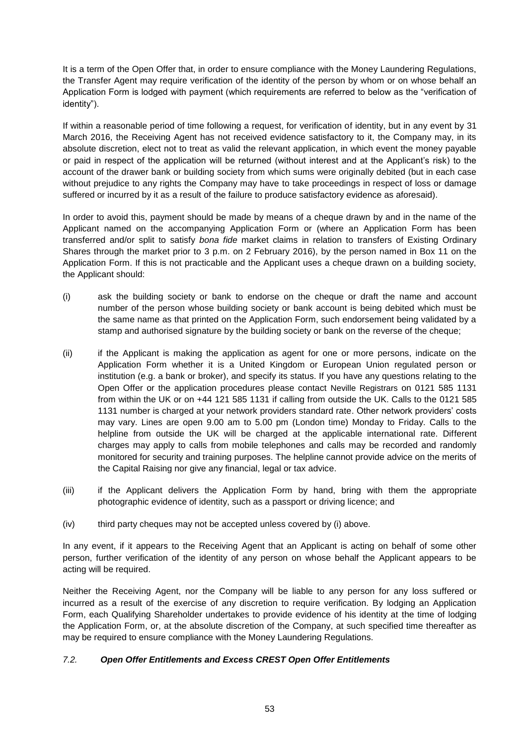It is a term of the Open Offer that, in order to ensure compliance with the Money Laundering Regulations, the Transfer Agent may require verification of the identity of the person by whom or on whose behalf an Application Form is lodged with payment (which requirements are referred to below as the "verification of identity").

If within a reasonable period of time following a request, for verification of identity, but in any event by 31 March 2016, the Receiving Agent has not received evidence satisfactory to it, the Company may, in its absolute discretion, elect not to treat as valid the relevant application, in which event the money payable or paid in respect of the application will be returned (without interest and at the Applicant's risk) to the account of the drawer bank or building society from which sums were originally debited (but in each case without prejudice to any rights the Company may have to take proceedings in respect of loss or damage suffered or incurred by it as a result of the failure to produce satisfactory evidence as aforesaid).

In order to avoid this, payment should be made by means of a cheque drawn by and in the name of the Applicant named on the accompanying Application Form or (where an Application Form has been transferred and/or split to satisfy *bona fide* market claims in relation to transfers of Existing Ordinary Shares through the market prior to 3 p.m. on 2 February 2016), by the person named in Box 11 on the Application Form. If this is not practicable and the Applicant uses a cheque drawn on a building society, the Applicant should:

- (i) ask the building society or bank to endorse on the cheque or draft the name and account number of the person whose building society or bank account is being debited which must be the same name as that printed on the Application Form, such endorsement being validated by a stamp and authorised signature by the building society or bank on the reverse of the cheque;
- (ii) if the Applicant is making the application as agent for one or more persons, indicate on the Application Form whether it is a United Kingdom or European Union regulated person or institution (e.g. a bank or broker), and specify its status. If you have any questions relating to the Open Offer or the application procedures please contact Neville Registrars on 0121 585 1131 from within the UK or on +44 121 585 1131 if calling from outside the UK. Calls to the 0121 585 1131 number is charged at your network providers standard rate. Other network providers' costs may vary. Lines are open 9.00 am to 5.00 pm (London time) Monday to Friday. Calls to the helpline from outside the UK will be charged at the applicable international rate. Different charges may apply to calls from mobile telephones and calls may be recorded and randomly monitored for security and training purposes. The helpline cannot provide advice on the merits of the Capital Raising nor give any financial, legal or tax advice.
- (iii) if the Applicant delivers the Application Form by hand, bring with them the appropriate photographic evidence of identity, such as a passport or driving licence; and
- (iv) third party cheques may not be accepted unless covered by (i) above.

In any event, if it appears to the Receiving Agent that an Applicant is acting on behalf of some other person, further verification of the identity of any person on whose behalf the Applicant appears to be acting will be required.

Neither the Receiving Agent, nor the Company will be liable to any person for any loss suffered or incurred as a result of the exercise of any discretion to require verification. By lodging an Application Form, each Qualifying Shareholder undertakes to provide evidence of his identity at the time of lodging the Application Form, or, at the absolute discretion of the Company, at such specified time thereafter as may be required to ensure compliance with the Money Laundering Regulations.

## *7.2. Open Offer Entitlements and Excess CREST Open Offer Entitlements*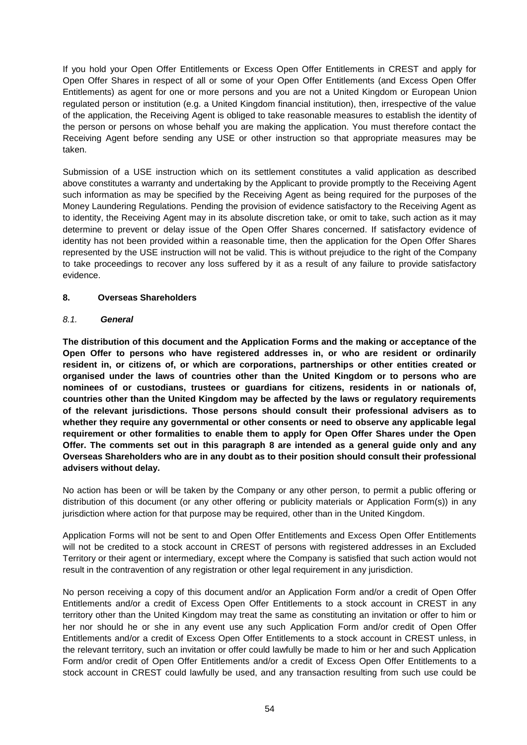If you hold your Open Offer Entitlements or Excess Open Offer Entitlements in CREST and apply for Open Offer Shares in respect of all or some of your Open Offer Entitlements (and Excess Open Offer Entitlements) as agent for one or more persons and you are not a United Kingdom or European Union regulated person or institution (e.g. a United Kingdom financial institution), then, irrespective of the value of the application, the Receiving Agent is obliged to take reasonable measures to establish the identity of the person or persons on whose behalf you are making the application. You must therefore contact the Receiving Agent before sending any USE or other instruction so that appropriate measures may be taken.

Submission of a USE instruction which on its settlement constitutes a valid application as described above constitutes a warranty and undertaking by the Applicant to provide promptly to the Receiving Agent such information as may be specified by the Receiving Agent as being required for the purposes of the Money Laundering Regulations. Pending the provision of evidence satisfactory to the Receiving Agent as to identity, the Receiving Agent may in its absolute discretion take, or omit to take, such action as it may determine to prevent or delay issue of the Open Offer Shares concerned. If satisfactory evidence of identity has not been provided within a reasonable time, then the application for the Open Offer Shares represented by the USE instruction will not be valid. This is without prejudice to the right of the Company to take proceedings to recover any loss suffered by it as a result of any failure to provide satisfactory evidence.

## **8. Overseas Shareholders**

## *8.1. General*

**The distribution of this document and the Application Forms and the making or acceptance of the Open Offer to persons who have registered addresses in, or who are resident or ordinarily resident in, or citizens of, or which are corporations, partnerships or other entities created or organised under the laws of countries other than the United Kingdom or to persons who are nominees of or custodians, trustees or guardians for citizens, residents in or nationals of, countries other than the United Kingdom may be affected by the laws or regulatory requirements of the relevant jurisdictions. Those persons should consult their professional advisers as to whether they require any governmental or other consents or need to observe any applicable legal requirement or other formalities to enable them to apply for Open Offer Shares under the Open Offer. The comments set out in this paragraph 8 are intended as a general guide only and any Overseas Shareholders who are in any doubt as to their position should consult their professional advisers without delay.**

No action has been or will be taken by the Company or any other person, to permit a public offering or distribution of this document (or any other offering or publicity materials or Application Form(s)) in any jurisdiction where action for that purpose may be required, other than in the United Kingdom.

Application Forms will not be sent to and Open Offer Entitlements and Excess Open Offer Entitlements will not be credited to a stock account in CREST of persons with registered addresses in an Excluded Territory or their agent or intermediary, except where the Company is satisfied that such action would not result in the contravention of any registration or other legal requirement in any jurisdiction.

No person receiving a copy of this document and/or an Application Form and/or a credit of Open Offer Entitlements and/or a credit of Excess Open Offer Entitlements to a stock account in CREST in any territory other than the United Kingdom may treat the same as constituting an invitation or offer to him or her nor should he or she in any event use any such Application Form and/or credit of Open Offer Entitlements and/or a credit of Excess Open Offer Entitlements to a stock account in CREST unless, in the relevant territory, such an invitation or offer could lawfully be made to him or her and such Application Form and/or credit of Open Offer Entitlements and/or a credit of Excess Open Offer Entitlements to a stock account in CREST could lawfully be used, and any transaction resulting from such use could be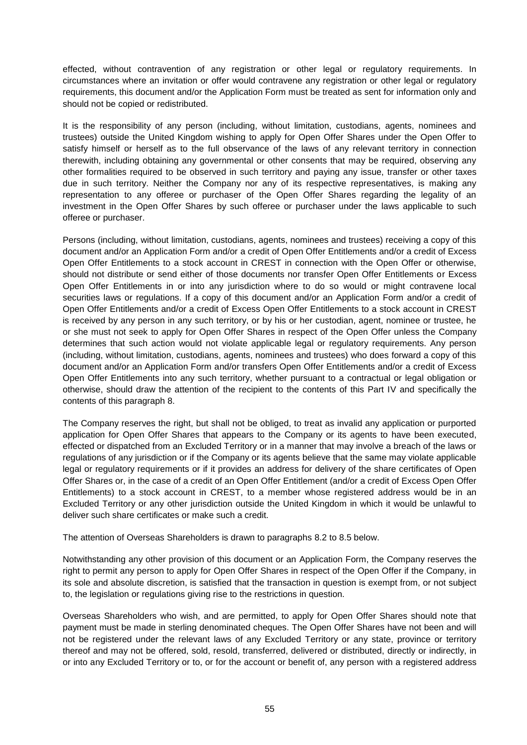effected, without contravention of any registration or other legal or regulatory requirements. In circumstances where an invitation or offer would contravene any registration or other legal or regulatory requirements, this document and/or the Application Form must be treated as sent for information only and should not be copied or redistributed.

It is the responsibility of any person (including, without limitation, custodians, agents, nominees and trustees) outside the United Kingdom wishing to apply for Open Offer Shares under the Open Offer to satisfy himself or herself as to the full observance of the laws of any relevant territory in connection therewith, including obtaining any governmental or other consents that may be required, observing any other formalities required to be observed in such territory and paying any issue, transfer or other taxes due in such territory. Neither the Company nor any of its respective representatives, is making any representation to any offeree or purchaser of the Open Offer Shares regarding the legality of an investment in the Open Offer Shares by such offeree or purchaser under the laws applicable to such offeree or purchaser.

Persons (including, without limitation, custodians, agents, nominees and trustees) receiving a copy of this document and/or an Application Form and/or a credit of Open Offer Entitlements and/or a credit of Excess Open Offer Entitlements to a stock account in CREST in connection with the Open Offer or otherwise, should not distribute or send either of those documents nor transfer Open Offer Entitlements or Excess Open Offer Entitlements in or into any jurisdiction where to do so would or might contravene local securities laws or regulations. If a copy of this document and/or an Application Form and/or a credit of Open Offer Entitlements and/or a credit of Excess Open Offer Entitlements to a stock account in CREST is received by any person in any such territory, or by his or her custodian, agent, nominee or trustee, he or she must not seek to apply for Open Offer Shares in respect of the Open Offer unless the Company determines that such action would not violate applicable legal or regulatory requirements. Any person (including, without limitation, custodians, agents, nominees and trustees) who does forward a copy of this document and/or an Application Form and/or transfers Open Offer Entitlements and/or a credit of Excess Open Offer Entitlements into any such territory, whether pursuant to a contractual or legal obligation or otherwise, should draw the attention of the recipient to the contents of this Part IV and specifically the contents of this paragraph 8.

The Company reserves the right, but shall not be obliged, to treat as invalid any application or purported application for Open Offer Shares that appears to the Company or its agents to have been executed, effected or dispatched from an Excluded Territory or in a manner that may involve a breach of the laws or regulations of any jurisdiction or if the Company or its agents believe that the same may violate applicable legal or regulatory requirements or if it provides an address for delivery of the share certificates of Open Offer Shares or, in the case of a credit of an Open Offer Entitlement (and/or a credit of Excess Open Offer Entitlements) to a stock account in CREST, to a member whose registered address would be in an Excluded Territory or any other jurisdiction outside the United Kingdom in which it would be unlawful to deliver such share certificates or make such a credit.

The attention of Overseas Shareholders is drawn to paragraphs 8.2 to 8.5 below.

Notwithstanding any other provision of this document or an Application Form, the Company reserves the right to permit any person to apply for Open Offer Shares in respect of the Open Offer if the Company, in its sole and absolute discretion, is satisfied that the transaction in question is exempt from, or not subject to, the legislation or regulations giving rise to the restrictions in question.

Overseas Shareholders who wish, and are permitted, to apply for Open Offer Shares should note that payment must be made in sterling denominated cheques. The Open Offer Shares have not been and will not be registered under the relevant laws of any Excluded Territory or any state, province or territory thereof and may not be offered, sold, resold, transferred, delivered or distributed, directly or indirectly, in or into any Excluded Territory or to, or for the account or benefit of, any person with a registered address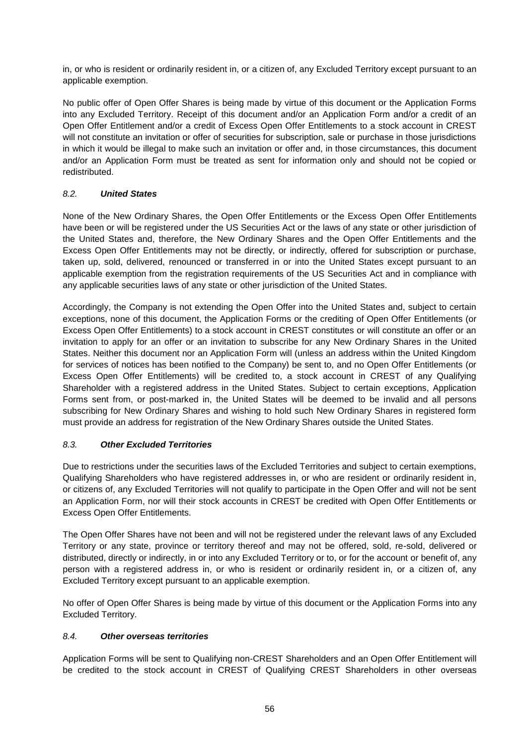in, or who is resident or ordinarily resident in, or a citizen of, any Excluded Territory except pursuant to an applicable exemption.

No public offer of Open Offer Shares is being made by virtue of this document or the Application Forms into any Excluded Territory. Receipt of this document and/or an Application Form and/or a credit of an Open Offer Entitlement and/or a credit of Excess Open Offer Entitlements to a stock account in CREST will not constitute an invitation or offer of securities for subscription, sale or purchase in those jurisdictions in which it would be illegal to make such an invitation or offer and, in those circumstances, this document and/or an Application Form must be treated as sent for information only and should not be copied or redistributed.

## *8.2. United States*

None of the New Ordinary Shares, the Open Offer Entitlements or the Excess Open Offer Entitlements have been or will be registered under the US Securities Act or the laws of any state or other jurisdiction of the United States and, therefore, the New Ordinary Shares and the Open Offer Entitlements and the Excess Open Offer Entitlements may not be directly, or indirectly, offered for subscription or purchase, taken up, sold, delivered, renounced or transferred in or into the United States except pursuant to an applicable exemption from the registration requirements of the US Securities Act and in compliance with any applicable securities laws of any state or other jurisdiction of the United States.

Accordingly, the Company is not extending the Open Offer into the United States and, subject to certain exceptions, none of this document, the Application Forms or the crediting of Open Offer Entitlements (or Excess Open Offer Entitlements) to a stock account in CREST constitutes or will constitute an offer or an invitation to apply for an offer or an invitation to subscribe for any New Ordinary Shares in the United States. Neither this document nor an Application Form will (unless an address within the United Kingdom for services of notices has been notified to the Company) be sent to, and no Open Offer Entitlements (or Excess Open Offer Entitlements) will be credited to, a stock account in CREST of any Qualifying Shareholder with a registered address in the United States. Subject to certain exceptions, Application Forms sent from, or post-marked in, the United States will be deemed to be invalid and all persons subscribing for New Ordinary Shares and wishing to hold such New Ordinary Shares in registered form must provide an address for registration of the New Ordinary Shares outside the United States.

## *8.3. Other Excluded Territories*

Due to restrictions under the securities laws of the Excluded Territories and subject to certain exemptions, Qualifying Shareholders who have registered addresses in, or who are resident or ordinarily resident in, or citizens of, any Excluded Territories will not qualify to participate in the Open Offer and will not be sent an Application Form, nor will their stock accounts in CREST be credited with Open Offer Entitlements or Excess Open Offer Entitlements.

The Open Offer Shares have not been and will not be registered under the relevant laws of any Excluded Territory or any state, province or territory thereof and may not be offered, sold, re-sold, delivered or distributed, directly or indirectly, in or into any Excluded Territory or to, or for the account or benefit of, any person with a registered address in, or who is resident or ordinarily resident in, or a citizen of, any Excluded Territory except pursuant to an applicable exemption.

No offer of Open Offer Shares is being made by virtue of this document or the Application Forms into any Excluded Territory.

#### *8.4. Other overseas territories*

Application Forms will be sent to Qualifying non-CREST Shareholders and an Open Offer Entitlement will be credited to the stock account in CREST of Qualifying CREST Shareholders in other overseas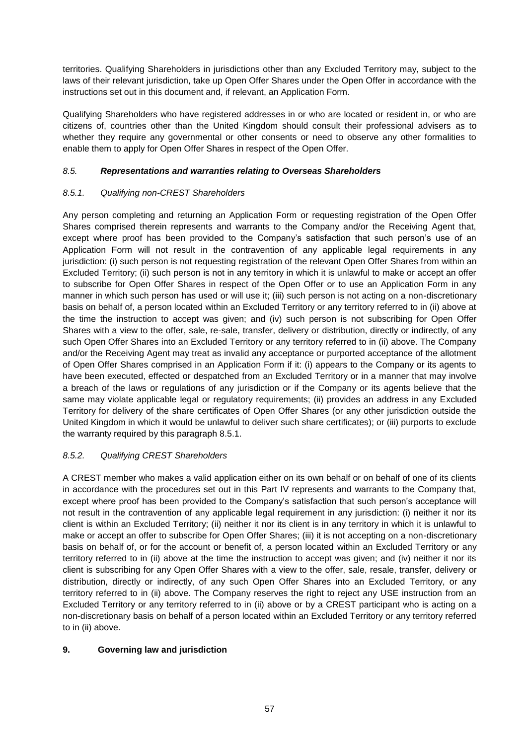territories. Qualifying Shareholders in jurisdictions other than any Excluded Territory may, subject to the laws of their relevant jurisdiction, take up Open Offer Shares under the Open Offer in accordance with the instructions set out in this document and, if relevant, an Application Form.

Qualifying Shareholders who have registered addresses in or who are located or resident in, or who are citizens of, countries other than the United Kingdom should consult their professional advisers as to whether they require any governmental or other consents or need to observe any other formalities to enable them to apply for Open Offer Shares in respect of the Open Offer.

## *8.5. Representations and warranties relating to Overseas Shareholders*

# *8.5.1. Qualifying non-CREST Shareholders*

Any person completing and returning an Application Form or requesting registration of the Open Offer Shares comprised therein represents and warrants to the Company and/or the Receiving Agent that, except where proof has been provided to the Company's satisfaction that such person's use of an Application Form will not result in the contravention of any applicable legal requirements in any jurisdiction: (i) such person is not requesting registration of the relevant Open Offer Shares from within an Excluded Territory; (ii) such person is not in any territory in which it is unlawful to make or accept an offer to subscribe for Open Offer Shares in respect of the Open Offer or to use an Application Form in any manner in which such person has used or will use it; (iii) such person is not acting on a non-discretionary basis on behalf of, a person located within an Excluded Territory or any territory referred to in (ii) above at the time the instruction to accept was given; and (iv) such person is not subscribing for Open Offer Shares with a view to the offer, sale, re-sale, transfer, delivery or distribution, directly or indirectly, of any such Open Offer Shares into an Excluded Territory or any territory referred to in (ii) above. The Company and/or the Receiving Agent may treat as invalid any acceptance or purported acceptance of the allotment of Open Offer Shares comprised in an Application Form if it: (i) appears to the Company or its agents to have been executed, effected or despatched from an Excluded Territory or in a manner that may involve a breach of the laws or regulations of any jurisdiction or if the Company or its agents believe that the same may violate applicable legal or regulatory requirements; (ii) provides an address in any Excluded Territory for delivery of the share certificates of Open Offer Shares (or any other jurisdiction outside the United Kingdom in which it would be unlawful to deliver such share certificates); or (iii) purports to exclude the warranty required by this paragraph 8.5.1.

# *8.5.2. Qualifying CREST Shareholders*

A CREST member who makes a valid application either on its own behalf or on behalf of one of its clients in accordance with the procedures set out in this Part IV represents and warrants to the Company that, except where proof has been provided to the Company's satisfaction that such person's acceptance will not result in the contravention of any applicable legal requirement in any jurisdiction: (i) neither it nor its client is within an Excluded Territory; (ii) neither it nor its client is in any territory in which it is unlawful to make or accept an offer to subscribe for Open Offer Shares; (iii) it is not accepting on a non-discretionary basis on behalf of, or for the account or benefit of, a person located within an Excluded Territory or any territory referred to in (ii) above at the time the instruction to accept was given; and (iv) neither it nor its client is subscribing for any Open Offer Shares with a view to the offer, sale, resale, transfer, delivery or distribution, directly or indirectly, of any such Open Offer Shares into an Excluded Territory, or any territory referred to in (ii) above. The Company reserves the right to reject any USE instruction from an Excluded Territory or any territory referred to in (ii) above or by a CREST participant who is acting on a non-discretionary basis on behalf of a person located within an Excluded Territory or any territory referred to in (ii) above.

## **9. Governing law and jurisdiction**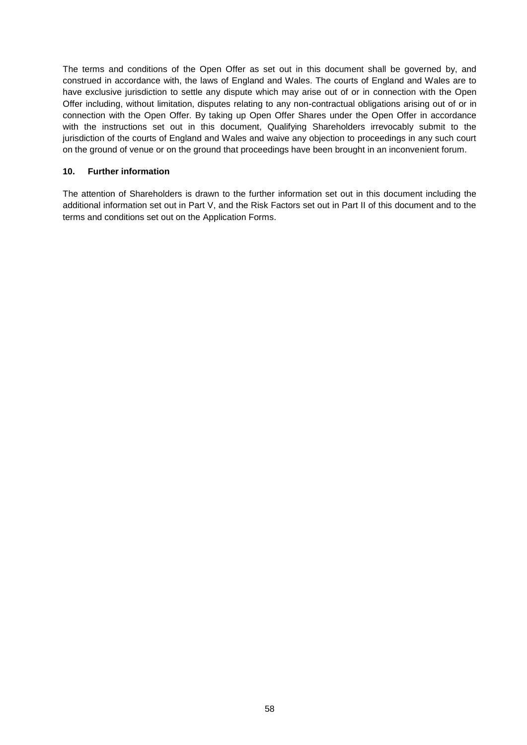The terms and conditions of the Open Offer as set out in this document shall be governed by, and construed in accordance with, the laws of England and Wales. The courts of England and Wales are to have exclusive jurisdiction to settle any dispute which may arise out of or in connection with the Open Offer including, without limitation, disputes relating to any non-contractual obligations arising out of or in connection with the Open Offer. By taking up Open Offer Shares under the Open Offer in accordance with the instructions set out in this document, Qualifying Shareholders irrevocably submit to the jurisdiction of the courts of England and Wales and waive any objection to proceedings in any such court on the ground of venue or on the ground that proceedings have been brought in an inconvenient forum.

#### **10. Further information**

The attention of Shareholders is drawn to the further information set out in this document including the additional information set out in Part V, and the Risk Factors set out in Part II of this document and to the terms and conditions set out on the Application Forms.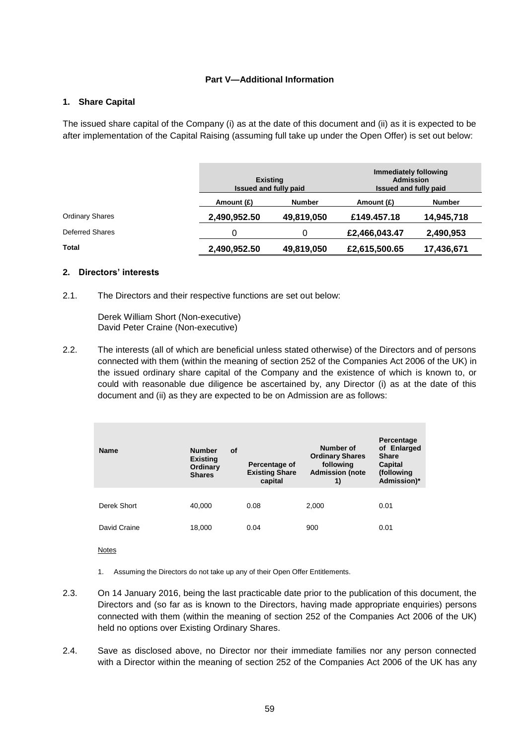#### **Part V—Additional Information**

#### **1. Share Capital**

The issued share capital of the Company (i) as at the date of this document and (ii) as it is expected to be after implementation of the Capital Raising (assuming full take up under the Open Offer) is set out below:

|                        | <b>Existing</b><br><b>Issued and fully paid</b> |               |               |               |  | Immediately following<br><b>Admission</b><br>Issued and fully paid |  |
|------------------------|-------------------------------------------------|---------------|---------------|---------------|--|--------------------------------------------------------------------|--|
|                        | Amount (£)                                      | <b>Number</b> | Amount (£)    | <b>Number</b> |  |                                                                    |  |
| <b>Ordinary Shares</b> | 2,490,952.50                                    | 49,819,050    | £149,457.18   | 14,945,718    |  |                                                                    |  |
| Deferred Shares        | 0                                               | 0             | £2,466,043.47 | 2,490,953     |  |                                                                    |  |
| Total                  | 2,490,952.50                                    | 49,819,050    | £2,615,500.65 | 17,436,671    |  |                                                                    |  |

#### **2. Directors' interests**

2.1. The Directors and their respective functions are set out below:

Derek William Short (Non-executive) David Peter Craine (Non-executive)

2.2. The interests (all of which are beneficial unless stated otherwise) of the Directors and of persons connected with them (within the meaning of section 252 of the Companies Act 2006 of the UK) in the issued ordinary share capital of the Company and the existence of which is known to, or could with reasonable due diligence be ascertained by, any Director (i) as at the date of this document and (ii) as they are expected to be on Admission are as follows:

| <b>Name</b>  | <b>Number</b><br>Οf<br><b>Existing</b><br>Ordinary<br><b>Shares</b> | Percentage of<br><b>Existing Share</b><br>capital | Number of<br><b>Ordinary Shares</b><br>following<br><b>Admission (note</b><br>1) | Percentage<br>of Enlarged<br><b>Share</b><br>Capital<br>(following<br>Admission)* |
|--------------|---------------------------------------------------------------------|---------------------------------------------------|----------------------------------------------------------------------------------|-----------------------------------------------------------------------------------|
| Derek Short  | 40.000                                                              | 0.08                                              | 2,000                                                                            | 0.01                                                                              |
| David Craine | 18,000                                                              | 0.04                                              | 900                                                                              | 0.01                                                                              |

Notes

- 1. Assuming the Directors do not take up any of their Open Offer Entitlements.
- 2.3. On 14 January 2016, being the last practicable date prior to the publication of this document, the Directors and (so far as is known to the Directors, having made appropriate enquiries) persons connected with them (within the meaning of section 252 of the Companies Act 2006 of the UK) held no options over Existing Ordinary Shares.
- 2.4. Save as disclosed above, no Director nor their immediate families nor any person connected with a Director within the meaning of section 252 of the Companies Act 2006 of the UK has any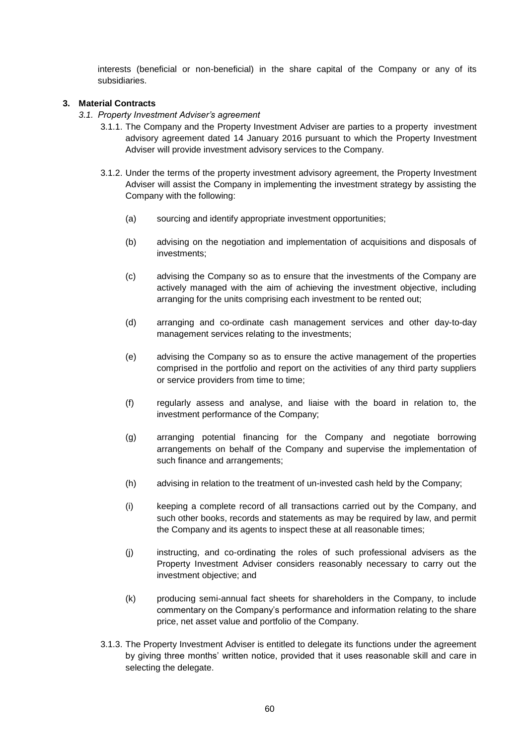interests (beneficial or non-beneficial) in the share capital of the Company or any of its subsidiaries.

## **3. Material Contracts**

- *3.1. Property Investment Adviser's agreement*
	- 3.1.1. The Company and the Property Investment Adviser are parties to a property investment advisory agreement dated 14 January 2016 pursuant to which the Property Investment Adviser will provide investment advisory services to the Company.
	- 3.1.2. Under the terms of the property investment advisory agreement, the Property Investment Adviser will assist the Company in implementing the investment strategy by assisting the Company with the following:
		- (a) sourcing and identify appropriate investment opportunities;
		- (b) advising on the negotiation and implementation of acquisitions and disposals of investments;
		- (c) advising the Company so as to ensure that the investments of the Company are actively managed with the aim of achieving the investment objective, including arranging for the units comprising each investment to be rented out;
		- (d) arranging and co-ordinate cash management services and other day-to-day management services relating to the investments;
		- (e) advising the Company so as to ensure the active management of the properties comprised in the portfolio and report on the activities of any third party suppliers or service providers from time to time;
		- (f) regularly assess and analyse, and liaise with the board in relation to, the investment performance of the Company;
		- (g) arranging potential financing for the Company and negotiate borrowing arrangements on behalf of the Company and supervise the implementation of such finance and arrangements;
		- (h) advising in relation to the treatment of un-invested cash held by the Company;
		- (i) keeping a complete record of all transactions carried out by the Company, and such other books, records and statements as may be required by law, and permit the Company and its agents to inspect these at all reasonable times;
		- (j) instructing, and co-ordinating the roles of such professional advisers as the Property Investment Adviser considers reasonably necessary to carry out the investment objective; and
		- (k) producing semi-annual fact sheets for shareholders in the Company, to include commentary on the Company's performance and information relating to the share price, net asset value and portfolio of the Company.
	- 3.1.3. The Property Investment Adviser is entitled to delegate its functions under the agreement by giving three months' written notice, provided that it uses reasonable skill and care in selecting the delegate.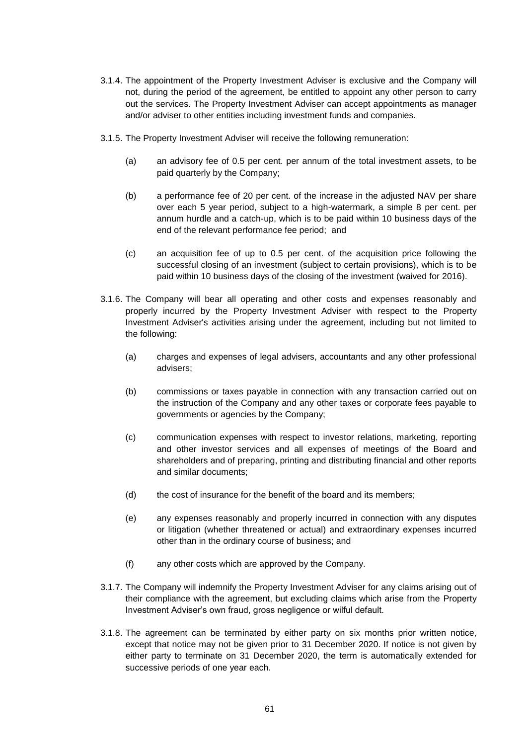- 3.1.4. The appointment of the Property Investment Adviser is exclusive and the Company will not, during the period of the agreement, be entitled to appoint any other person to carry out the services. The Property Investment Adviser can accept appointments as manager and/or adviser to other entities including investment funds and companies.
- 3.1.5. The Property Investment Adviser will receive the following remuneration:
	- (a) an advisory fee of 0.5 per cent. per annum of the total investment assets, to be paid quarterly by the Company;
	- (b) a performance fee of 20 per cent. of the increase in the adjusted NAV per share over each 5 year period, subject to a high-watermark, a simple 8 per cent. per annum hurdle and a catch-up, which is to be paid within 10 business days of the end of the relevant performance fee period; and
	- (c) an acquisition fee of up to 0.5 per cent. of the acquisition price following the successful closing of an investment (subject to certain provisions), which is to be paid within 10 business days of the closing of the investment (waived for 2016).
- 3.1.6. The Company will bear all operating and other costs and expenses reasonably and properly incurred by the Property Investment Adviser with respect to the Property Investment Adviser's activities arising under the agreement, including but not limited to the following:
	- (a) charges and expenses of legal advisers, accountants and any other professional advisers;
	- (b) commissions or taxes payable in connection with any transaction carried out on the instruction of the Company and any other taxes or corporate fees payable to governments or agencies by the Company;
	- (c) communication expenses with respect to investor relations, marketing, reporting and other investor services and all expenses of meetings of the Board and shareholders and of preparing, printing and distributing financial and other reports and similar documents;
	- (d) the cost of insurance for the benefit of the board and its members;
	- (e) any expenses reasonably and properly incurred in connection with any disputes or litigation (whether threatened or actual) and extraordinary expenses incurred other than in the ordinary course of business; and
	- (f) any other costs which are approved by the Company.
- 3.1.7. The Company will indemnify the Property Investment Adviser for any claims arising out of their compliance with the agreement, but excluding claims which arise from the Property Investment Adviser's own fraud, gross negligence or wilful default.
- 3.1.8. The agreement can be terminated by either party on six months prior written notice, except that notice may not be given prior to 31 December 2020. If notice is not given by either party to terminate on 31 December 2020, the term is automatically extended for successive periods of one year each.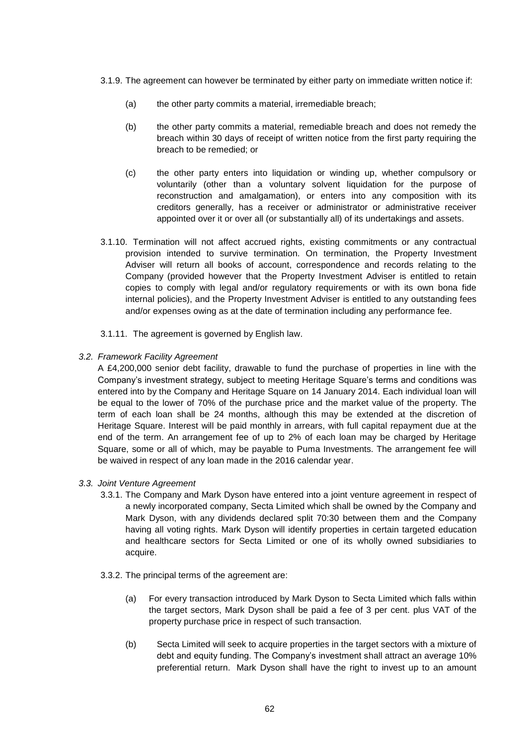- 3.1.9. The agreement can however be terminated by either party on immediate written notice if:
	- (a) the other party commits a material, irremediable breach;
	- (b) the other party commits a material, remediable breach and does not remedy the breach within 30 days of receipt of written notice from the first party requiring the breach to be remedied; or
	- (c) the other party enters into liquidation or winding up, whether compulsory or voluntarily (other than a voluntary solvent liquidation for the purpose of reconstruction and amalgamation), or enters into any composition with its creditors generally, has a receiver or administrator or administrative receiver appointed over it or over all (or substantially all) of its undertakings and assets.
- 3.1.10. Termination will not affect accrued rights, existing commitments or any contractual provision intended to survive termination. On termination, the Property Investment Adviser will return all books of account, correspondence and records relating to the Company (provided however that the Property Investment Adviser is entitled to retain copies to comply with legal and/or regulatory requirements or with its own bona fide internal policies), and the Property Investment Adviser is entitled to any outstanding fees and/or expenses owing as at the date of termination including any performance fee.
- 3.1.11. The agreement is governed by English law.
- *3.2. Framework Facility Agreement*

A £4,200,000 senior debt facility, drawable to fund the purchase of properties in line with the Company's investment strategy, subject to meeting Heritage Square's terms and conditions was entered into by the Company and Heritage Square on 14 January 2014. Each individual loan will be equal to the lower of 70% of the purchase price and the market value of the property. The term of each loan shall be 24 months, although this may be extended at the discretion of Heritage Square. Interest will be paid monthly in arrears, with full capital repayment due at the end of the term. An arrangement fee of up to 2% of each loan may be charged by Heritage Square, some or all of which, may be payable to Puma Investments. The arrangement fee will be waived in respect of any loan made in the 2016 calendar year.

- *3.3. Joint Venture Agreement*
	- 3.3.1. The Company and Mark Dyson have entered into a joint venture agreement in respect of a newly incorporated company, Secta Limited which shall be owned by the Company and Mark Dyson, with any dividends declared split 70:30 between them and the Company having all voting rights. Mark Dyson will identify properties in certain targeted education and healthcare sectors for Secta Limited or one of its wholly owned subsidiaries to acquire.
	- 3.3.2. The principal terms of the agreement are:
		- (a) For every transaction introduced by Mark Dyson to Secta Limited which falls within the target sectors, Mark Dyson shall be paid a fee of 3 per cent. plus VAT of the property purchase price in respect of such transaction.
		- (b) Secta Limited will seek to acquire properties in the target sectors with a mixture of debt and equity funding. The Company's investment shall attract an average 10% preferential return. Mark Dyson shall have the right to invest up to an amount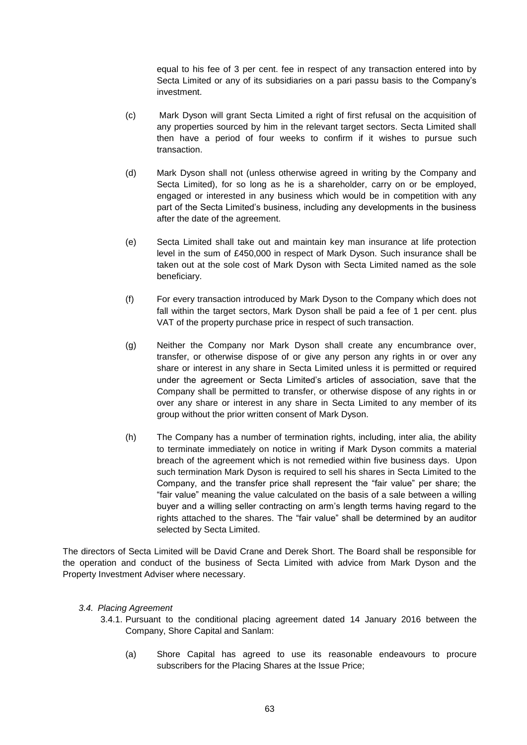equal to his fee of 3 per cent. fee in respect of any transaction entered into by Secta Limited or any of its subsidiaries on a pari passu basis to the Company's investment.

- (c) Mark Dyson will grant Secta Limited a right of first refusal on the acquisition of any properties sourced by him in the relevant target sectors. Secta Limited shall then have a period of four weeks to confirm if it wishes to pursue such transaction.
- (d) Mark Dyson shall not (unless otherwise agreed in writing by the Company and Secta Limited), for so long as he is a shareholder, carry on or be employed, engaged or interested in any business which would be in competition with any part of the Secta Limited's business, including any developments in the business after the date of the agreement.
- (e) Secta Limited shall take out and maintain key man insurance at life protection level in the sum of £450,000 in respect of Mark Dyson. Such insurance shall be taken out at the sole cost of Mark Dyson with Secta Limited named as the sole beneficiary.
- (f) For every transaction introduced by Mark Dyson to the Company which does not fall within the target sectors, Mark Dyson shall be paid a fee of 1 per cent. plus VAT of the property purchase price in respect of such transaction.
- (g) Neither the Company nor Mark Dyson shall create any encumbrance over, transfer, or otherwise dispose of or give any person any rights in or over any share or interest in any share in Secta Limited unless it is permitted or required under the agreement or Secta Limited's articles of association, save that the Company shall be permitted to transfer, or otherwise dispose of any rights in or over any share or interest in any share in Secta Limited to any member of its group without the prior written consent of Mark Dyson.
- (h) The Company has a number of termination rights, including, inter alia, the ability to terminate immediately on notice in writing if Mark Dyson commits a material breach of the agreement which is not remedied within five business days. Upon such termination Mark Dyson is required to sell his shares in Secta Limited to the Company, and the transfer price shall represent the "fair value" per share; the "fair value" meaning the value calculated on the basis of a sale between a willing buyer and a willing seller contracting on arm's length terms having regard to the rights attached to the shares. The "fair value" shall be determined by an auditor selected by Secta Limited.

The directors of Secta Limited will be David Crane and Derek Short. The Board shall be responsible for the operation and conduct of the business of Secta Limited with advice from Mark Dyson and the Property Investment Adviser where necessary.

#### *3.4. Placing Agreement*

- 3.4.1. Pursuant to the conditional placing agreement dated 14 January 2016 between the Company, Shore Capital and Sanlam:
	- (a) Shore Capital has agreed to use its reasonable endeavours to procure subscribers for the Placing Shares at the Issue Price;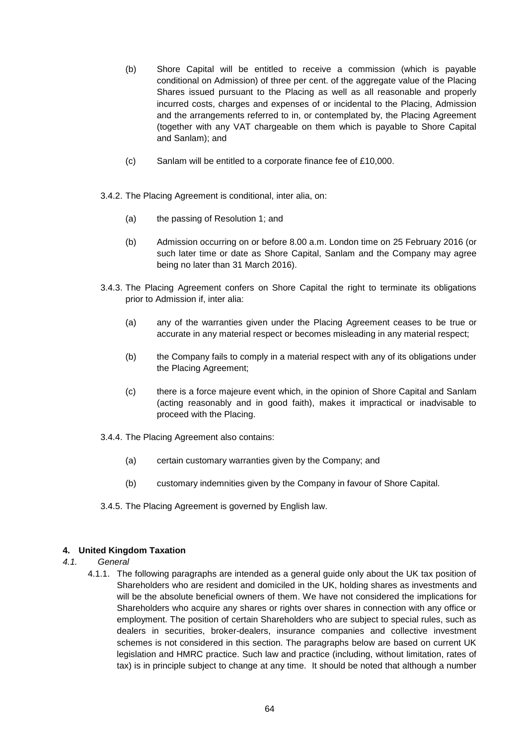- (b) Shore Capital will be entitled to receive a commission (which is payable conditional on Admission) of three per cent. of the aggregate value of the Placing Shares issued pursuant to the Placing as well as all reasonable and properly incurred costs, charges and expenses of or incidental to the Placing, Admission and the arrangements referred to in, or contemplated by, the Placing Agreement (together with any VAT chargeable on them which is payable to Shore Capital and Sanlam); and
- (c) Sanlam will be entitled to a corporate finance fee of £10,000.
- 3.4.2. The Placing Agreement is conditional, inter alia, on:
	- (a) the passing of Resolution 1; and
	- (b) Admission occurring on or before 8.00 a.m. London time on 25 February 2016 (or such later time or date as Shore Capital, Sanlam and the Company may agree being no later than 31 March 2016).
- 3.4.3. The Placing Agreement confers on Shore Capital the right to terminate its obligations prior to Admission if, inter alia:
	- (a) any of the warranties given under the Placing Agreement ceases to be true or accurate in any material respect or becomes misleading in any material respect;
	- (b) the Company fails to comply in a material respect with any of its obligations under the Placing Agreement;
	- (c) there is a force majeure event which, in the opinion of Shore Capital and Sanlam (acting reasonably and in good faith), makes it impractical or inadvisable to proceed with the Placing.
- 3.4.4. The Placing Agreement also contains:
	- (a) certain customary warranties given by the Company; and
	- (b) customary indemnities given by the Company in favour of Shore Capital.
- 3.4.5. The Placing Agreement is governed by English law.

## **4. United Kingdom Taxation**

- *4.1. General*
	- 4.1.1. The following paragraphs are intended as a general guide only about the UK tax position of Shareholders who are resident and domiciled in the UK, holding shares as investments and will be the absolute beneficial owners of them. We have not considered the implications for Shareholders who acquire any shares or rights over shares in connection with any office or employment. The position of certain Shareholders who are subject to special rules, such as dealers in securities, broker-dealers, insurance companies and collective investment schemes is not considered in this section. The paragraphs below are based on current UK legislation and HMRC practice. Such law and practice (including, without limitation, rates of tax) is in principle subject to change at any time. It should be noted that although a number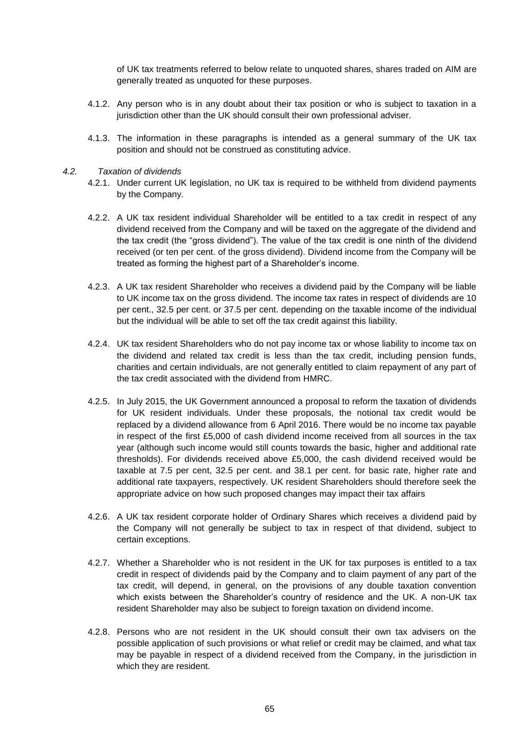of UK tax treatments referred to below relate to unquoted shares, shares traded on AIM are generally treated as unquoted for these purposes.

- 4.1.2. Any person who is in any doubt about their tax position or who is subject to taxation in a jurisdiction other than the UK should consult their own professional adviser.
- 4.1.3. The information in these paragraphs is intended as a general summary of the UK tax position and should not be construed as constituting advice.
- *4.2. Taxation of dividends*
	- 4.2.1. Under current UK legislation, no UK tax is required to be withheld from dividend payments by the Company.
	- 4.2.2. A UK tax resident individual Shareholder will be entitled to a tax credit in respect of any dividend received from the Company and will be taxed on the aggregate of the dividend and the tax credit (the "gross dividend"). The value of the tax credit is one ninth of the dividend received (or ten per cent. of the gross dividend). Dividend income from the Company will be treated as forming the highest part of a Shareholder's income.
	- 4.2.3. A UK tax resident Shareholder who receives a dividend paid by the Company will be liable to UK income tax on the gross dividend. The income tax rates in respect of dividends are 10 per cent., 32.5 per cent. or 37.5 per cent. depending on the taxable income of the individual but the individual will be able to set off the tax credit against this liability.
	- 4.2.4. UK tax resident Shareholders who do not pay income tax or whose liability to income tax on the dividend and related tax credit is less than the tax credit, including pension funds, charities and certain individuals, are not generally entitled to claim repayment of any part of the tax credit associated with the dividend from HMRC.
	- 4.2.5. In July 2015, the UK Government announced a proposal to reform the taxation of dividends for UK resident individuals. Under these proposals, the notional tax credit would be replaced by a dividend allowance from 6 April 2016. There would be no income tax payable in respect of the first £5,000 of cash dividend income received from all sources in the tax year (although such income would still counts towards the basic, higher and additional rate thresholds). For dividends received above £5,000, the cash dividend received would be taxable at 7.5 per cent, 32.5 per cent. and 38.1 per cent. for basic rate, higher rate and additional rate taxpayers, respectively. UK resident Shareholders should therefore seek the appropriate advice on how such proposed changes may impact their tax affairs
	- 4.2.6. A UK tax resident corporate holder of Ordinary Shares which receives a dividend paid by the Company will not generally be subject to tax in respect of that dividend, subject to certain exceptions.
	- 4.2.7. Whether a Shareholder who is not resident in the UK for tax purposes is entitled to a tax credit in respect of dividends paid by the Company and to claim payment of any part of the tax credit, will depend, in general, on the provisions of any double taxation convention which exists between the Shareholder's country of residence and the UK. A non-UK tax resident Shareholder may also be subject to foreign taxation on dividend income.
	- 4.2.8. Persons who are not resident in the UK should consult their own tax advisers on the possible application of such provisions or what relief or credit may be claimed, and what tax may be payable in respect of a dividend received from the Company, in the jurisdiction in which they are resident.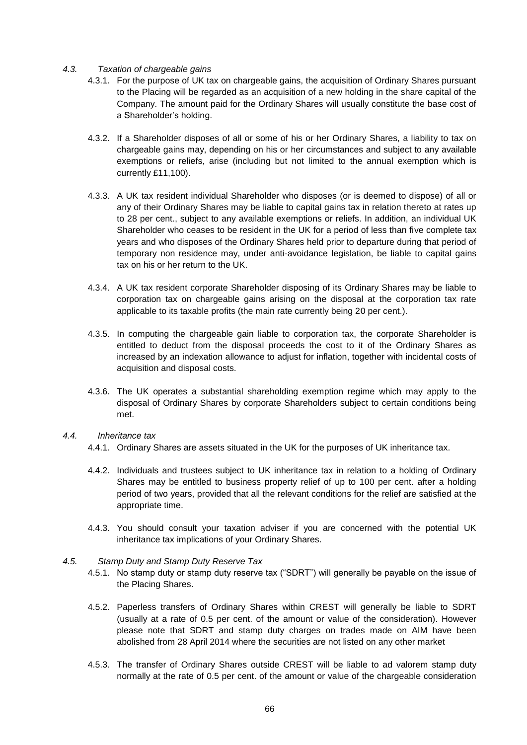#### *4.3. Taxation of chargeable gains*

- 4.3.1. For the purpose of UK tax on chargeable gains, the acquisition of Ordinary Shares pursuant to the Placing will be regarded as an acquisition of a new holding in the share capital of the Company. The amount paid for the Ordinary Shares will usually constitute the base cost of a Shareholder's holding.
- 4.3.2. If a Shareholder disposes of all or some of his or her Ordinary Shares, a liability to tax on chargeable gains may, depending on his or her circumstances and subject to any available exemptions or reliefs, arise (including but not limited to the annual exemption which is currently £11,100).
- 4.3.3. A UK tax resident individual Shareholder who disposes (or is deemed to dispose) of all or any of their Ordinary Shares may be liable to capital gains tax in relation thereto at rates up to 28 per cent., subject to any available exemptions or reliefs. In addition, an individual UK Shareholder who ceases to be resident in the UK for a period of less than five complete tax years and who disposes of the Ordinary Shares held prior to departure during that period of temporary non residence may, under anti-avoidance legislation, be liable to capital gains tax on his or her return to the UK.
- 4.3.4. A UK tax resident corporate Shareholder disposing of its Ordinary Shares may be liable to corporation tax on chargeable gains arising on the disposal at the corporation tax rate applicable to its taxable profits (the main rate currently being 20 per cent.).
- 4.3.5. In computing the chargeable gain liable to corporation tax, the corporate Shareholder is entitled to deduct from the disposal proceeds the cost to it of the Ordinary Shares as increased by an indexation allowance to adjust for inflation, together with incidental costs of acquisition and disposal costs.
- 4.3.6. The UK operates a substantial shareholding exemption regime which may apply to the disposal of Ordinary Shares by corporate Shareholders subject to certain conditions being met.

#### *4.4. Inheritance tax*

- 4.4.1. Ordinary Shares are assets situated in the UK for the purposes of UK inheritance tax.
- 4.4.2. Individuals and trustees subject to UK inheritance tax in relation to a holding of Ordinary Shares may be entitled to business property relief of up to 100 per cent. after a holding period of two years, provided that all the relevant conditions for the relief are satisfied at the appropriate time.
- 4.4.3. You should consult your taxation adviser if you are concerned with the potential UK inheritance tax implications of your Ordinary Shares.

#### *4.5. Stamp Duty and Stamp Duty Reserve Tax*

- 4.5.1. No stamp duty or stamp duty reserve tax ("SDRT") will generally be payable on the issue of the Placing Shares.
- 4.5.2. Paperless transfers of Ordinary Shares within CREST will generally be liable to SDRT (usually at a rate of 0.5 per cent. of the amount or value of the consideration). However please note that SDRT and stamp duty charges on trades made on AIM have been abolished from 28 April 2014 where the securities are not listed on any other market
- 4.5.3. The transfer of Ordinary Shares outside CREST will be liable to ad valorem stamp duty normally at the rate of 0.5 per cent. of the amount or value of the chargeable consideration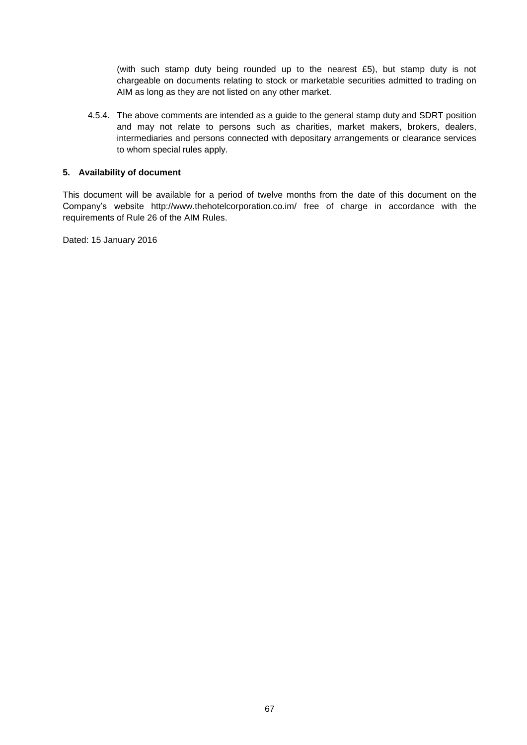(with such stamp duty being rounded up to the nearest £5), but stamp duty is not chargeable on documents relating to stock or marketable securities admitted to trading on AIM as long as they are not listed on any other market.

4.5.4. The above comments are intended as a guide to the general stamp duty and SDRT position and may not relate to persons such as charities, market makers, brokers, dealers, intermediaries and persons connected with depositary arrangements or clearance services to whom special rules apply.

#### **5. Availability of document**

This document will be available for a period of twelve months from the date of this document on the Company's website http://www.thehotelcorporation.co.im/ free of charge in accordance with the requirements of Rule 26 of the AIM Rules.

Dated: 15 January 2016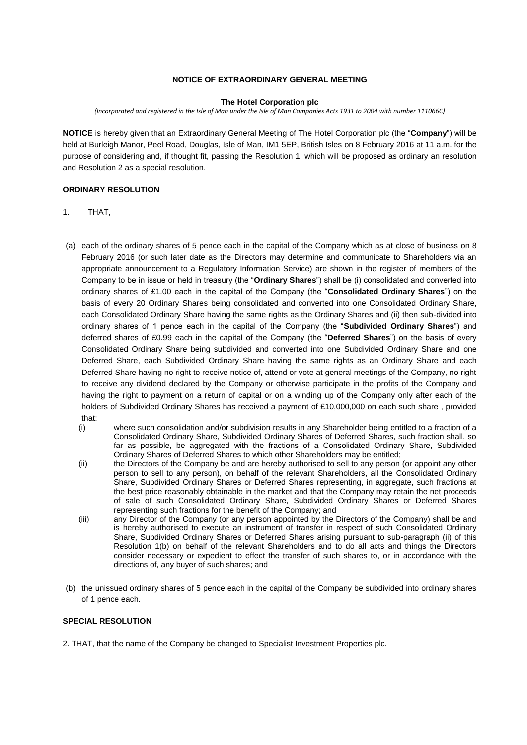#### **NOTICE OF EXTRAORDINARY GENERAL MEETING**

#### **The Hotel Corporation plc**

*(Incorporated and registered in the Isle of Man under the Isle of Man Companies Acts 1931 to 2004 with number 111066C)*

**NOTICE** is hereby given that an Extraordinary General Meeting of The Hotel Corporation plc (the "**Company**") will be held at Burleigh Manor, Peel Road, Douglas, Isle of Man, IM1 5EP, British Isles on 8 February 2016 at 11 a.m. for the purpose of considering and, if thought fit, passing the Resolution 1, which will be proposed as ordinary an resolution and Resolution 2 as a special resolution.

#### **ORDINARY RESOLUTION**

- 1. THAT,
- (a) each of the ordinary shares of 5 pence each in the capital of the Company which as at close of business on 8 February 2016 (or such later date as the Directors may determine and communicate to Shareholders via an appropriate announcement to a Regulatory Information Service) are shown in the register of members of the Company to be in issue or held in treasury (the "**Ordinary Shares**") shall be (i) consolidated and converted into ordinary shares of £1.00 each in the capital of the Company (the "**Consolidated Ordinary Shares**") on the basis of every 20 Ordinary Shares being consolidated and converted into one Consolidated Ordinary Share, each Consolidated Ordinary Share having the same rights as the Ordinary Shares and (ii) then sub-divided into ordinary shares of 1 pence each in the capital of the Company (the "**Subdivided Ordinary Shares**") and deferred shares of £0.99 each in the capital of the Company (the "**Deferred Shares**") on the basis of every Consolidated Ordinary Share being subdivided and converted into one Subdivided Ordinary Share and one Deferred Share, each Subdivided Ordinary Share having the same rights as an Ordinary Share and each Deferred Share having no right to receive notice of, attend or vote at general meetings of the Company, no right to receive any dividend declared by the Company or otherwise participate in the profits of the Company and having the right to payment on a return of capital or on a winding up of the Company only after each of the holders of Subdivided Ordinary Shares has received a payment of £10,000,000 on each such share , provided that:
	- (i) where such consolidation and/or subdivision results in any Shareholder being entitled to a fraction of a Consolidated Ordinary Share, Subdivided Ordinary Shares of Deferred Shares, such fraction shall, so far as possible, be aggregated with the fractions of a Consolidated Ordinary Share, Subdivided Ordinary Shares of Deferred Shares to which other Shareholders may be entitled;
	- (ii) the Directors of the Company be and are hereby authorised to sell to any person (or appoint any other person to sell to any person), on behalf of the relevant Shareholders, all the Consolidated Ordinary Share, Subdivided Ordinary Shares or Deferred Shares representing, in aggregate, such fractions at the best price reasonably obtainable in the market and that the Company may retain the net proceeds of sale of such Consolidated Ordinary Share, Subdivided Ordinary Shares or Deferred Shares representing such fractions for the benefit of the Company; and
	- (iii) any Director of the Company (or any person appointed by the Directors of the Company) shall be and is hereby authorised to execute an instrument of transfer in respect of such Consolidated Ordinary Share, Subdivided Ordinary Shares or Deferred Shares arising pursuant to sub-paragraph (ii) of this Resolution 1(b) on behalf of the relevant Shareholders and to do all acts and things the Directors consider necessary or expedient to effect the transfer of such shares to, or in accordance with the directions of, any buyer of such shares; and
- (b) the unissued ordinary shares of 5 pence each in the capital of the Company be subdivided into ordinary shares of 1 pence each.

#### **SPECIAL RESOLUTION**

2. THAT, that the name of the Company be changed to Specialist Investment Properties plc.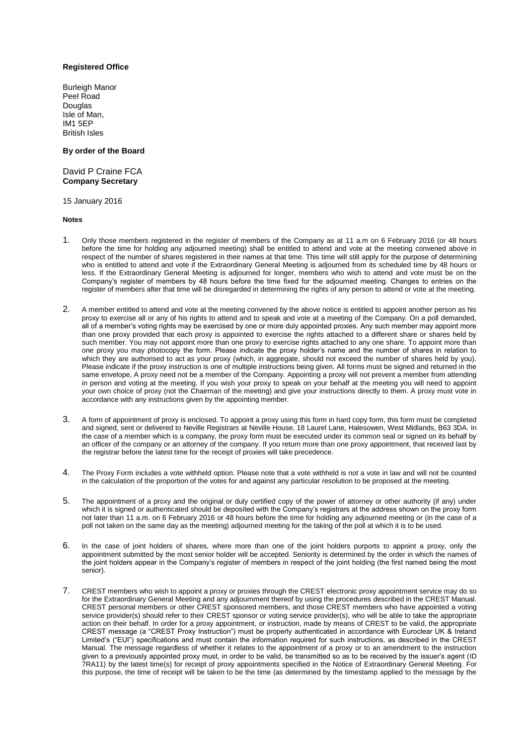#### **Registered Office**

Burleigh Manor Peel Road Douglas Isle of Man, IM1 5EP British Isles

#### **By order of the Board**

David P Craine FCA **Company Secretary**

15 January 2016

**Notes**

- 1. Only those members registered in the register of members of the Company as at 11 a.m on 6 February 2016 (or 48 hours before the time for holding any adjourned meeting) shall be entitled to attend and vote at the meeting convened above in respect of the number of shares registered in their names at that time. This time will still apply for the purpose of determining who is entitled to attend and vote if the Extraordinary General Meeting is adjourned from its scheduled time by 48 hours or less. If the Extraordinary General Meeting is adjourned for longer, members who wish to attend and vote must be on the Company's register of members by 48 hours before the time fixed for the adjourned meeting. Changes to entries on the register of members after that time will be disregarded in determining the rights of any person to attend or vote at the meeting.
- 2. A member entitled to attend and vote at the meeting convened by the above notice is entitled to appoint another person as his proxy to exercise all or any of his rights to attend and to speak and vote at a meeting of the Company. On a poll demanded, all of a member's voting rights may be exercised by one or more duly appointed proxies. Any such member may appoint more than one proxy provided that each proxy is appointed to exercise the rights attached to a different share or shares held by such member. You may not appoint more than one proxy to exercise rights attached to any one share. To appoint more than one proxy you may photocopy the form. Please indicate the proxy holder's name and the number of shares in relation to which they are authorised to act as your proxy (which, in aggregate, should not exceed the number of shares held by you). Please indicate if the proxy instruction is one of multiple instructions being given. All forms must be signed and returned in the same envelope, A proxy need not be a member of the Company. Appointing a proxy will not prevent a member from attending in person and voting at the meeting. If you wish your proxy to speak on your behalf at the meeting you will need to appoint your own choice of proxy (not the Chairman of the meeting) and give your instructions directly to them. A proxy must vote in accordance with any instructions given by the appointing member.
- 3. A form of appointment of proxy is enclosed. To appoint a proxy using this form in hard copy form, this form must be completed and signed, sent or delivered to Neville Registrars at Neville House, 18 Laurel Lane, Halesowen, West Midlands, B63 3DA. In the case of a member which is a company, the proxy form must be executed under its common seal or signed on its behalf by an officer of the company or an attorney of the company. If you return more than one proxy appointment, that received last by the registrar before the latest time for the receipt of proxies will take precedence.
- 4. The Proxy Form includes a vote withheld option. Please note that a vote withheld is not a vote in law and will not be counted in the calculation of the proportion of the votes for and against any particular resolution to be proposed at the meeting.
- 5. The appointment of a proxy and the original or duly certified copy of the power of attorney or other authority (if any) under which it is signed or authenticated should be deposited with the Company's registrars at the address shown on the proxy form not later than 11 a.m. on 6 February 2016 or 48 hours before the time for holding any adjourned meeting or (in the case of a poll not taken on the same day as the meeting) adjourned meeting for the taking of the poll at which it is to be used.
- 6. In the case of joint holders of shares, where more than one of the joint holders purports to appoint a proxy, only the appointment submitted by the most senior holder will be accepted. Seniority is determined by the order in which the names of the joint holders appear in the Company's register of members in respect of the joint holding (the first named being the most senior).
- 7. CREST members who wish to appoint a proxy or proxies through the CREST electronic proxy appointment service may do so for the Extraordinary General Meeting and any adjournment thereof by using the procedures described in the CREST Manual. CREST personal members or other CREST sponsored members, and those CREST members who have appointed a voting service provider(s) should refer to their CREST sponsor or voting service provider(s), who will be able to take the appropriate action on their behalf. In order for a proxy appointment, or instruction, made by means of CREST to be valid, the appropriate CREST message (a "CREST Proxy Instruction") must be properly authenticated in accordance with Euroclear UK & Ireland Limited's ("EUI") specifications and must contain the information required for such instructions, as described in the CREST Manual. The message regardless of whether it relates to the appointment of a proxy or to an amendment to the instruction given to a previously appointed proxy must, in order to be valid, be transmitted so as to be received by the issuer's agent (ID 7RA11) by the latest time(s) for receipt of proxy appointments specified in the Notice of Extraordinary General Meeting. For this purpose, the time of receipt will be taken to be the time (as determined by the timestamp applied to the message by the